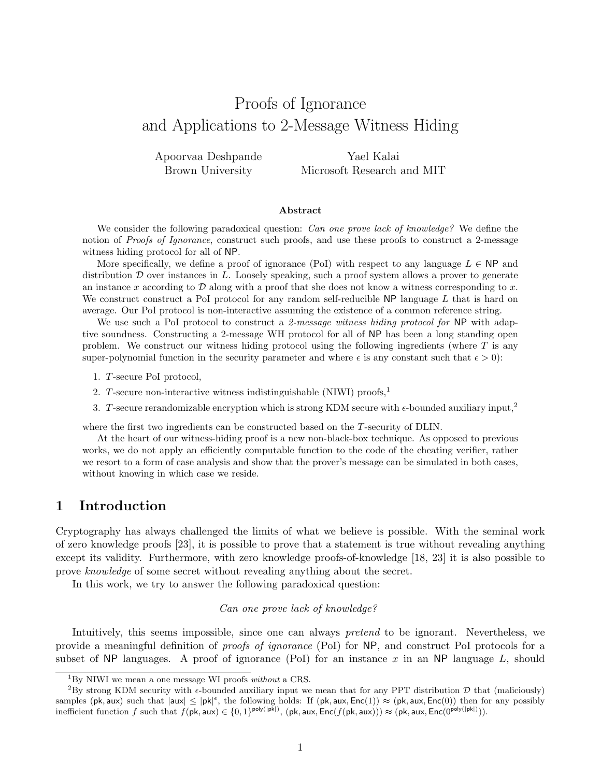# Proofs of Ignorance and Applications to 2-Message Witness Hiding

Apoorvaa Deshpande Brown University

Yael Kalai Microsoft Research and MIT

#### Abstract

We consider the following paradoxical question: *Can one prove lack of knowledge?* We define the notion of *Proofs of Ignorance*, construct such proofs, and use these proofs to construct a 2-message witness hiding protocol for all of NP.

More specifically, we define a proof of ignorance (PoI) with respect to any language  $L \in \mathsf{NP}$  and distribution  $D$  over instances in  $L$ . Loosely speaking, such a proof system allows a prover to generate an instance x according to  $\mathcal D$  along with a proof that she does not know a witness corresponding to x. We construct construct a PoI protocol for any random self-reducible  $NP$  language L that is hard on average. Our PoI protocol is non-interactive assuming the existence of a common reference string.

We use such a PoI protocol to construct a 2-message witness hiding protocol for  $NP$  with adaptive soundness. Constructing a 2-message WH protocol for all of NP has been a long standing open problem. We construct our witness hiding protocol using the following ingredients (where  $T$  is any super-polynomial function in the security parameter and where  $\epsilon$  is any constant such that  $\epsilon > 0$ :

- 1. T-secure PoI protocol,
- 2. T-secure non-interactive witness indistinguishable (NIWI) proofs,<sup>1</sup>
- 3. T-secure rerandomizable encryption which is strong KDM secure with  $\epsilon$ -bounded auxiliary input,<sup>2</sup>

where the first two ingredients can be constructed based on the T-security of DLIN.

At the heart of our witness-hiding proof is a new non-black-box technique. As opposed to previous works, we do not apply an efficiently computable function to the code of the cheating verifier, rather we resort to a form of case analysis and show that the prover's message can be simulated in both cases, without knowing in which case we reside.

# 1 Introduction

Cryptography has always challenged the limits of what we believe is possible. With the seminal work of zero knowledge proofs [23], it is possible to prove that a statement is true without revealing anything except its validity. Furthermore, with zero knowledge proofs-of-knowledge [18, 23] it is also possible to prove knowledge of some secret without revealing anything about the secret.

In this work, we try to answer the following paradoxical question:

#### Can one prove lack of knowledge?

Intuitively, this seems impossible, since one can always *pretend* to be ignorant. Nevertheless, we provide a meaningful definition of proofs of ignorance (PoI) for NP, and construct PoI protocols for a subset of NP languages. A proof of ignorance (PoI) for an instance x in an NP language  $L$ , should

 ${}^{1}_{1}$ By NIWI we mean a one message WI proofs without a CRS.

<sup>&</sup>lt;sup>2</sup>By strong KDM security with  $\epsilon$ -bounded auxiliary input we mean that for any PPT distribution  $\mathcal D$  that (maliciously) samples (pk, aux) such that  $|aux| \le |pk|^{\epsilon}$ , the following holds: If  $(pk, aux, Enc(1)) \approx (pk, aux, Enc(0))$  then for any possibly inefficient function f such that  $f(\mathsf{pk},\mathsf{aux}) \in \{0,1\}^{\mathsf{poly}(|\mathsf{pk}|)}, (\mathsf{pk},\mathsf{aux},\mathsf{Enc}(f(\mathsf{pk},\mathsf{aux}))) \approx (\mathsf{pk},\mathsf{aux},\mathsf{Enc}(\mathsf{O}^{\mathsf{poly}(|\mathsf{pk}|)})).$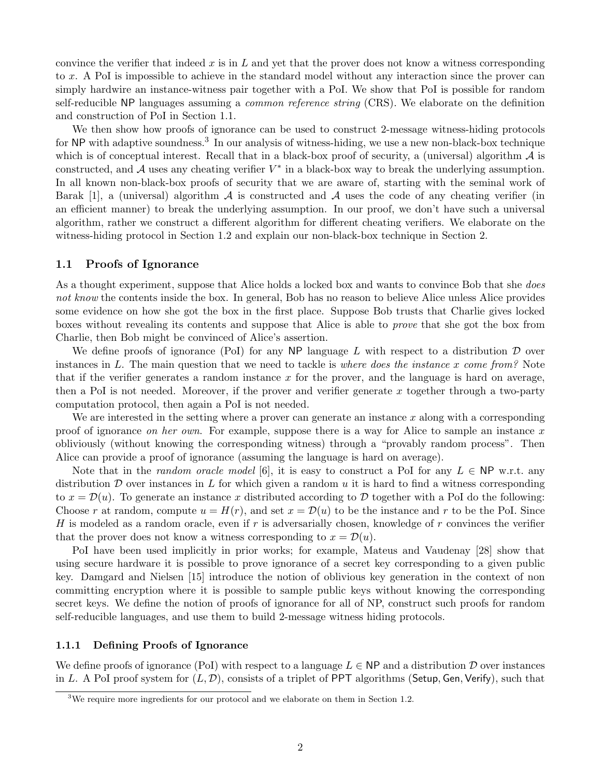convince the verifier that indeed x is in L and yet that the prover does not know a witness corresponding to x. A PoI is impossible to achieve in the standard model without any interaction since the prover can simply hardwire an instance-witness pair together with a PoI. We show that PoI is possible for random self-reducible NP languages assuming a *common reference string* (CRS). We elaborate on the definition and construction of PoI in Section 1.1.

We then show how proofs of ignorance can be used to construct 2-message witness-hiding protocols for NP with adaptive soundness.<sup>3</sup> In our analysis of witness-hiding, we use a new non-black-box technique which is of conceptual interest. Recall that in a black-box proof of security, a (universal) algorithm  $A$  is constructed, and  $A$  uses any cheating verifier  $V^*$  in a black-box way to break the underlying assumption. In all known non-black-box proofs of security that we are aware of, starting with the seminal work of Barak [1], a (universal) algorithm  $\mathcal A$  is constructed and  $\mathcal A$  uses the code of any cheating verifier (in an efficient manner) to break the underlying assumption. In our proof, we don't have such a universal algorithm, rather we construct a different algorithm for different cheating verifiers. We elaborate on the witness-hiding protocol in Section 1.2 and explain our non-black-box technique in Section 2.

### 1.1 Proofs of Ignorance

As a thought experiment, suppose that Alice holds a locked box and wants to convince Bob that she *does* not know the contents inside the box. In general, Bob has no reason to believe Alice unless Alice provides some evidence on how she got the box in the first place. Suppose Bob trusts that Charlie gives locked boxes without revealing its contents and suppose that Alice is able to prove that she got the box from Charlie, then Bob might be convinced of Alice's assertion.

We define proofs of ignorance (PoI) for any NP language L with respect to a distribution  $\mathcal D$  over instances in L. The main question that we need to tackle is where does the instance x come from? Note that if the verifier generates a random instance x for the prover, and the language is hard on average, then a PoI is not needed. Moreover, if the prover and verifier generate x together through a two-party computation protocol, then again a PoI is not needed.

We are interested in the setting where a prover can generate an instance  $x$  along with a corresponding proof of ignorance on her own. For example, suppose there is a way for Alice to sample an instance x obliviously (without knowing the corresponding witness) through a "provably random process". Then Alice can provide a proof of ignorance (assuming the language is hard on average).

Note that in the random oracle model [6], it is easy to construct a PoI for any  $L \in \mathsf{NP}$  w.r.t. any distribution  $D$  over instances in L for which given a random u it is hard to find a witness corresponding to  $x = \mathcal{D}(u)$ . To generate an instance x distributed according to D together with a PoI do the following: Choose r at random, compute  $u = H(r)$ , and set  $x = \mathcal{D}(u)$  to be the instance and r to be the PoI. Since H is modeled as a random oracle, even if r is adversarially chosen, knowledge of r convinces the verifier that the prover does not know a witness corresponding to  $x = \mathcal{D}(u)$ .

PoI have been used implicitly in prior works; for example, Mateus and Vaudenay [28] show that using secure hardware it is possible to prove ignorance of a secret key corresponding to a given public key. Damgard and Nielsen [15] introduce the notion of oblivious key generation in the context of non committing encryption where it is possible to sample public keys without knowing the corresponding secret keys. We define the notion of proofs of ignorance for all of NP, construct such proofs for random self-reducible languages, and use them to build 2-message witness hiding protocols.

#### 1.1.1 Defining Proofs of Ignorance

We define proofs of ignorance (PoI) with respect to a language  $L \in \mathsf{NP}$  and a distribution  $\mathcal D$  over instances in L. A PoI proof system for  $(L, \mathcal{D})$ , consists of a triplet of PPT algorithms (Setup, Gen, Verify), such that

<sup>&</sup>lt;sup>3</sup>We require more ingredients for our protocol and we elaborate on them in Section 1.2.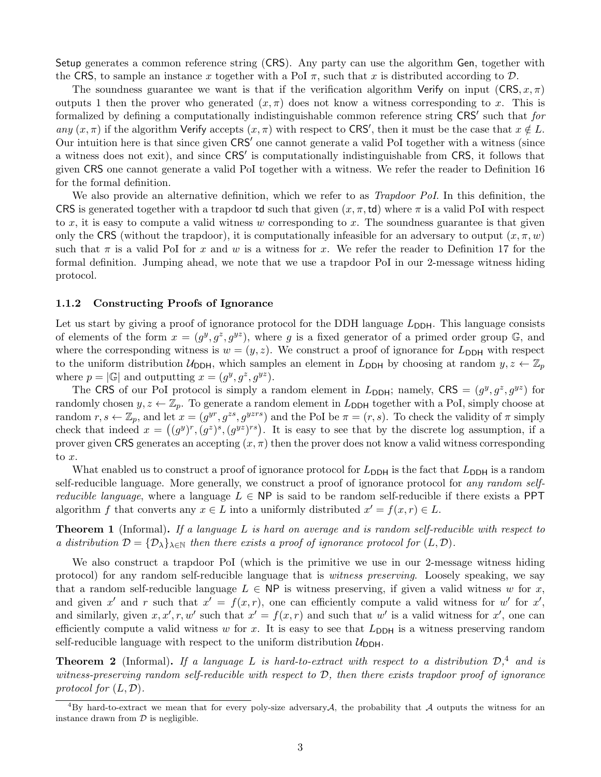Setup generates a common reference string (CRS). Any party can use the algorithm Gen, together with the CRS, to sample an instance x together with a PoI  $\pi$ , such that x is distributed according to  $\mathcal{D}$ .

The soundness guarantee we want is that if the verification algorithm Verify on input  $(CRS, x, \pi)$ outputs 1 then the prover who generated  $(x, \pi)$  does not know a witness corresponding to x. This is formalized by defining a computationally indistinguishable common reference string CRS' such that for any  $(x, \pi)$  if the algorithm Verify accepts  $(x, \pi)$  with respect to CRS', then it must be the case that  $x \notin L$ . Our intuition here is that since given  $CRS'$  one cannot generate a valid PoI together with a witness (since a witness does not exit), and since CRS' is computationally indistinguishable from CRS, it follows that given CRS one cannot generate a valid PoI together with a witness. We refer the reader to Definition 16 for the formal definition.

We also provide an alternative definition, which we refer to as *Trapdoor PoI*. In this definition, the CRS is generated together with a trapdoor td such that given  $(x, \pi, \text{td})$  where  $\pi$  is a valid PoI with respect to x, it is easy to compute a valid witness w corresponding to x. The soundness guarantee is that given only the CRS (without the trapdoor), it is computationally infeasible for an adversary to output  $(x, \pi, w)$ such that  $\pi$  is a valid PoI for x and w is a witness for x. We refer the reader to Definition 17 for the formal definition. Jumping ahead, we note that we use a trapdoor PoI in our 2-message witness hiding protocol.

#### 1.1.2 Constructing Proofs of Ignorance

Let us start by giving a proof of ignorance protocol for the DDH language  $L_{\text{DDH}}$ . This language consists of elements of the form  $x = (g^y, g^z, g^{yz})$ , where g is a fixed generator of a primed order group G, and where the corresponding witness is  $w = (y, z)$ . We construct a proof of ignorance for  $L_{\text{DDH}}$  with respect to the uniform distribution  $U_{\text{DDH}}$ , which samples an element in  $L_{\text{DDH}}$  by choosing at random  $y, z \leftarrow \mathbb{Z}_p$ where  $p = |\mathbb{G}|$  and outputting  $x = (g^y, g^z, g^{yz})$ .

The CRS of our PoI protocol is simply a random element in  $L_{DDH}$ ; namely, CRS =  $(g^y, g^z, g^{yz})$  for randomly chosen  $y, z \leftarrow \mathbb{Z}_p$ . To generate a random element in  $L_{\text{DDH}}$  together with a PoI, simply choose at random  $r, s \leftarrow \mathbb{Z}_p$ , and let  $x = (g^{yr}, g^{zs}, g^{yzrs})$  and the PoI be  $\pi = (r, s)$ . To check the validity of  $\pi$  simply check that indeed  $x = ((g^y)^r, (g^z)^s, (g^{yz})^{rs})$ . It is easy to see that by the discrete log assumption, if a prover given CRS generates an accepting  $(x, \pi)$  then the prover does not know a valid witness corresponding to x.

What enabled us to construct a proof of ignorance protocol for  $L_{\text{DDH}}$  is the fact that  $L_{\text{DDH}}$  is a random self-reducible language. More generally, we construct a proof of ignorance protocol for any random self*reducible language*, where a language  $L \in \mathsf{NP}$  is said to be random self-reducible if there exists a PPT algorithm f that converts any  $x \in L$  into a uniformly distributed  $x' = f(x, r) \in L$ .

**Theorem 1** (Informal). If a language  $L$  is hard on average and is random self-reducible with respect to a distribution  $\mathcal{D} = {\mathcal{D}_\lambda}_{\lambda \in \mathbb{N}}$  then there exists a proof of ignorance protocol for  $(L, \mathcal{D})$ .

We also construct a trapdoor PoI (which is the primitive we use in our 2-message witness hiding protocol) for any random self-reducible language that is witness preserving. Loosely speaking, we say that a random self-reducible language  $L \in \mathsf{NP}$  is witness preserving, if given a valid witness w for x, and given x' and r such that  $x' = f(x, r)$ , one can efficiently compute a valid witness for w' for x', and similarly, given  $x, x', r, w'$  such that  $x' = f(x, r)$  and such that w' is a valid witness for x', one can efficiently compute a valid witness w for x. It is easy to see that  $L_{\text{DDH}}$  is a witness preserving random self-reducible language with respect to the uniform distribution  $U_{DDH}$ .

**Theorem 2** (Informal). If a language L is hard-to-extract with respect to a distribution  $\mathcal{D}$ ,<sup>4</sup> and is witness-preserving random self-reducible with respect to  $D$ , then there exists trapdoor proof of ignorance protocol for  $(L, \mathcal{D})$ .

<sup>&</sup>lt;sup>4</sup>By hard-to-extract we mean that for every poly-size adversary A, the probability that A outputs the witness for an instance drawn from  $D$  is negligible.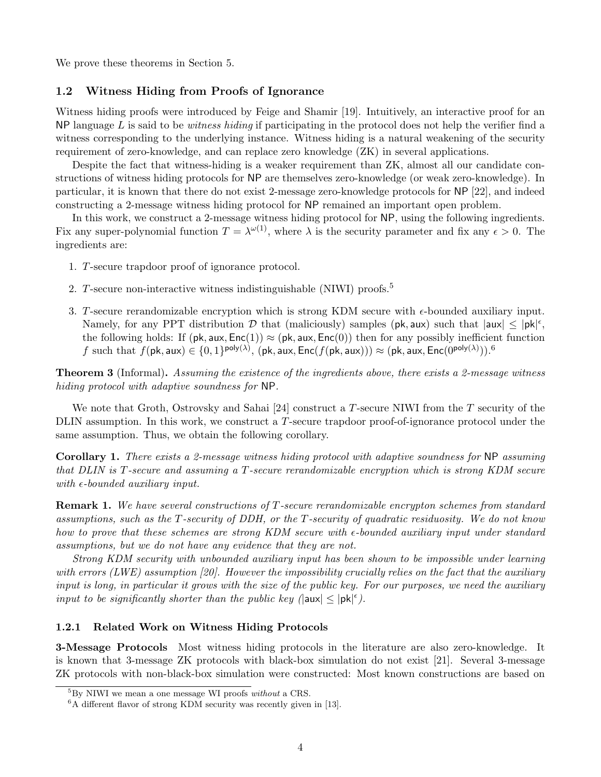We prove these theorems in Section 5.

# 1.2 Witness Hiding from Proofs of Ignorance

Witness hiding proofs were introduced by Feige and Shamir [19]. Intuitively, an interactive proof for an NP language  $L$  is said to be *witness hiding* if participating in the protocol does not help the verifier find a witness corresponding to the underlying instance. Witness hiding is a natural weakening of the security requirement of zero-knowledge, and can replace zero knowledge (ZK) in several applications.

Despite the fact that witness-hiding is a weaker requirement than ZK, almost all our candidate constructions of witness hiding protocols for NP are themselves zero-knowledge (or weak zero-knowledge). In particular, it is known that there do not exist 2-message zero-knowledge protocols for NP [22], and indeed constructing a 2-message witness hiding protocol for NP remained an important open problem.

In this work, we construct a 2-message witness hiding protocol for NP, using the following ingredients. Fix any super-polynomial function  $T = \lambda^{\omega(1)}$ , where  $\lambda$  is the security parameter and fix any  $\epsilon > 0$ . The ingredients are:

- 1. T-secure trapdoor proof of ignorance protocol.
- 2. T-secure non-interactive witness indistinguishable (NIWI) proofs.<sup>5</sup>
- 3. T-secure rerandomizable encryption which is strong KDM secure with  $\epsilon$ -bounded auxiliary input. Namely, for any PPT distribution  $D$  that (maliciously) samples (pk, aux) such that  $|aux| \le |pk|^{\epsilon}$ , the following holds: If  $(\mathsf{pk}, \mathsf{aux}, \mathsf{Enc}(1)) \approx (\mathsf{pk}, \mathsf{aux}, \mathsf{Enc}(0))$  then for any possibly inefficient function  $f$  such that  $f(\mathsf{pk},\mathsf{aux}) \in \{0,1\}^{\mathsf{poly}(\lambda)},\, (\mathsf{pk},\mathsf{aux},\mathsf{Enc}(f(\mathsf{pk},\mathsf{aux}))) \approx (\mathsf{pk},\mathsf{aux},\mathsf{Enc}(0^{\mathsf{poly}(\lambda)})).^6$

**Theorem 3** (Informal). Assuming the existence of the ingredients above, there exists a 2-message witness hiding protocol with adaptive soundness for NP.

We note that Groth, Ostrovsky and Sahai [24] construct a T-secure NIWI from the T security of the DLIN assumption. In this work, we construct a T-secure trapdoor proof-of-ignorance protocol under the same assumption. Thus, we obtain the following corollary.

Corollary 1. There exists a 2-message witness hiding protocol with adaptive soundness for NP assuming that DLIN is T-secure and assuming a T-secure rerandomizable encryption which is strong KDM secure with  $\epsilon$ -bounded auxiliary input.

Remark 1. We have several constructions of T-secure rerandomizable encrypton schemes from standard assumptions, such as the T-security of DDH, or the T-security of quadratic residuosity. We do not know how to prove that these schemes are strong KDM secure with  $\epsilon$ -bounded auxiliary input under standard assumptions, but we do not have any evidence that they are not.

Strong KDM security with unbounded auxiliary input has been shown to be impossible under learning with errors (LWE) assumption [20]. However the impossibility crucially relies on the fact that the auxiliary input is long, in particular it grows with the size of the public key. For our purposes, we need the auxiliary input to be significantly shorter than the public key ( $|\textsf{aux}| \leq |\textsf{pk}|^{\epsilon}$ ).

#### 1.2.1 Related Work on Witness Hiding Protocols

3-Message Protocols Most witness hiding protocols in the literature are also zero-knowledge. It is known that 3-message ZK protocols with black-box simulation do not exist [21]. Several 3-message ZK protocols with non-black-box simulation were constructed: Most known constructions are based on

 ${}^{5}$ By NIWI we mean a one message WI proofs *without* a CRS.

 ${}^{6}$ A different flavor of strong KDM security was recently given in [13].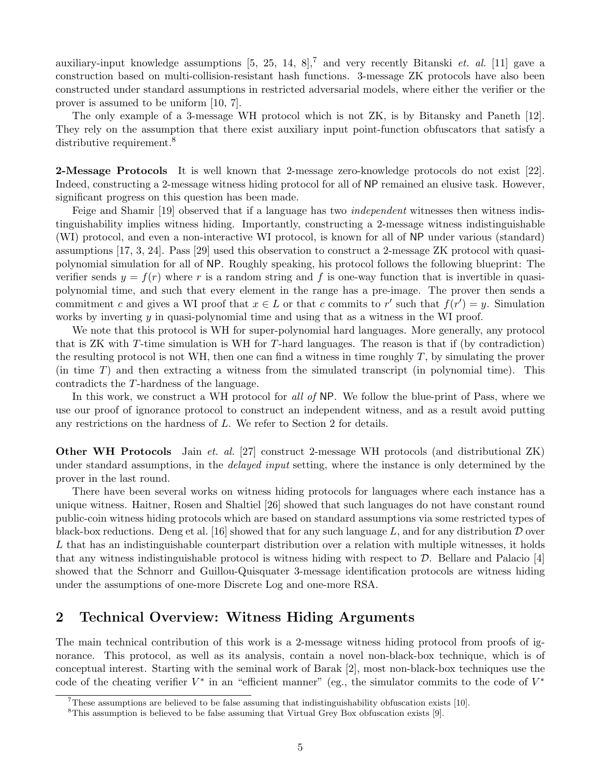auxiliary-input knowledge assumptions  $[5, 25, 14, 8]$ ,<sup>7</sup> and very recently Bitanski *et. al.* [11] gave a construction based on multi-collision-resistant hash functions. 3-message ZK protocols have also been constructed under standard assumptions in restricted adversarial models, where either the verifier or the prover is assumed to be uniform [10, 7].

The only example of a 3-message WH protocol which is not ZK, is by Bitansky and Paneth [12]. They rely on the assumption that there exist auxiliary input point-function obfuscators that satisfy a distributive requirement.<sup>8</sup>

2-Message Protocols It is well known that 2-message zero-knowledge protocols do not exist [22]. Indeed, constructing a 2-message witness hiding protocol for all of NP remained an elusive task. However, significant progress on this question has been made.

Feige and Shamir [19] observed that if a language has two *independent* witnesses then witness indistinguishability implies witness hiding. Importantly, constructing a 2-message witness indistinguishable (WI) protocol, and even a non-interactive WI protocol, is known for all of NP under various (standard) assumptions [17, 3, 24]. Pass [29] used this observation to construct a 2-message ZK protocol with quasipolynomial simulation for all of NP. Roughly speaking, his protocol follows the following blueprint: The verifier sends  $y = f(r)$  where r is a random string and f is one-way function that is invertible in quasipolynomial time, and such that every element in the range has a pre-image. The prover then sends a commitment c and gives a WI proof that  $x \in L$  or that c commits to r' such that  $f(r') = y$ . Simulation works by inverting  $y$  in quasi-polynomial time and using that as a witness in the WI proof.

We note that this protocol is WH for super-polynomial hard languages. More generally, any protocol that is ZK with T-time simulation is WH for T-hard languages. The reason is that if (by contradiction) the resulting protocol is not WH, then one can find a witness in time roughly  $T$ , by simulating the prover (in time T) and then extracting a witness from the simulated transcript (in polynomial time). This contradicts the T-hardness of the language.

In this work, we construct a WH protocol for all of NP. We follow the blue-print of Pass, where we use our proof of ignorance protocol to construct an independent witness, and as a result avoid putting any restrictions on the hardness of L. We refer to Section 2 for details.

Other WH Protocols Jain et. al. [27] construct 2-message WH protocols (and distributional ZK) under standard assumptions, in the *delayed input* setting, where the instance is only determined by the prover in the last round.

There have been several works on witness hiding protocols for languages where each instance has a unique witness. Haitner, Rosen and Shaltiel [26] showed that such languages do not have constant round public-coin witness hiding protocols which are based on standard assumptions via some restricted types of black-box reductions. Deng et al. [16] showed that for any such language L, and for any distribution  $\mathcal D$  over L that has an indistinguishable counterpart distribution over a relation with multiple witnesses, it holds that any witness indistinguishable protocol is witness hiding with respect to  $\mathcal{D}$ . Bellare and Palacio [4] showed that the Schnorr and Guillou-Quisquater 3-message identification protocols are witness hiding under the assumptions of one-more Discrete Log and one-more RSA.

# 2 Technical Overview: Witness Hiding Arguments

The main technical contribution of this work is a 2-message witness hiding protocol from proofs of ignorance. This protocol, as well as its analysis, contain a novel non-black-box technique, which is of conceptual interest. Starting with the seminal work of Barak [2], most non-black-box techniques use the code of the cheating verifier  $V^*$  in an "efficient manner" (eg., the simulator commits to the code of  $V^*$ 

<sup>7</sup>These assumptions are believed to be false assuming that indistinguishability obfuscation exists [10].

 ${}^8$ This assumption is believed to be false assuming that Virtual Grey Box obfuscation exists [9].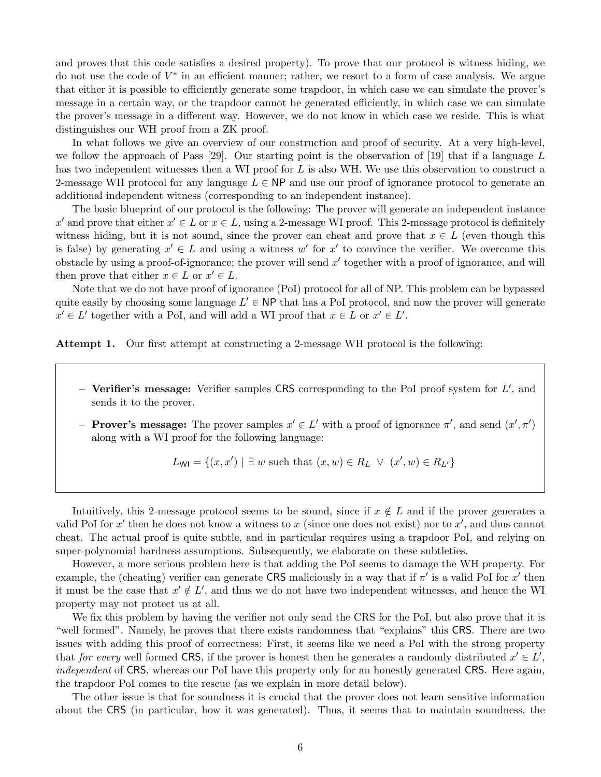and proves that this code satisfies a desired property). To prove that our protocol is witness hiding, we do not use the code of  $V^*$  in an efficient manner; rather, we resort to a form of case analysis. We argue that either it is possible to efficiently generate some trapdoor, in which case we can simulate the prover's message in a certain way, or the trapdoor cannot be generated efficiently, in which case we can simulate the prover's message in a different way. However, we do not know in which case we reside. This is what distinguishes our WH proof from a ZK proof.

In what follows we give an overview of our construction and proof of security. At a very high-level, we follow the approach of Pass  $[29]$ . Our starting point is the observation of  $[19]$  that if a language L has two independent witnesses then a WI proof for L is also WH. We use this observation to construct a 2-message WH protocol for any language  $L \in \mathsf{NP}$  and use our proof of ignorance protocol to generate an additional independent witness (corresponding to an independent instance).

The basic blueprint of our protocol is the following: The prover will generate an independent instance x' and prove that either  $x' \in L$  or  $x \in L$ , using a 2-message WI proof. This 2-message protocol is definitely witness hiding, but it is not sound, since the prover can cheat and prove that  $x \in L$  (even though this is false) by generating  $x' \in L$  and using a witness w' for  $x'$  to convince the verifier. We overcome this obstacle by using a proof-of-ignorance; the prover will send  $x'$  together with a proof of ignorance, and will then prove that either  $x \in L$  or  $x' \in L$ .

Note that we do not have proof of ignorance (PoI) protocol for all of NP. This problem can be bypassed quite easily by choosing some language  $L' \in \mathsf{NP}$  that has a PoI protocol, and now the prover will generate  $x' \in L'$  together with a PoI, and will add a WI proof that  $x \in L$  or  $x' \in L'.$ 

Attempt 1. Our first attempt at constructing a 2-message WH protocol is the following:

- $-$  Verifier's message: Verifier samples CRS corresponding to the PoI proof system for  $L'$ , and sends it to the prover.
- − **Prover's message:** The prover samples  $x' \in L'$  with a proof of ignorance π', and send  $(x', π')$ along with a WI proof for the following language:

$$
L_{\text{WI}} = \{(x, x') \mid \exists w \text{ such that } (x, w) \in R_L \lor (x', w) \in R_{L'}\}
$$

Intuitively, this 2-message protocol seems to be sound, since if  $x \notin L$  and if the prover generates a valid PoI for  $x'$  then he does not know a witness to  $x$  (since one does not exist) nor to  $x'$ , and thus cannot cheat. The actual proof is quite subtle, and in particular requires using a trapdoor PoI, and relying on super-polynomial hardness assumptions. Subsequently, we elaborate on these subtleties.

However, a more serious problem here is that adding the PoI seems to damage the WH property. For example, the (cheating) verifier can generate CRS maliciously in a way that if  $\pi'$  is a valid PoI for  $x'$  then it must be the case that  $x' \notin L'$ , and thus we do not have two independent witnesses, and hence the WI property may not protect us at all.

We fix this problem by having the verifier not only send the CRS for the PoI, but also prove that it is "well formed". Namely, he proves that there exists randomness that "explains" this CRS. There are two issues with adding this proof of correctness: First, it seems like we need a PoI with the strong property that for every well formed CRS, if the prover is honest then he generates a randomly distributed  $x' \in L'$ , independent of CRS, whereas our PoI have this property only for an honestly generated CRS. Here again, the trapdoor PoI comes to the rescue (as we explain in more detail below).

The other issue is that for soundness it is crucial that the prover does not learn sensitive information about the CRS (in particular, how it was generated). Thus, it seems that to maintain soundness, the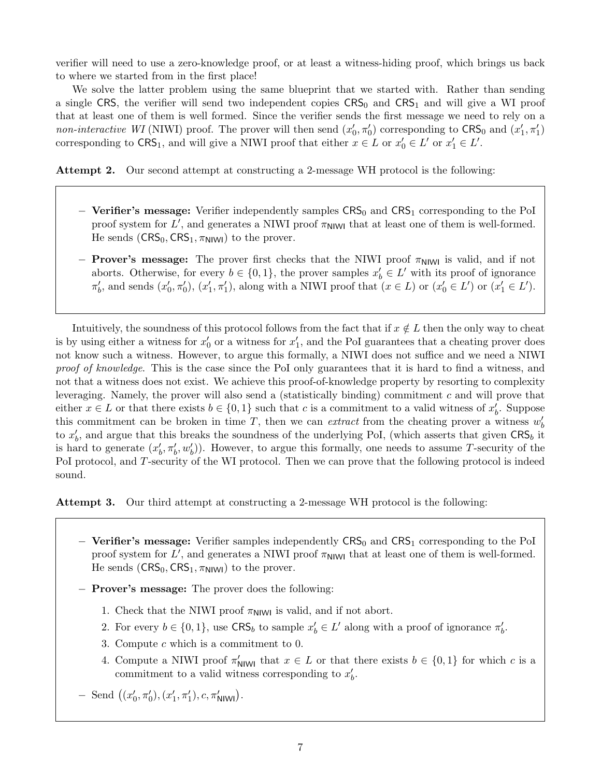verifier will need to use a zero-knowledge proof, or at least a witness-hiding proof, which brings us back to where we started from in the first place!

We solve the latter problem using the same blueprint that we started with. Rather than sending a single CRS, the verifier will send two independent copies  $CRS_0$  and  $CRS_1$  and will give a WI proof that at least one of them is well formed. Since the verifier sends the first message we need to rely on a non-interactive WI (NIWI) proof. The prover will then send  $(x'_0, \pi'_0)$  corresponding to  $CRS_0$  and  $(x'_1, \pi'_1)$ corresponding to  $CRS_1$ , and will give a NIWI proof that either  $x \in L$  or  $x'_0 \in L'$  or  $x'_1 \in L'$ .

Attempt 2. Our second attempt at constructing a 2-message WH protocol is the following:

- − Verifier's message: Verifier independently samples CRS<sub>0</sub> and CRS<sub>1</sub> corresponding to the PoI proof system for  $L'$ , and generates a NIWI proof  $\pi_{\text{NIW}}$  that at least one of them is well-formed. He sends  $(CRS_0, CRS_1, \pi_{N1W1})$  to the prover.
- $-$  Prover's message: The prover first checks that the NIWI proof  $\pi$ <sub>NIWI</sub> is valid, and if not aborts. Otherwise, for every  $b \in \{0,1\}$ , the prover samples  $x'_b \in L'$  with its proof of ignorance  $\pi'_b$ , and sends  $(x'_0, \pi'_0)$ ,  $(x'_1, \pi'_1)$ , along with a NIWI proof that  $(x \in L)$  or  $(x'_0 \in L')$  or  $(x'_1 \in L')$ .

Intuitively, the soundness of this protocol follows from the fact that if  $x \notin L$  then the only way to cheat is by using either a witness for  $x'_0$  or a witness for  $x'_1$ , and the PoI guarantees that a cheating prover does not know such a witness. However, to argue this formally, a NIWI does not suffice and we need a NIWI proof of knowledge. This is the case since the PoI only guarantees that it is hard to find a witness, and not that a witness does not exist. We achieve this proof-of-knowledge property by resorting to complexity leveraging. Namely, the prover will also send a (statistically binding) commitment  $c$  and will prove that either  $x \in L$  or that there exists  $b \in \{0,1\}$  such that c is a commitment to a valid witness of  $x'_b$ . Suppose this commitment can be broken in time T, then we can *extract* from the cheating prover a witness  $w'_{b}$ to  $x'_b$ , and argue that this breaks the soundness of the underlying PoI, (which asserts that given  $CRS_b$  it is hard to generate  $(x'_b, \pi'_b, w'_b)$ . However, to argue this formally, one needs to assume T-security of the PoI protocol, and T-security of the WI protocol. Then we can prove that the following protocol is indeed sound.

Attempt 3. Our third attempt at constructing a 2-message WH protocol is the following:

- − Verifier's message: Verifier samples independently CRS<sub>0</sub> and CRS<sub>1</sub> corresponding to the PoI proof system for  $L'$ , and generates a NIWI proof  $\pi_{\text{NIW}}$  that at least one of them is well-formed. He sends  $(CRS_0, CRS_1, \pi_{N1W1})$  to the prover.
- − Prover's message: The prover does the following:
	- 1. Check that the NIWI proof  $\pi_{\text{NIW}}$  is valid, and if not abort.
	- 2. For every  $b \in \{0,1\}$ , use  $CRS_b$  to sample  $x'_b \in L'$  along with a proof of ignorance  $\pi'_b$ .
	- 3. Compute  $c$  which is a commitment to 0.
	- 4. Compute a NIWI proof  $\pi'_{\text{NlWl}}$  that  $x \in L$  or that there exists  $b \in \{0,1\}$  for which c is a commitment to a valid witness corresponding to  $x'_b$ .
- $-$  Send  $((x'_0, \pi'_0), (x'_1, \pi'_1), c, \pi'_{\text{NNW}}).$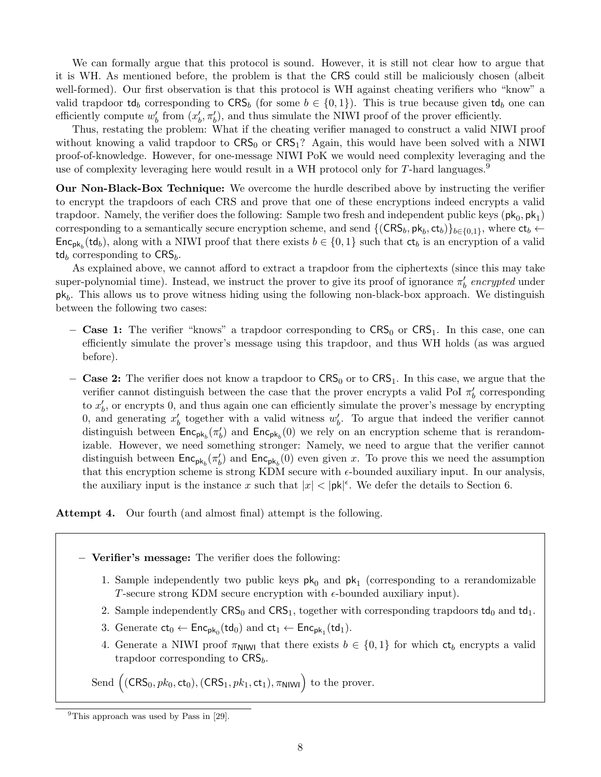We can formally argue that this protocol is sound. However, it is still not clear how to argue that it is WH. As mentioned before, the problem is that the CRS could still be maliciously chosen (albeit well-formed). Our first observation is that this protocol is WH against cheating verifiers who "know" a valid trapdoor td<sub>b</sub> corresponding to  $CRS_b$  (for some  $b \in \{0,1\}$ ). This is true because given td<sub>b</sub> one can efficiently compute  $w'_b$  from  $(x'_b, \pi'_b)$ , and thus simulate the NIWI proof of the prover efficiently.

Thus, restating the problem: What if the cheating verifier managed to construct a valid NIWI proof without knowing a valid trapdoor to  $CRS_0$  or  $CRS_1$ ? Again, this would have been solved with a NIWI proof-of-knowledge. However, for one-message NIWI PoK we would need complexity leveraging and the use of complexity leveraging here would result in a WH protocol only for  $T$ -hard languages.<sup>9</sup>

Our Non-Black-Box Technique: We overcome the hurdle described above by instructing the verifier to encrypt the trapdoors of each CRS and prove that one of these encryptions indeed encrypts a valid trapdoor. Namely, the verifier does the following: Sample two fresh and independent public keys  $(\mathsf{pk}_0, \mathsf{pk}_1)$ corresponding to a semantically secure encryption scheme, and send  $\{(\text{CRS}_b, \text{pk}_b, \text{ct}_b)\}_{b \in \{0,1\}}$ , where  $\text{ct}_b \leftarrow$  $\mathsf{Enc}_{\mathsf{pk}_b}(\mathsf{td}_b)$ , along with a NIWI proof that there exists  $b \in \{0,1\}$  such that  $\mathsf{ct}_b$  is an encryption of a valid  $td_b$  corresponding to  $CRS_b$ .

As explained above, we cannot afford to extract a trapdoor from the ciphertexts (since this may take super-polynomial time). Instead, we instruct the prover to give its proof of ignorance  $\pi'_b$  encrypted under  $pk_b$ . This allows us to prove witness hiding using the following non-black-box approach. We distinguish between the following two cases:

- − Case 1: The verifier "knows" a trapdoor corresponding to  $CRS<sub>0</sub>$  or  $CRS<sub>1</sub>$ . In this case, one can efficiently simulate the prover's message using this trapdoor, and thus WH holds (as was argued before).
- − Case 2: The verifier does not know a trapdoor to  $CRS<sub>0</sub>$  or to  $CRS<sub>1</sub>$ . In this case, we argue that the verifier cannot distinguish between the case that the prover encrypts a valid PoI  $\pi'_b$  corresponding to  $x'_b$ , or encrypts 0, and thus again one can efficiently simulate the prover's message by encrypting 0, and generating  $x'_b$  together with a valid witness  $w'_b$ . To argue that indeed the verifier cannot distinguish between  $\mathsf{Enc}_{\mathsf{pk}_b}(\pi'_b)$  and  $\mathsf{Enc}_{\mathsf{pk}_b}(0)$  we rely on an encryption scheme that is rerandomizable. However, we need something stronger: Namely, we need to argue that the verifier cannot distinguish between  $\mathsf{Enc}_{\mathsf{pk}_b}(\pi'_b)$  and  $\mathsf{Enc}_{\mathsf{pk}_b}(0)$  even given x. To prove this we need the assumption that this encryption scheme is strong KDM secure with  $\epsilon$ -bounded auxiliary input. In our analysis, the auxiliary input is the instance x such that  $|x| < |pk|^{\epsilon}$ . We defer the details to Section 6.

## Attempt 4. Our fourth (and almost final) attempt is the following.

#### − Verifier's message: The verifier does the following:

- 1. Sample independently two public keys  $pk_0$  and  $pk_1$  (corresponding to a rerandomizable T-secure strong KDM secure encryption with  $\epsilon$ -bounded auxiliary input).
- 2. Sample independently  $CRS_0$  and  $CRS_1$ , together with corresponding trapdoors  $td_0$  and  $td_1$ .
- 3. Generate  $ct_0 \leftarrow \mathsf{Enc}_{\mathsf{pk}_0}(\mathsf{td}_0)$  and  $ct_1 \leftarrow \mathsf{Enc}_{\mathsf{pk}_1}(\mathsf{td}_1)$ .
- 4. Generate a NIWI proof  $\pi_{\text{NIW}}$  that there exists  $b \in \{0,1\}$  for which  $\mathsf{ct}_b$  encrypts a valid trapdoor corresponding to  $CRS_b$ .

Send  $((CRS_0, pk_0, ct_0), (CRS_1, pk_1, ct_1), \pi_{\text{NIWI}})$  to the prover.

 $^{9}$ This approach was used by Pass in [29].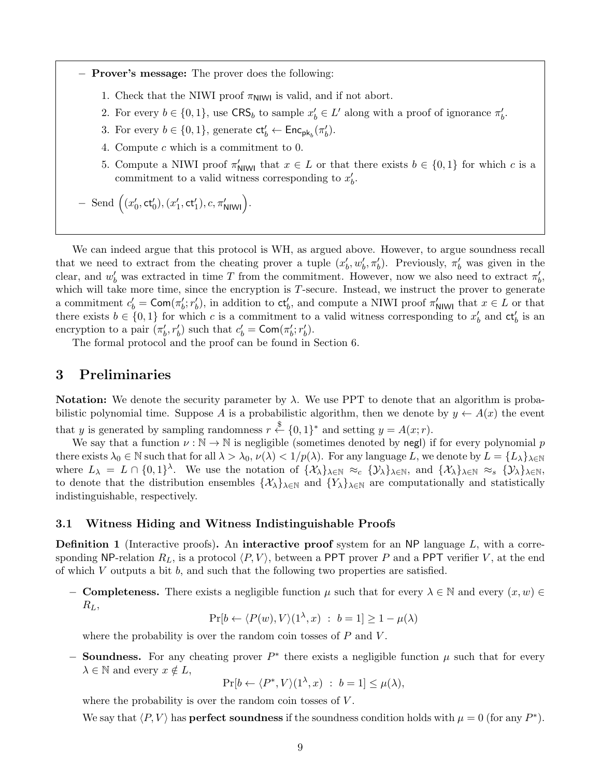− Prover's message: The prover does the following:

- 1. Check that the NIWI proof  $\pi_{\text{NlWl}}$  is valid, and if not abort.
- 2. For every  $b \in \{0,1\}$ , use  $CRS_b$  to sample  $x'_b \in L'$  along with a proof of ignorance  $\pi'_b$ .
- 3. For every  $b \in \{0, 1\}$ , generate  $ct'_b \leftarrow \text{Enc}_{pk_b}(\pi'_b)$ .
- 4. Compute c which is a commitment to 0.
- 5. Compute a NIWI proof  $\pi'_{\text{NIW}}$  that  $x \in L$  or that there exists  $b \in \{0,1\}$  for which c is a commitment to a valid witness corresponding to  $x'_b$ .
- $-$  Send  $((x'_0, ct'_0), (x'_1, ct'_1), c, \pi'_{N1W1})$ .

We can indeed argue that this protocol is WH, as argued above. However, to argue soundness recall that we need to extract from the cheating prover a tuple  $(x'_b, w'_b, \pi'_b)$ . Previously,  $\pi'_b$  was given in the clear, and  $w'_b$  was extracted in time T from the commitment. However, now we also need to extract  $\pi'_b$ , which will take more time, since the encryption is T-secure. Instead, we instruct the prover to generate a commitment  $c'_b = \textsf{Com}(\pi'_b; r'_b)$ , in addition to  $\textsf{ct}'_b$ , and compute a NIWI proof  $\pi'_{\textsf{NIW}}$  that  $x \in L$  or that there exists  $b \in \{0,1\}$  for which c is a commitment to a valid witness corresponding to  $x'_b$  and  $ct'_b$  is an encryption to a pair  $(\pi'_b, r'_b)$  such that  $c'_b = \text{Com}(\pi'_b; r'_b)$ .

The formal protocol and the proof can be found in Section 6.

# 3 Preliminaries

Notation: We denote the security parameter by  $\lambda$ . We use PPT to denote that an algorithm is probabilistic polynomial time. Suppose A is a probabilistic algorithm, then we denote by  $y \leftarrow A(x)$  the event that y is generated by sampling randomness  $r \stackrel{\$}{\leftarrow} \{0,1\}^*$  and setting  $y = A(x; r)$ .

We say that a function  $\nu : \mathbb{N} \to \mathbb{N}$  is negligible (sometimes denoted by negl) if for every polynomial p there exists  $\lambda_0 \in \mathbb{N}$  such that for all  $\lambda > \lambda_0$ ,  $\nu(\lambda) < 1/p(\lambda)$ . For any language L, we denote by  $L = \{L_\lambda\}_{\lambda \in \mathbb{N}}$ where  $L_{\lambda} = L \cap \{0,1\}^{\lambda}$ . We use the notation of  $\{\mathcal{X}_{\lambda}\}_{\lambda \in \mathbb{N}} \approx_{c} \{\mathcal{Y}_{\lambda}\}_{\lambda \in \mathbb{N}}$ , and  $\{\mathcal{X}_{\lambda}\}_{\lambda \in \mathbb{N}} \approx_{s} \{\mathcal{Y}_{\lambda}\}_{\lambda \in \mathbb{N}}$ , to denote that the distribution ensembles  $\{\mathcal{X}_{\lambda}\}_{\lambda\in\mathbb{N}}$  and  $\{Y_{\lambda}\}_{\lambda\in\mathbb{N}}$  are computationally and statistically indistinguishable, respectively.

#### 3.1 Witness Hiding and Witness Indistinguishable Proofs

**Definition 1** (Interactive proofs). An interactive proof system for an NP language  $L$ , with a corresponding NP-relation  $R_L$ , is a protocol  $\langle P, V \rangle$ , between a PPT prover P and a PPT verifier V, at the end of which  $V$  outputs a bit  $b$ , and such that the following two properties are satisfied.

− **Completeness.** There exists a negligible function  $\mu$  such that for every  $\lambda \in \mathbb{N}$  and every  $(x, w) \in$  $R_L$ 

 $\Pr[b \leftarrow \langle P(w), V \rangle (1^{\lambda}, x) : b = 1] \ge 1 - \mu(\lambda)$ 

where the probability is over the random coin tosses of  $P$  and  $V$ .

− **Soundness.** For any cheating prover  $P^*$  there exists a negligible function  $\mu$  such that for every  $\lambda \in \mathbb{N}$  and every  $x \notin L$ ,

$$
\Pr[b \leftarrow \langle P^*, V \rangle(1^{\lambda}, x) : b = 1] \le \mu(\lambda),
$$

where the probability is over the random coin tosses of  $V$ .

We say that  $\langle P, V \rangle$  has **perfect soundness** if the soundness condition holds with  $\mu = 0$  (for any  $P^*$ ).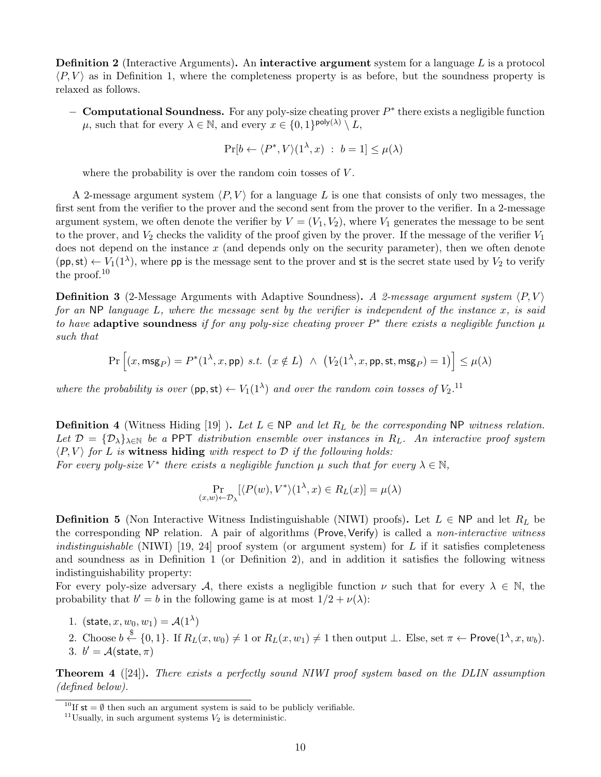**Definition 2** (Interactive Arguments). An interactive argument system for a language  $L$  is a protocol  $\langle P, V \rangle$  as in Definition 1, where the completeness property is as before, but the soundness property is relaxed as follows.

 $-$  Computational Soundness. For any poly-size cheating prover  $P^*$  there exists a negligible function  $\mu$ , such that for every  $\lambda \in \mathbb{N}$ , and every  $x \in \{0,1\}^{\text{poly}(\lambda)} \setminus L$ ,

$$
\Pr[b \leftarrow \langle P^*, V \rangle(1^{\lambda}, x) : b = 1] \le \mu(\lambda)
$$

where the probability is over the random coin tosses of V.

A 2-message argument system  $\langle P, V \rangle$  for a language L is one that consists of only two messages, the first sent from the verifier to the prover and the second sent from the prover to the verifier. In a 2-message argument system, we often denote the verifier by  $V = (V_1, V_2)$ , where  $V_1$  generates the message to be sent to the prover, and  $V_2$  checks the validity of the proof given by the prover. If the message of the verifier  $V_1$ does not depend on the instance  $x$  (and depends only on the security parameter), then we often denote  $(pp, st) \leftarrow V_1(1^{\lambda})$ , where pp is the message sent to the prover and st is the secret state used by  $V_2$  to verify the proof.<sup>10</sup>

**Definition 3** (2-Message Arguments with Adaptive Soundness). A 2-message argument system  $\langle P, V \rangle$ for an NP language L, where the message sent by the verifier is independent of the instance x, is said to have adaptive soundness if for any poly-size cheating prover  $P^*$  there exists a negligible function  $\mu$ such that

$$
\Pr\Big[(x,\text{msg}_P)=P^*(1^\lambda,x,\text{pp})\ s.t.\ \big(x\notin L\big)\ \wedge\ \big(V_2(1^\lambda,x,\text{pp},\text{st},\text{msg}_P)=1\big)\Big]\leq\mu(\lambda)
$$

where the probability is over  $(pp, st) \leftarrow V_1(1^{\lambda})$  and over the random coin tosses of  $V_2$ .<sup>11</sup>

**Definition 4** (Witness Hiding [19] ). Let  $L \in \mathbb{NP}$  and let  $R_L$  be the corresponding NP witness relation. Let  $\mathcal{D} = {\{\mathcal{D}_\lambda\}}_{\lambda \in \mathbb{N}}$  be a PPT distribution ensemble over instances in  $R_L$ . An interactive proof system  $\langle P, V \rangle$  for L is witness hiding with respect to D if the following holds:

For every poly-size  $V^*$  there exists a negligible function  $\mu$  such that for every  $\lambda \in \mathbb{N}$ ,

$$
\Pr_{(x,w)\leftarrow\mathcal{D}_{\lambda}}[\langle P(w),V^*\rangle(1^{\lambda},x)\in R_L(x)]=\mu(\lambda)
$$

**Definition 5** (Non Interactive Witness Indistinguishable (NIWI) proofs). Let  $L \in NP$  and let  $R_L$  be the corresponding NP relation. A pair of algorithms (Prove, Verify) is called a non-interactive witness *indistinguishable* (NIWI) [19, 24] proof system (or argument system) for L if it satisfies completeness and soundness as in Definition 1 (or Definition 2), and in addition it satisfies the following witness indistinguishability property:

For every poly-size adversary A, there exists a negligible function  $\nu$  such that for every  $\lambda \in \mathbb{N}$ , the probability that  $b' = b$  in the following game is at most  $1/2 + \nu(\lambda)$ :

- 1. (state,  $x, w_0, w_1$ ) =  $\mathcal{A}(1^{\lambda})$
- 2. Choose  $b \stackrel{\$}{\leftarrow} \{0,1\}$ . If  $R_L(x, w_0) \neq 1$  or  $R_L(x, w_1) \neq 1$  then output  $\perp$ . Else, set  $\pi \leftarrow \text{Prove}(1^{\lambda}, x, w_b)$ . 3.  $b' = A(\text{state}, \pi)$

**Theorem 4** ([24]). There exists a perfectly sound NIWI proof system based on the DLIN assumption (defined below).

<sup>&</sup>lt;sup>10</sup>If st =  $\emptyset$  then such an argument system is said to be publicly verifiable.

<sup>&</sup>lt;sup>11</sup>Usually, in such argument systems  $V_2$  is deterministic.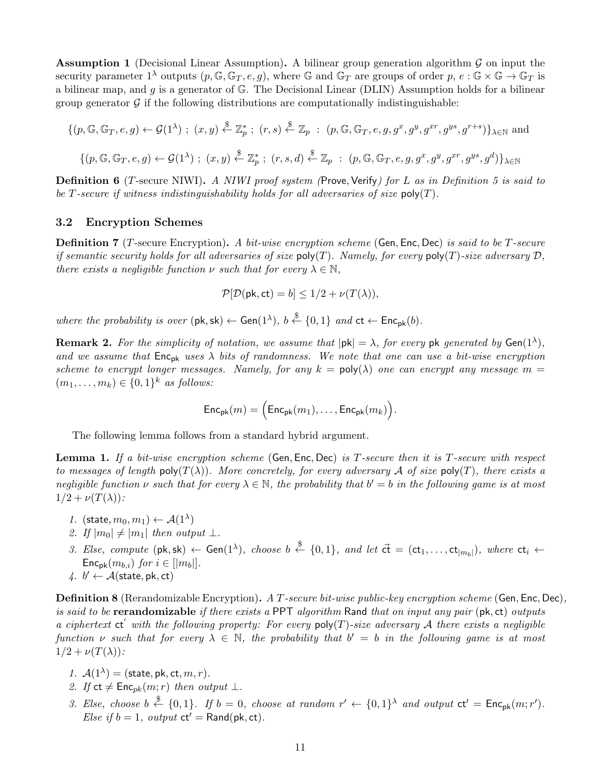**Assumption 1** (Decisional Linear Assumption). A bilinear group generation algorithm  $\mathcal G$  on input the security parameter  $1^{\lambda}$  outputs  $(p, \mathbb{G}, \mathbb{G}_T, e, q)$ , where  $\mathbb{G}$  and  $\mathbb{G}_T$  are groups of order  $p, e : \mathbb{G} \times \mathbb{G} \to \mathbb{G}_T$  is a bilinear map, and g is a generator of  $\mathbb{G}$ . The Decisional Linear (DLIN) Assumption holds for a bilinear group generator  $\mathcal G$  if the following distributions are computationally indistinguishable:

$$
\{(p, \mathbb{G}, \mathbb{G}_T, e, g) \leftarrow \mathcal{G}(1^{\lambda}) \; ; \; (x, y) \stackrel{\$}{\leftarrow} \mathbb{Z}_p^* \; ; \; (r, s) \stackrel{\$}{\leftarrow} \mathbb{Z}_p \; : \; (p, \mathbb{G}, \mathbb{G}_T, e, g, g^x, g^y, g^{xr}, g^{ys}, g^{r+s})\}_{\lambda \in \mathbb{N}} \text{ and}
$$
\n
$$
\{(p, \mathbb{G}, \mathbb{G}_T, e, g) \leftarrow \mathcal{G}(1^{\lambda}) \; ; \; (x, y) \stackrel{\$}{\leftarrow} \mathbb{Z}_p^* \; ; \; (r, s, d) \stackrel{\$}{\leftarrow} \mathbb{Z}_p \; : \; (p, \mathbb{G}, \mathbb{G}_T, e, g, g^x, g^y, g^{xr}, g^{ys}, g^d)\}_{\lambda \in \mathbb{N}}
$$

**Definition 6** (T-secure NIWI). A NIWI proof system (Prove, Verify) for L as in Definition 5 is said to be T-secure if witness indistinguishability holds for all adversaries of size  $\text{poly}(T)$ .

#### 3.2 Encryption Schemes

**Definition 7** (T-secure Encryption). A bit-wise encryption scheme (Gen, Enc, Dec) is said to be T-secure if semantic security holds for all adversaries of size  $poly(T)$ . Namely, for every  $poly(T)$ -size adversary  $D$ , there exists a negligible function  $\nu$  such that for every  $\lambda \in \mathbb{N}$ ,

$$
\mathcal{P}[\mathcal{D}(\mathsf{pk}, \mathsf{ct}) = b] \le 1/2 + \nu(T(\lambda)),
$$

where the probability is over  $(\mathsf{pk}, \mathsf{sk}) \leftarrow \mathsf{Gen}(1^{\lambda}), b \stackrel{\$}{\leftarrow} \{0,1\}$  and  $\mathsf{ct} \leftarrow \mathsf{Enc}_{\mathsf{pk}}(b)$ .

**Remark 2.** For the simplicity of notation, we assume that  $|pk| = \lambda$ , for every pk generated by Gen(1<sup> $\lambda$ </sup>), and we assume that  $Enc_{pk}$  uses  $\lambda$  bits of randomness. We note that one can use a bit-wise encryption scheme to encrypt longer messages. Namely, for any  $k = poly(\lambda)$  one can encrypt any message  $m =$  $(m_1, \ldots, m_k) \in \{0, 1\}^k$  as follows:

$$
\mathsf{Enc}_{\mathsf{pk}}(m) = \Big( \mathsf{Enc}_{\mathsf{pk}}(m_1), \ldots, \mathsf{Enc}_{\mathsf{pk}}(m_k) \Big).
$$

The following lemma follows from a standard hybrid argument.

**Lemma 1.** If a bit-wise encryption scheme (Gen, Enc, Dec) is T-secure then it is T-secure with respect to messages of length poly( $T(\lambda)$ ). More concretely, for every adversary A of size poly(T), there exists a negligible function  $\nu$  such that for every  $\lambda \in \mathbb{N}$ , the probability that  $b' = b$  in the following game is at most  $1/2 + \nu(T(\lambda))$ :

- 1. (state,  $m_0, m_1 \rangle \leftarrow \mathcal{A}(1^{\lambda})$
- 2. If  $|m_0| \neq |m_1|$  then output  $\perp$ .
- 3. Else, compute  $(\mathsf{pk}, \mathsf{sk}) \leftarrow \mathsf{Gen}(1^{\lambda})$ , choose  $b \stackrel{\$}{\leftarrow} \{0,1\}$ , and let  $\vec{\mathsf{ct}} = (\mathsf{ct}_1, \dots, \mathsf{ct}_{|m_b|})$ , where  $\mathsf{ct}_i \leftarrow$  $\mathsf{Enc}_{\mathsf{pk}}(m_{b,i})$  for  $i \in [|m_b|]$ .
- $4. \, b' \leftarrow \mathcal{A}(\text{state}, \text{pk}, \text{ct})$

**Definition 8** (Rerandomizable Encryption). A T-secure bit-wise public-key encryption scheme (Gen, Enc, Dec), is said to be **rerandomizable** if there exists a PPT algorithm Rand that on input any pair  $(\mathsf{pk}, \mathsf{ct})$  outputs a ciphertext  $ct'$  with the following property: For every poly(T)-size adversary A there exists a negligible function v such that for every  $\lambda \in \mathbb{N}$ , the probability that  $b' = b$  in the following game is at most  $1/2 + \nu(T(\lambda))$ :

- 1.  $A(1^{\lambda}) = (\text{state}, \text{pk}, \text{ct}, m, r)$ .
- 2. If  $ct \neq \text{Enc}_{pk}(m; r)$  then output  $\perp$ .
- 3. Else, choose  $b \stackrel{\$}{\leftarrow} \{0,1\}$ . If  $b = 0$ , choose at random  $r' \leftarrow \{0,1\}^{\lambda}$  and output  $ct' = \mathsf{Enc}_{pk}(m; r')$ . Else if  $b = 1$ , output  $ct' = \text{Rand}(pk, ct)$ .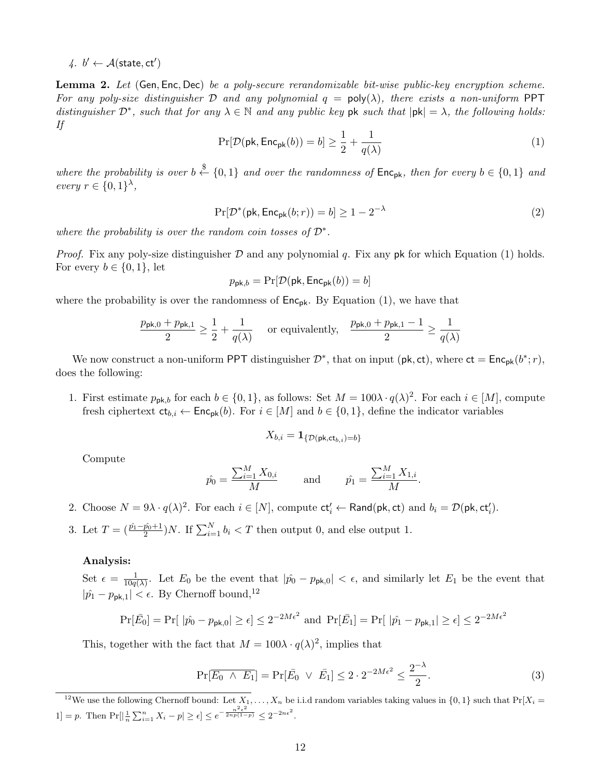4.  $b' \leftarrow A(\text{state}, ct')$ 

Lemma 2. Let (Gen, Enc, Dec) be a poly-secure rerandomizable bit-wise public-key encryption scheme. For any poly-size distinguisher D and any polynomial  $q = poly(\lambda)$ , there exists a non-uniform PPT distinguisher  $\mathcal{D}^*$ , such that for any  $\lambda \in \mathbb{N}$  and any public key pk such that  $|\mathsf{pk}| = \lambda$ , the following holds: If

$$
\Pr[\mathcal{D}(\mathsf{pk}, \mathsf{Enc}_{\mathsf{pk}}(b)) = b] \ge \frac{1}{2} + \frac{1}{q(\lambda)}\tag{1}
$$

where the probability is over  $b \stackrel{\$}{\leftarrow} \{0,1\}$  and over the randomness of  $\mathsf{Enc}_{\mathsf{pk}}$ , then for every  $b \in \{0,1\}$  and every  $r \in \{0,1\}^{\lambda}$ ,

$$
\Pr[\mathcal{D}^*(\mathsf{pk}, \mathsf{Enc}_{\mathsf{pk}}(b; r)) = b] \ge 1 - 2^{-\lambda} \tag{2}
$$

where the probability is over the random coin tosses of  $\mathcal{D}^*$ .

*Proof.* Fix any poly-size distinguisher  $D$  and any polynomial q. Fix any pk for which Equation (1) holds. For every  $b \in \{0, 1\}$ , let

$$
p_{\mathsf{pk},b} = \Pr[\mathcal{D}(\mathsf{pk}, \mathsf{Enc}_{\mathsf{pk}}(b)) = b]
$$

where the probability is over the randomness of  $Enc_{pk}$ . By Equation (1), we have that

$$
\frac{p_{\mathsf{pk},0} + p_{\mathsf{pk},1}}{2} \ge \frac{1}{2} + \frac{1}{q(\lambda)} \quad \text{ or equivalently,} \quad \frac{p_{\mathsf{pk},0} + p_{\mathsf{pk},1} - 1}{2} \ge \frac{1}{q(\lambda)}
$$

We now construct a non-uniform PPT distinguisher  $\mathcal{D}^*$ , that on input (pk, ct), where  $ct = \mathsf{Enc}_{pk}(b^*; r)$ , does the following:

1. First estimate  $p_{\mathsf{pk},b}$  for each  $b \in \{0,1\}$ , as follows: Set  $M = 100\lambda \cdot q(\lambda)^2$ . For each  $i \in [M]$ , compute fresh ciphertext  $ct_{b,i} \leftarrow \text{Enc}_{pk}(b)$ . For  $i \in [M]$  and  $b \in \{0,1\}$ , define the indicator variables

$$
X_{b,i} = \mathbf{1}_{\{\mathcal{D}(\mathsf{pk},\mathsf{ct}_{b,i}) = b\}}
$$

Compute

$$
\hat{p}_0 = \frac{\sum_{i=1}^M X_{0,i}}{M}
$$
 and  $\hat{p}_1 = \frac{\sum_{i=1}^M X_{1,i}}{M}$ .

- 2. Choose  $N = 9\lambda \cdot q(\lambda)^2$ . For each  $i \in [N]$ , compute  $ct'_i \leftarrow \text{Rand}(\text{pk}, \text{ct})$  and  $b_i = \mathcal{D}(\text{pk}, \text{ct}'_i)$ .
- 3. Let  $T = \left(\frac{\hat{p}_1 \hat{p}_0 + 1}{2}\right)N$ . If  $\sum_{i=1}^{N} b_i < T$  then output 0, and else output 1.

#### Analysis:

Set  $\epsilon = \frac{1}{10a}$  $\frac{1}{10q(\lambda)}$ . Let  $E_0$  be the event that  $|\hat{p_0} - p_{\text{pk},0}| < \epsilon$ , and similarly let  $E_1$  be the event that  $|\hat{p_1} - p_{\text{pk},1}| < \epsilon$ . By Chernoff bound,<sup>12</sup>

$$
\Pr[\bar{E_0}] = \Pr[\ |\hat{p_0} - p_{\mathsf{pk},0}| \ge \epsilon] \le 2^{-2M\epsilon^2} \text{ and } \Pr[\bar{E_1}] = \Pr[\ |\hat{p_1} - p_{\mathsf{pk},1}| \ge \epsilon] \le 2^{-2M\epsilon^2}
$$

This, together with the fact that  $M = 100\lambda \cdot q(\lambda)^2$ , implies that

$$
\Pr[\overline{E_0 \wedge E_1}] = \Pr[\overline{E_0} \vee \overline{E_1}] \le 2 \cdot 2^{-2M\epsilon^2} \le \frac{2^{-\lambda}}{2}.\tag{3}
$$

<sup>&</sup>lt;sup>12</sup>We use the following Chernoff bound: Let  $X_1, \ldots, X_n$  be i.i.d random variables taking values in  $\{0,1\}$  such that Pr[ $X_i =$  $1] = p.$  Then  $Pr[|\frac{1}{n}\sum_{i=1}^{n} X_i - p| \geq \epsilon] \leq e^{-\frac{n^2\epsilon^2}{2np(1-p)}} \leq 2^{-2n\epsilon^2}.$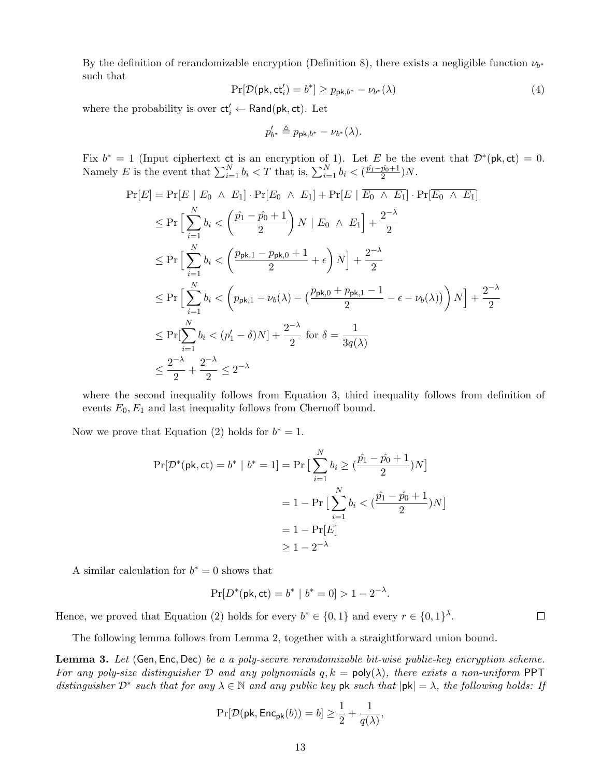By the definition of rerandomizable encryption (Definition 8), there exists a negligible function  $\nu_{b^*}$ such that

$$
\Pr[\mathcal{D}(\mathsf{pk}, \mathsf{ct}'_i) = b^*] \ge p_{\mathsf{pk}, b^*} - \nu_{b^*}(\lambda)
$$
\n<sup>(4)</sup>

where the probability is over  $ct'_{i} \leftarrow \mathsf{Rand}(\mathsf{pk}, \mathsf{ct})$ . Let

$$
p'_{b^*} \triangleq p_{\mathsf{pk},b^*} - \nu_{b^*}(\lambda).
$$

Fix  $b^* = 1$  (Input ciphertext ct is an encryption of 1). Let E be the event that  $\mathcal{D}^*(\mathsf{pk}, \mathsf{ct}) = 0$ . Namely E is the event that  $\sum_{i=1}^{N} b_i < T$  that is,  $\sum_{i=1}^{N} b_i < (\frac{\hat{p}_1 - \hat{p}_0 + 1}{2})$  $\frac{p_0+1}{2}$ )N.

$$
\Pr[E] = \Pr[E \mid E_0 \land E_1] \cdot \Pr[E_0 \land E_1] + \Pr[E \mid \overline{E_0 \land E_1}] \cdot \Pr[\overline{E_0 \land E_1}]
$$
\n
$$
\leq \Pr\Big[\sum_{i=1}^N b_i < \left(\frac{\hat{p_1} - \hat{p_0} + 1}{2}\right) N \mid E_0 \land E_1\right] + \frac{2^{-\lambda}}{2}
$$
\n
$$
\leq \Pr\Big[\sum_{i=1}^N b_i < \left(\frac{p_{\mathsf{pk},1} - p_{\mathsf{pk},0} + 1}{2} + \epsilon\right) N \Big] + \frac{2^{-\lambda}}{2}
$$
\n
$$
\leq \Pr\Big[\sum_{i=1}^N b_i < \left(p_{\mathsf{pk},1} - \nu_b(\lambda) - \left(\frac{p_{\mathsf{pk},0} + p_{\mathsf{pk},1} - 1}{2} - \epsilon - \nu_b(\lambda)\right)\right) N \Big] + \frac{2^{-\lambda}}{2}
$$
\n
$$
\leq \Pr[\sum_{i=1}^N b_i < (p_1' - \delta) N] + \frac{2^{-\lambda}}{2} \text{ for } \delta = \frac{1}{3q(\lambda)}
$$
\n
$$
\leq \frac{2^{-\lambda}}{2} + \frac{2^{-\lambda}}{2} \leq 2^{-\lambda}
$$

where the second inequality follows from Equation 3, third inequality follows from definition of events  $E_0, E_1$  and last inequality follows from Chernoff bound.

Now we prove that Equation (2) holds for  $b^* = 1$ .

$$
\Pr[\mathcal{D}^*(\mathsf{pk}, \mathsf{ct}) = b^* \mid b^* = 1] = \Pr\big[\sum_{i=1}^N b_i \ge \left(\frac{\hat{p_1} - \hat{p_0} + 1}{2}\right)N\big]
$$

$$
= 1 - \Pr\big[\sum_{i=1}^N b_i < \left(\frac{\hat{p_1} - \hat{p_0} + 1}{2}\right)N\big]
$$

$$
= 1 - \Pr[E]
$$

$$
\ge 1 - 2^{-\lambda}
$$

A similar calculation for  $b^* = 0$  shows that

$$
\Pr[D^*(\mathsf{pk}, \mathsf{ct}) = b^* \mid b^* = 0] > 1 - 2^{-\lambda}.
$$

Hence, we proved that Equation (2) holds for every  $b^* \in \{0,1\}$  and every  $r \in \{0,1\}^{\lambda}$ .

The following lemma follows from Lemma 2, together with a straightforward union bound.

Lemma 3. Let (Gen, Enc, Dec) be a a poly-secure rerandomizable bit-wise public-key encryption scheme. For any poly-size distinguisher D and any polynomials  $q, k = \text{poly}(\lambda)$ , there exists a non-uniform PPT distinguisher  $\mathcal{D}^*$  such that for any  $\lambda \in \mathbb{N}$  and any public key pk such that  $|pk| = \lambda$ , the following holds: If

$$
\Pr[\mathcal{D}(\mathsf{pk}, \mathsf{Enc}_{\mathsf{pk}}(b)) = b] \ge \frac{1}{2} + \frac{1}{q(\lambda)},
$$

 $\Box$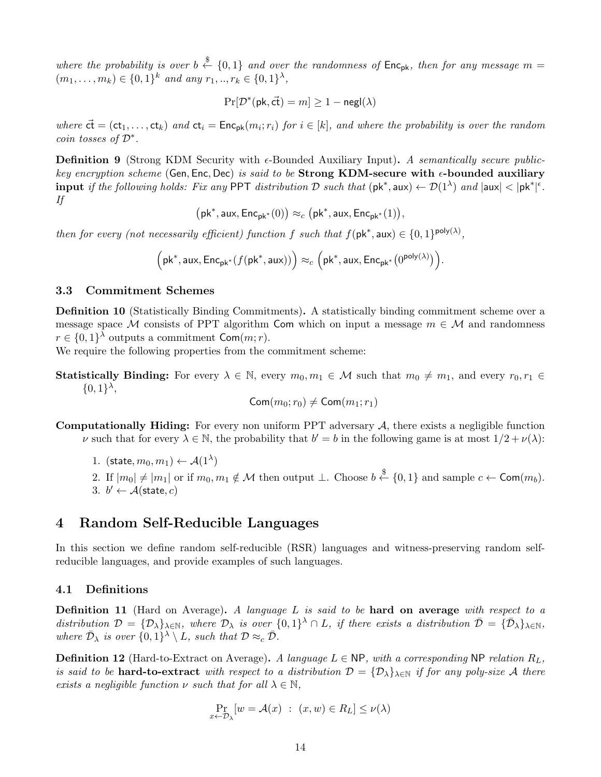where the probability is over  $b \stackrel{\$}{\leftarrow} \{0,1\}$  and over the randomness of Enc<sub>pk</sub>, then for any message m =  $(m_1, \ldots, m_k) \in \{0,1\}^k$  and any  $r_1, \ldots, r_k \in \{0,1\}^{\lambda},$ 

$$
\Pr[\mathcal{D}^*(\mathsf{pk},\vec{\mathsf{ct}})=m] \ge 1-\mathsf{negl}(\lambda)
$$

where  $\vec{ct} = (ct_1, \ldots, ct_k)$  and  $ct_i = \text{Enc}_{pk}(m_i; r_i)$  for  $i \in [k]$ , and where the probability is over the random coin tosses of  $\mathcal{D}^*$ .

**Definition 9** (Strong KDM Security with  $\epsilon$ -Bounded Auxiliary Input). A semantically secure publickey encryption scheme (Gen, Enc, Dec) is said to be Strong KDM-secure with  $\epsilon$ -bounded auxiliary input if the following holds: Fix any PPT distribution D such that  $(\mathsf{pk}^*, \mathsf{aux}) \leftarrow \mathcal{D}(1^{\lambda})$  and  $|\mathsf{aux}| < |\mathsf{pk}^*|^{\epsilon}$ . If

 $\left(\mathsf{pk}^*, \mathsf{aux}, \mathsf{Enc}_{\mathsf{pk}^*}(0)\right) \approx_c \left(\mathsf{pk}^*, \mathsf{aux}, \mathsf{Enc}_{\mathsf{pk}^*}(1)\right),$ 

then for every (not necessarily efficient) function f such that  $f(\mathsf{pk}^*, \mathsf{aux}) \in \{0,1\}^{\mathsf{poly}(\lambda)},$ 

$$
\Big(\mathsf{pk}^*, \mathsf{aux}, \mathsf{Enc}_{\mathsf{pk}^*}(f(\mathsf{pk}^*, \mathsf{aux}))\Big) \approx_c \Big(\mathsf{pk}^*, \mathsf{aux}, \mathsf{Enc}_{\mathsf{pk}^*}\big(0^{\mathsf{poly}(\lambda)}\big)\Big).
$$

# 3.3 Commitment Schemes

Definition 10 (Statistically Binding Commitments). A statistically binding commitment scheme over a message space M consists of PPT algorithm Com which on input a message  $m \in \mathcal{M}$  and randomness  $r \in \{0,1\}^{\lambda}$  outputs a commitment  $\mathsf{Com}(m;r)$ .

We require the following properties from the commitment scheme:

**Statistically Binding:** For every  $\lambda \in \mathbb{N}$ , every  $m_0, m_1 \in \mathcal{M}$  such that  $m_0 \neq m_1$ , and every  $r_0, r_1 \in$  $\{0,1\}^{\lambda},$ 

$$
\mathsf{Com}(m_0;r_0)\neq \mathsf{Com}(m_1;r_1)
$$

**Computationally Hiding:** For every non uniform PPT adversary  $A$ , there exists a negligible function v such that for every  $\lambda \in \mathbb{N}$ , the probability that  $b' = b$  in the following game is at most  $1/2 + \nu(\lambda)$ :

1. (state,  $m_0, m_1 \rangle \leftarrow \mathcal{A}(1^{\lambda})$ 

2. If  $|m_0| \neq |m_1|$  or if  $m_0, m_1 \notin \mathcal{M}$  then output  $\perp$ . Choose  $b \stackrel{\$}{\leftarrow} \{0,1\}$  and sample  $c \leftarrow \mathsf{Com}(m_b)$ . 3.  $b' \leftarrow A(\text{state}, c)$ 

# 4 Random Self-Reducible Languages

In this section we define random self-reducible (RSR) languages and witness-preserving random selfreducible languages, and provide examples of such languages.

## 4.1 Definitions

**Definition 11** (Hard on Average). A language  $L$  is said to be hard on average with respect to a distribution  $\mathcal{D} = {\mathcal{D}_{\lambda}}_{\lambda \in \mathbb{N}}$ , where  $\mathcal{D}_{\lambda}$  is over  ${0,1}^{\lambda} \cap L$ , if there exists a distribution  $\bar{\mathcal{D}} = {\bar{\mathcal{D}}_{\lambda}}_{\lambda \in \mathbb{N}}$ , where  $\bar{\mathcal{D}}_{\lambda}$  is over  $\{0,1\}^{\lambda} \setminus L$ , such that  $\mathcal{D} \approx_c \bar{\mathcal{D}}$ .

**Definition 12** (Hard-to-Extract on Average). A language  $L \in \mathsf{NP}$ , with a corresponding NP relation  $R_L$ , is said to be **hard-to-extract** with respect to a distribution  $\mathcal{D} = {\mathcal{D}_{\lambda}}_{\lambda \in \mathbb{N}}$  if for any poly-size A there exists a negligible function  $\nu$  such that for all  $\lambda \in \mathbb{N}$ ,

$$
\Pr_{x \leftarrow \mathcal{D}_{\lambda}}[w = \mathcal{A}(x) : (x, w) \in R_L] \leq \nu(\lambda)
$$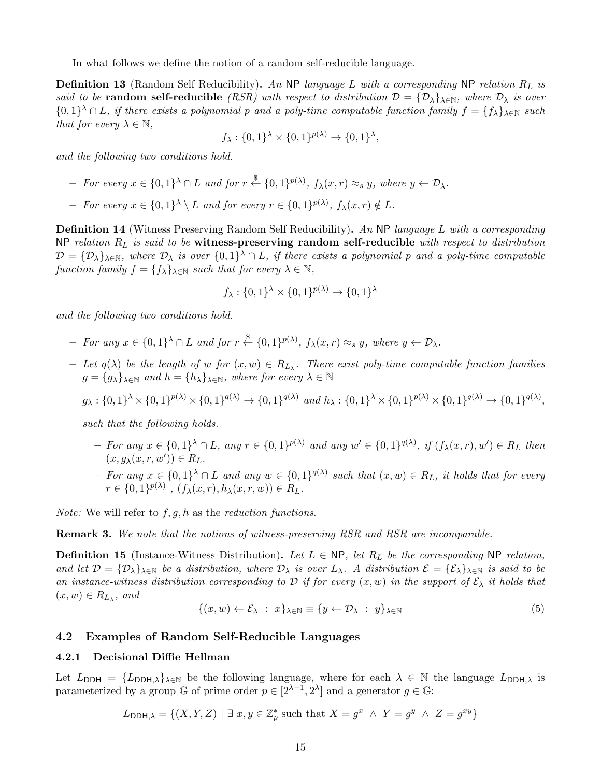In what follows we define the notion of a random self-reducible language.

**Definition 13** (Random Self Reducibility). An NP language L with a corresponding NP relation  $R_L$  is said to be **random self-reducible** (RSR) with respect to distribution  $\mathcal{D} = {\mathcal{D}_{\lambda}}_{\lambda \in \mathbb{N}}$ , where  $\mathcal{D}_{\lambda}$  is over  $\{0,1\}^{\lambda} \cap L$ , if there exists a polynomial p and a poly-time computable function family  $f = \{f_{\lambda}\}_{{\lambda \in \mathbb{N}}}$  such that for every  $\lambda \in \mathbb{N}$ ,

$$
f_{\lambda}: \{0,1\}^{\lambda} \times \{0,1\}^{p(\lambda)} \to \{0,1\}^{\lambda},
$$

and the following two conditions hold.

- $-$  For every  $x \in \{0,1\}^{\lambda} \cap L$  and for  $r \stackrel{\$}{\leftarrow} \{0,1\}^{p(\lambda)}$ ,  $f_{\lambda}(x,r) \approx_s y$ , where  $y \leftarrow D_{\lambda}$ .
- $-$  For every  $x \in \{0,1\}^{\lambda} \setminus L$  and for every  $r \in \{0,1\}^{p(\lambda)}$ ,  $f_{\lambda}(x,r) \notin L$ .

Definition 14 (Witness Preserving Random Self Reducibility). An NP language L with a corresponding NP relation  $R_L$  is said to be witness-preserving random self-reducible with respect to distribution  $\mathcal{D} = {\{\mathcal{D}_{\lambda}\}}_{\lambda \in \mathbb{N}}$ , where  $\mathcal{D}_{\lambda}$  is over  ${0,1\}^{\lambda} \cap L$ , if there exists a polynomial p and a poly-time computable function family  $f = \{f_\lambda\}_{\lambda \in \mathbb{N}}$  such that for every  $\lambda \in \mathbb{N}$ ,

$$
f_{\lambda}: \{0,1\}^{\lambda} \times \{0,1\}^{p(\lambda)} \to \{0,1\}^{\lambda}
$$

and the following two conditions hold.

- $-$  For any  $x \in \{0,1\}^{\lambda} \cap L$  and for  $r \stackrel{\$}{\leftarrow} \{0,1\}^{p(\lambda)}$ ,  $f_{\lambda}(x,r) \approx_s y$ , where  $y \leftarrow D_{\lambda}$ .
- $-$  Let  $q(\lambda)$  be the length of w for  $(x, w) \in R_{L_{\lambda}}$ . There exist poly-time computable function families  $g = \{g_{\lambda}\}_{{\lambda \in \mathbb{N}}}$  and  $h = \{h_{\lambda}\}_{{\lambda \in \mathbb{N}}}$ , where for every  $\lambda \in \mathbb{N}$

$$
g_{\lambda}: \{0,1\}^{\lambda} \times \{0,1\}^{p(\lambda)} \times \{0,1\}^{q(\lambda)} \to \{0,1\}^{q(\lambda)}
$$
 and  $h_{\lambda}: \{0,1\}^{\lambda} \times \{0,1\}^{p(\lambda)} \times \{0,1\}^{q(\lambda)} \to \{0,1\}^{q(\lambda)}$ ,

such that the following holds.

- $-$  For any  $x \in \{0,1\}^{\lambda} \cap L$ , any  $r \in \{0,1\}^{p(\lambda)}$  and any  $w' \in \{0,1\}^{q(\lambda)}$ , if  $(f_{\lambda}(x,r), w') \in R_L$  then  $(x, g_\lambda(x, r, w')) \in R_L.$
- $-$  For any  $x \in \{0,1\}^{\lambda} \cap L$  and any  $w \in \{0,1\}^{q(\lambda)}$  such that  $(x, w) \in R_L$ , it holds that for every  $r \in \{0,1\}^{p(\lambda)}$ ,  $(f_{\lambda}(x,r), h_{\lambda}(x,r,w)) \in R_L$ .

*Note:* We will refer to  $f, g, h$  as the *reduction functions*.

**Remark 3.** We note that the notions of witness-preserving RSR and RSR are incomparable.

**Definition 15** (Instance-Witness Distribution). Let  $L \in \mathsf{NP}$ , let  $R_L$  be the corresponding NP relation, and let  $\mathcal{D} = {\{\mathcal{D}_\lambda\}}_{\lambda \in \mathbb{N}}$  be a distribution, where  $\mathcal{D}_\lambda$  is over  $L_\lambda$ . A distribution  $\mathcal{E} = {\{\mathcal{E}_\lambda\}}_{\lambda \in \mathbb{N}}$  is said to be an instance-witness distribution corresponding to D if for every  $(x, w)$  in the support of  $\mathcal{E}_{\lambda}$  it holds that  $(x, w) \in R_{L_{\lambda}}, \text{ and}$ 

$$
\{(x,w)\leftarrow \mathcal{E}_{\lambda} \; : \; x\}_{\lambda\in\mathbb{N}} \equiv \{y\leftarrow \mathcal{D}_{\lambda} \; : \; y\}_{\lambda\in\mathbb{N}} \tag{5}
$$

#### 4.2 Examples of Random Self-Reducible Languages

## 4.2.1 Decisional Diffie Hellman

Let  $L_{\text{DDH}} = \{L_{\text{DDH},\lambda}\}_{\lambda \in \mathbb{N}}$  be the following language, where for each  $\lambda \in \mathbb{N}$  the language  $L_{\text{DDH},\lambda}$  is parameterized by a group  $\mathbb G$  of prime order  $p \in [2^{\lambda-1}, 2^{\lambda}]$  and a generator  $g \in \mathbb G$ :

$$
L_{\text{DDH},\lambda} = \{(X, Y, Z) \mid \exists x, y \in \mathbb{Z}_p^* \text{ such that } X = g^x \land Y = g^y \land Z = g^{xy}\}
$$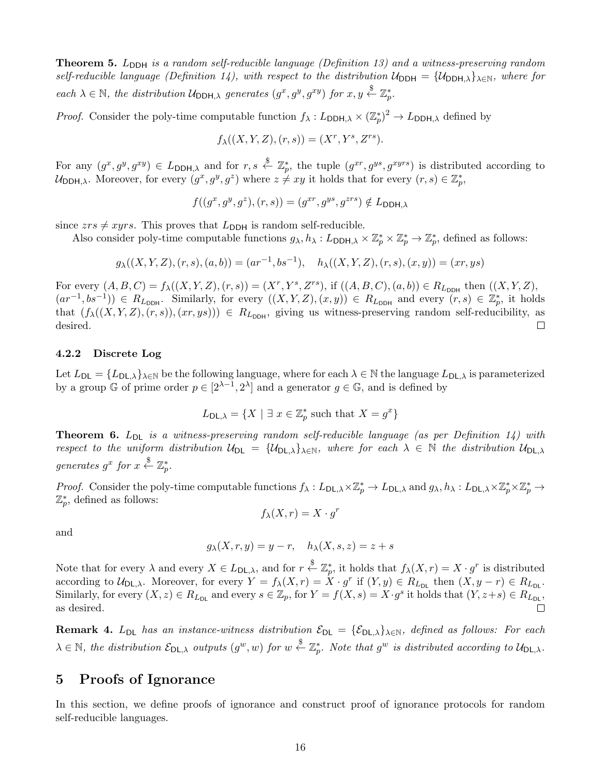**Theorem 5.**  $L_{\text{DDH}}$  is a random self-reducible language (Definition 13) and a witness-preserving random self-reducible language (Definition 14), with respect to the distribution  $U_{DDH} = \{U_{DDH,\lambda}\}_{\lambda \in \mathbb{N}}$ , where for each  $\lambda \in \mathbb{N}$ , the distribution  $\mathcal{U}_{\text{DDH},\lambda}$  generates  $(g^x, g^y, g^{xy})$  for  $x, y \stackrel{\$}{\leftarrow} \mathbb{Z}_p^*$ .

*Proof.* Consider the poly-time computable function  $f_{\lambda}: L_{\text{DDH},\lambda} \times (\mathbb{Z}_p^*)^2 \to L_{\text{DDH},\lambda}$  defined by

$$
f_{\lambda}((X, Y, Z), (r, s)) = (X^r, Y^s, Z^{rs}).
$$

For any  $(g^x, g^y, g^{xy}) \in L_{\text{DDH},\lambda}$  and for  $r, s \stackrel{\$}{\leftarrow} \mathbb{Z}_p^*$ , the tuple  $(g^{xr}, g^{ys}, g^{xyrs})$  is distributed according to  $\mathcal{U}_{\text{DDH},\lambda}$ . Moreover, for every  $(g^x, g^y, g^z)$  where  $z \neq xy$  it holds that for every  $(r, s) \in \mathbb{Z}_p^*$ ,

$$
f((g^x, g^y, g^z), (r, s)) = (g^{xr}, g^{ys}, g^{zrs}) \notin L_{\text{DDH}, \lambda}
$$

since  $zrs \neq xyrs$ . This proves that  $L_{\text{DDH}}$  is random self-reducible.

Also consider poly-time computable functions  $g_{\lambda}, h_{\lambda}: L_{\text{DDH},\lambda} \times \mathbb{Z}_p^* \times \mathbb{Z}_p^* \to \mathbb{Z}_p^*$ , defined as follows:

$$
g_{\lambda}((X,Y,Z),(r,s),(a,b)) = (ar^{-1},bs^{-1}), \quad h_{\lambda}((X,Y,Z),(r,s),(x,y)) = (xr,ys)
$$

For every  $(A, B, C) = f_{\lambda}((X, Y, Z), (r, s)) = (X^r, Y^s, Z^{rs})$ , if  $((A, B, C), (a, b)) \in R_{L_{\text{DDH}}}$  then  $((X, Y, Z),$  $(ar^{-1}, bs^{-1})$   $\in R_{L_{\text{DDH}}}$ . Similarly, for every  $((X, Y, Z), (x, y)) \in R_{L_{\text{DDH}}}$  and every  $(r, s) \in \mathbb{Z}_p^*$ , it holds that  $(f_{\lambda}((X, Y, Z), (r, s)), (xr, ys))) \in R_{L_{\text{DDH}}}$ , giving us witness-preserving random self-reducibility, as desired.  $\Box$ 

#### 4.2.2 Discrete Log

Let  $L_{\text{DL}} = \{L_{\text{DL},\lambda}\}_{\lambda \in \mathbb{N}}$  be the following language, where for each  $\lambda \in \mathbb{N}$  the language  $L_{\text{DL},\lambda}$  is parameterized by a group  $\mathbb{G}$  of prime order  $p \in [2^{\lambda-1}, 2^{\lambda}]$  and a generator  $g \in \mathbb{G}$ , and is defined by

$$
L_{\mathsf{DL},\lambda} = \{ X \mid \exists \ x \in \mathbb{Z}_p^* \text{ such that } X = g^x \}
$$

**Theorem 6.**  $L_{DL}$  is a witness-preserving random self-reducible language (as per Definition 14) with respect to the uniform distribution  $U_{DL} = \{U_{DL,\lambda}\}_{\lambda \in \mathbb{N}}$ , where for each  $\lambda \in \mathbb{N}$  the distribution  $U_{DL,\lambda}$ generates  $g^x$  for  $x \stackrel{\$}{\leftarrow} \mathbb{Z}_p^*.$ 

Proof. Consider the poly-time computable functions  $f_{\lambda}: L_{\mathsf{DL},\lambda} \times \mathbb{Z}_p^* \to L_{\mathsf{DL},\lambda}$  and  $g_{\lambda}, h_{\lambda}: L_{\mathsf{DL},\lambda} \times \mathbb{Z}_p^* \times \mathbb{Z}_p^* \to L_{\mathsf{DL},\lambda}$  $\mathbb{Z}_p^*$ , defined as follows:

 $f_{\lambda}(X,r) = X \cdot g^r$ 

and

$$
g_{\lambda}(X,r,y) = y - r, \quad h_{\lambda}(X,s,z) = z + s
$$

Note that for every  $\lambda$  and every  $X \in L_{\mathsf{DL},\lambda}$ , and for  $r \stackrel{\$}{\leftarrow} \mathbb{Z}_p^*$ , it holds that  $f_\lambda(X,r) = X \cdot g^r$  is distributed according to  $\mathcal{U}_{\mathsf{DL},\lambda}$ . Moreover, for every  $Y = f_{\lambda}(X,r) = \dot{X} \cdot g^r$  if  $(Y, y) \in R_{L_{\mathsf{DL}}}$  then  $(X, y - r) \in R_{L_{\mathsf{DL}}}$ . Similarly, for every  $(X, z) \in R_{L_{\text{DL}}}$  and every  $s \in \mathbb{Z}_p$ , for  $Y = f(X, s) = X \cdot g^s$  it holds that  $(Y, z + s) \in R_{L_{\text{DL}}}$ , as desired.  $\Box$ 

**Remark 4.** L<sub>DL</sub> has an instance-witness distribution  $\mathcal{E}_{DL} = {\mathcal{E}_{DL,\lambda}}_{\lambda \in \mathbb{N}}$ , defined as follows: For each  $\lambda \in \mathbb{N}$ , the distribution  $\mathcal{E}_{\mathsf{DL},\lambda}$  outputs  $(g^w, w)$  for  $w \stackrel{\$}{\leftarrow} \mathbb{Z}_p^*$ . Note that  $g^w$  is distributed according to  $\mathcal{U}_{\mathsf{DL},\lambda}$ .

# 5 Proofs of Ignorance

In this section, we define proofs of ignorance and construct proof of ignorance protocols for random self-reducible languages.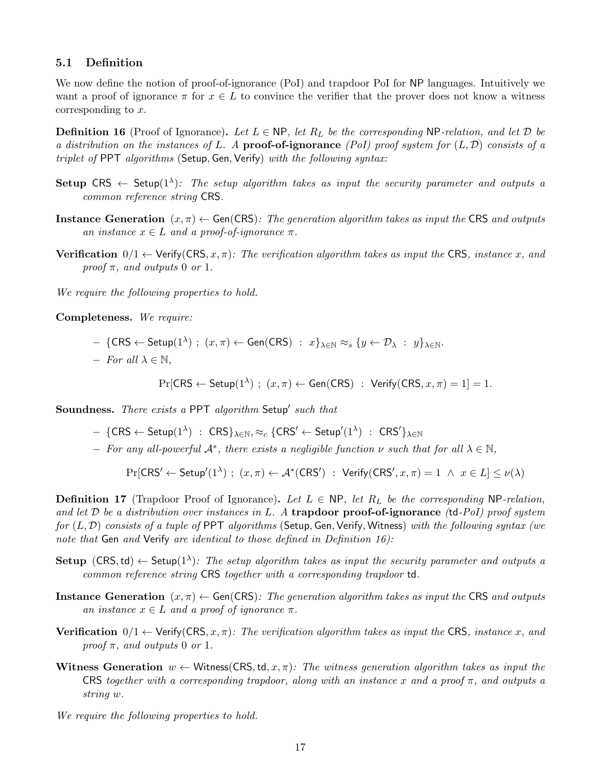## 5.1 Definition

We now define the notion of proof-of-ignorance (PoI) and trapdoor PoI for NP languages. Intuitively we want a proof of ignorance  $\pi$  for  $x \in L$  to convince the verifier that the prover does not know a witness corresponding to x.

**Definition 16** (Proof of Ignorance). Let  $L \in \mathbb{NP}$ , let  $R_L$  be the corresponding NP-relation, and let  $\mathcal D$  be a distribution on the instances of L. A proof-of-ignorance (PoI) proof system for  $(L, \mathcal{D})$  consists of a triplet of PPT algorithms (Setup, Gen, Verify) with the following syntax:

- Setup CRS  $\leftarrow$  Setup(1<sup> $\lambda$ </sup>): The setup algorithm takes as input the security parameter and outputs a common reference string CRS.
- Instance Generation  $(x, \pi) \leftarrow$  Gen(CRS): The generation algorithm takes as input the CRS and outputs an instance  $x \in L$  and a proof-of-ignorance  $\pi$ .
- **Verification**  $0/1 \leftarrow$  Verify(CRS, x,  $\pi$ ): The verification algorithm takes as input the CRS, instance x, and proof  $\pi$ , and outputs 0 or 1.

We require the following properties to hold.

Completeness. We require:

$$
- \{\text{CRS} \leftarrow \text{Setup}(1^{\lambda}) \ ; \ (x,\pi) \leftarrow \text{Gen}(\text{CRS}) \ : \ x \}_{\lambda \in \mathbb{N}} \approx_s \{y \leftarrow \mathcal{D}_{\lambda} \ : \ y \}_{\lambda \in \mathbb{N}}.
$$

 $-$  For all  $\lambda \in \mathbb{N}$ ,

 $Pr[CRS \leftarrow Setup(1^{\lambda})$ ;  $(x, \pi) \leftarrow Gen(CRS)$ :  $Verify(CRS, x, \pi) = 1] = 1$ .

Soundness. There exists a PPT algorithm Setup' such that

 $- \; \{\mathsf{CRS} \leftarrow \mathsf{Setup}(1^\lambda) \; : \; \mathsf{CRS}\}_{\lambda \in \mathbb{N}}, \approx_c \{\mathsf{CRS'} \leftarrow \mathsf{Setup}'(1^\lambda) \; : \; \mathsf{CRS'}\}_{\lambda \in \mathbb{N}}$ 

 $-$  For any all-powerful  $\mathcal{A}^*$ , there exists a negligible function  $\nu$  such that for all  $\lambda \in \mathbb{N}$ ,

 $\Pr[\mathsf{CRS}' \leftarrow \mathsf{Setup}'(1^{\lambda}) \; ; \; (x,\pi) \leftarrow \mathcal{A}^*(\mathsf{CRS}') \; : \; \mathsf{Verify}(\mathsf{CRS}', x, \pi) = 1 \; \wedge \; x \in L] \leq \nu(\lambda)$ 

**Definition 17** (Trapdoor Proof of Ignorance). Let  $L \in \mathsf{NP}$ , let  $R_L$  be the corresponding NP-relation, and let  $\mathcal D$  be a distribution over instances in L. A trapdoor proof-of-ignorance (td-PoI) proof system for  $(L, \mathcal{D})$  consists of a tuple of PPT algorithms (Setup, Gen, Verify, Witness) with the following syntax (we note that Gen and Verify are identical to those defined in Definition 16):

- Setup (CRS, td)  $\leftarrow$  Setup(1<sup> $\lambda$ </sup>): The setup algorithm takes as input the security parameter and outputs a common reference string CRS together with a corresponding trapdoor td.
- Instance Generation  $(x, \pi) \leftarrow$  Gen(CRS): The generation algorithm takes as input the CRS and outputs an instance  $x \in L$  and a proof of ignorance  $\pi$ .
- **Verification**  $0/1 \leftarrow$  Verify(CRS, x,  $\pi$ ): The verification algorithm takes as input the CRS, instance x, and proof  $\pi$ , and outputs 0 or 1.
- Witness Generation  $w \leftarrow$  Witness(CRS, td, x,  $\pi$ ): The witness generation algorithm takes as input the CRS together with a corresponding trapdoor, along with an instance x and a proof  $\pi$ , and outputs a string w.
- We require the following properties to hold.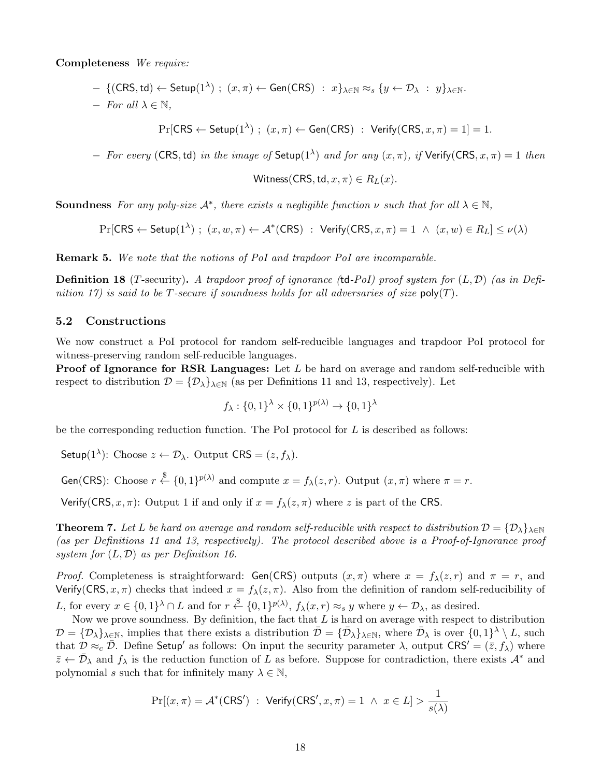Completeness We require:

- $\; \{({\sf CRS},\mathsf{td}) \leftarrow \mathsf{Setup}(1^\lambda) \; ; \; (x,\pi) \leftarrow \mathsf{Gen}({\sf CRS}) \; : \; x\}_{\lambda \in \mathbb{N}} \approx_s \{y \leftarrow \mathcal{D}_\lambda \; : \; y\}_{\lambda \in \mathbb{N}}.$
- $-$  For all  $\lambda \in \mathbb{N}$ ,

 $Pr[CRS \leftarrow Setup(1^{\lambda})$ ;  $(x, \pi) \leftarrow Gen(CRS)$ :  $Verify(CRS, x, \pi) = 1] = 1$ .

 $-$  For every (CRS, td) in the image of Setup(1<sup>λ</sup>) and for any  $(x, π)$ , if Verify(CRS,  $x, π$ ) = 1 then

Witness(CRS, td,  $x, \pi$ )  $\in$   $R_L(x)$ .

**Soundness** For any poly-size  $\mathcal{A}^*$ , there exists a negligible function  $\nu$  such that for all  $\lambda \in \mathbb{N}$ ,

 $\Pr[\mathsf{CRS} \leftarrow \mathsf{Setup}(1^{\lambda}) \ ; \ (x,w,\pi) \leftarrow \mathcal{A}^*(\mathsf{CRS}) \ : \ \mathsf{Verify}(\mathsf{CRS},x,\pi) = 1 \ \land \ (x,w) \in R_L] \leq \nu(\lambda)$ 

Remark 5. We note that the notions of PoI and trapdoor PoI are incomparable.

**Definition 18** (T-security). A trapdoor proof of ignorance (td-PoI) proof system for  $(L, \mathcal{D})$  (as in Definition 17) is said to be T-secure if soundness holds for all adversaries of size  $\text{poly}(T)$ .

### 5.2 Constructions

We now construct a PoI protocol for random self-reducible languages and trapdoor PoI protocol for witness-preserving random self-reducible languages.

**Proof of Ignorance for RSR Languages:** Let  $L$  be hard on average and random self-reducible with respect to distribution  $\mathcal{D} = {\mathcal{D}_{\lambda}}_{\lambda \in \mathbb{N}}$  (as per Definitions 11 and 13, respectively). Let

$$
f_{\lambda}: \{0,1\}^{\lambda} \times \{0,1\}^{p(\lambda)} \to \{0,1\}^{\lambda}
$$

be the corresponding reduction function. The PoI protocol for  $L$  is described as follows:

Setup(1<sup> $\lambda$ </sup>): Choose  $z \leftarrow \mathcal{D}_{\lambda}$ . Output CRS =  $(z, f_{\lambda})$ .

Gen(CRS): Choose  $r \stackrel{\$}{\leftarrow} \{0,1\}^{p(\lambda)}$  and compute  $x = f_{\lambda}(z, r)$ . Output  $(x, \pi)$  where  $\pi = r$ .

Verify(CRS, x,  $\pi$ ): Output 1 if and only if  $x = f_{\lambda}(z, \pi)$  where z is part of the CRS.

**Theorem 7.** Let L be hard on average and random self-reducible with respect to distribution  $\mathcal{D} = {\{\mathcal{D}_\lambda\}}_{\lambda \in \mathbb{N}}$ (as per Definitions 11 and 13, respectively). The protocol described above is a Proof-of-Ignorance proof system for  $(L, \mathcal{D})$  as per Definition 16.

*Proof.* Completeness is straightforward: Gen(CRS) outputs  $(x, \pi)$  where  $x = f_{\lambda}(z, r)$  and  $\pi = r$ , and Verify(CRS,  $x, \pi$ ) checks that indeed  $x = f_{\lambda}(z, \pi)$ . Also from the definition of random self-reducibility of L, for every  $x \in \{0,1\}^{\lambda} \cap L$  and for  $r \stackrel{\$}{\leftarrow} \{0,1\}^{p(\lambda)}, f_{\lambda}(x,r) \approx_{s} y$  where  $y \leftarrow \mathcal{D}_{\lambda}$ , as desired.

Now we prove soundness. By definition, the fact that  $L$  is hard on average with respect to distribution  $\mathcal{D} = {\mathcal{D}_{\lambda}}_{\lambda \in \mathbb{N}},$  implies that there exists a distribution  $\bar{\mathcal{D}} = {\bar{\mathcal{D}}_{\lambda}}_{\lambda \in \mathbb{N}},$  where  $\bar{\mathcal{D}}_{\lambda}$  is over  ${0,1}^{\lambda} \setminus L$ , such that  $\mathcal{D} \approx_c \bar{\mathcal{D}}$ . Define Setup' as follows: On input the security parameter  $\lambda$ , output CRS' =  $(\bar{z}, f_\lambda)$  where  $\bar{z} \leftarrow \bar{\mathcal{D}}_{\lambda}$  and  $f_{\lambda}$  is the reduction function of L as before. Suppose for contradiction, there exists  $\mathcal{A}^*$  and polynomial s such that for infinitely many  $\lambda \in \mathbb{N}$ ,

$$
\Pr[(x,\pi) = \mathcal{A}^*(\mathsf{CRS}') \; : \; \mathsf{Verify}(\mathsf{CRS}', x, \pi) = 1 \; \wedge \; x \in L] > \frac{1}{s(\lambda)}
$$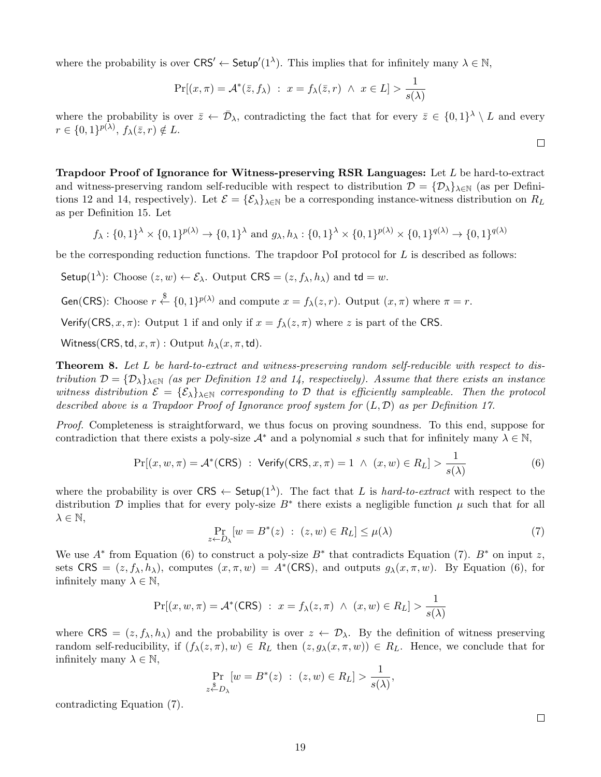where the probability is over  $CRS' \leftarrow Setup'(1^{\lambda})$ . This implies that for infinitely many  $\lambda \in \mathbb{N}$ ,

$$
\Pr[(x,\pi) = \mathcal{A}^*(\bar{z},f_\lambda) : x = f_\lambda(\bar{z},r) \land x \in L] > \frac{1}{s(\lambda)}
$$

where the probability is over  $\bar{z} \leftarrow \bar{\mathcal{D}}_{\lambda}$ , contradicting the fact that for every  $\bar{z} \in \{0,1\}^{\lambda} \setminus L$  and every  $r \in \{0,1\}^{p(\lambda)},\, f_{\lambda}(\bar{z},r) \notin L.$ 

Trapdoor Proof of Ignorance for Witness-preserving RSR Languages: Let L be hard-to-extract and witness-preserving random self-reducible with respect to distribution  $\mathcal{D} = {\mathcal{D}_{\lambda}}_{\lambda\in\mathbb{N}}$  (as per Definitions 12 and 14, respectively). Let  $\mathcal{E} = {\{\mathcal{E}_{\lambda}\}}_{\lambda \in \mathbb{N}}$  be a corresponding instance-witness distribution on  $R_L$ as per Definition 15. Let

$$
f_{\lambda}: \{0,1\}^{\lambda} \times \{0,1\}^{p(\lambda)} \to \{0,1\}^{\lambda} \text{ and } g_{\lambda}, h_{\lambda}: \{0,1\}^{\lambda} \times \{0,1\}^{p(\lambda)} \times \{0,1\}^{q(\lambda)} \to \{0,1\}^{q(\lambda)}
$$

be the corresponding reduction functions. The trapdoor PoI protocol for  $L$  is described as follows:

Setup(1<sup> $\lambda$ </sup>): Choose  $(z, w) \leftarrow \mathcal{E}_{\lambda}$ . Output CRS =  $(z, f_{\lambda}, h_{\lambda})$  and td = w.

Gen(CRS): Choose  $r \stackrel{\$}{\leftarrow} \{0,1\}^{p(\lambda)}$  and compute  $x = f_{\lambda}(z, r)$ . Output  $(x, \pi)$  where  $\pi = r$ .

Verify(CRS, x,  $\pi$ ): Output 1 if and only if  $x = f_{\lambda}(z, \pi)$  where z is part of the CRS.

Witness(CRS, td,  $x, \pi$ ) : Output  $h_{\lambda}(x, \pi, \text{td})$ .

**Theorem 8.** Let L be hard-to-extract and witness-preserving random self-reducible with respect to distribution  $\mathcal{D} = {\{\mathcal{D}_\lambda\}}_{\lambda \in \mathbb{N}}$  (as per Definition 12 and 14, respectively). Assume that there exists an instance witness distribution  $\mathcal{E} = \{\mathcal{E}_{\lambda}\}_{\lambda \in \mathbb{N}}$  corresponding to D that is efficiently sampleable. Then the protocol described above is a Trapdoor Proof of Ignorance proof system for  $(L, \mathcal{D})$  as per Definition 17.

Proof. Completeness is straightforward, we thus focus on proving soundness. To this end, suppose for contradiction that there exists a poly-size  $A^*$  and a polynomial s such that for infinitely many  $\lambda \in \mathbb{N}$ ,

$$
\Pr[(x, w, \pi) = \mathcal{A}^*(CRS) : \text{Verify}(CRS, x, \pi) = 1 \land (x, w) \in R_L] > \frac{1}{s(\lambda)}
$$
(6)

where the probability is over  $CRS \leftarrow Setup(1^{\lambda})$ . The fact that L is hard-to-extract with respect to the distribution D implies that for every poly-size  $B^*$  there exists a negligible function  $\mu$  such that for all  $\lambda \in \mathbb{N},$ 

$$
\Pr_{z \leftarrow D_{\lambda}}[w = B^*(z) : (z, w) \in R_L] \le \mu(\lambda)
$$
\n(7)

We use  $A^*$  from Equation (6) to construct a poly-size  $B^*$  that contradicts Equation (7).  $B^*$  on input z, sets CRS =  $(z, f_\lambda, h_\lambda)$ , computes  $(x, \pi, w) = A^*(CRS)$ , and outputs  $g_\lambda(x, \pi, w)$ . By Equation (6), for infinitely many  $\lambda \in \mathbb{N}$ ,

$$
\Pr[(x, w, \pi) = \mathcal{A}^*(CRS) : x = f_\lambda(z, \pi) \land (x, w) \in R_L] > \frac{1}{s(\lambda)}
$$

where  $CRS = (z, f_\lambda, h_\lambda)$  and the probability is over  $z \leftarrow \mathcal{D}_\lambda$ . By the definition of witness preserving random self-reducibility, if  $(f_\lambda(z,\pi), w) \in R_L$  then  $(z, g_\lambda(x,\pi, w)) \in R_L$ . Hence, we conclude that for infinitely many  $\lambda \in \mathbb{N}$ ,

$$
\Pr_{z \stackrel{\$}{\leftarrow} D_{\lambda}} [w = B^*(z) : (z, w) \in R_L] > \frac{1}{s(\lambda)},
$$

contradicting Equation (7).

 $\Box$ 

 $\Box$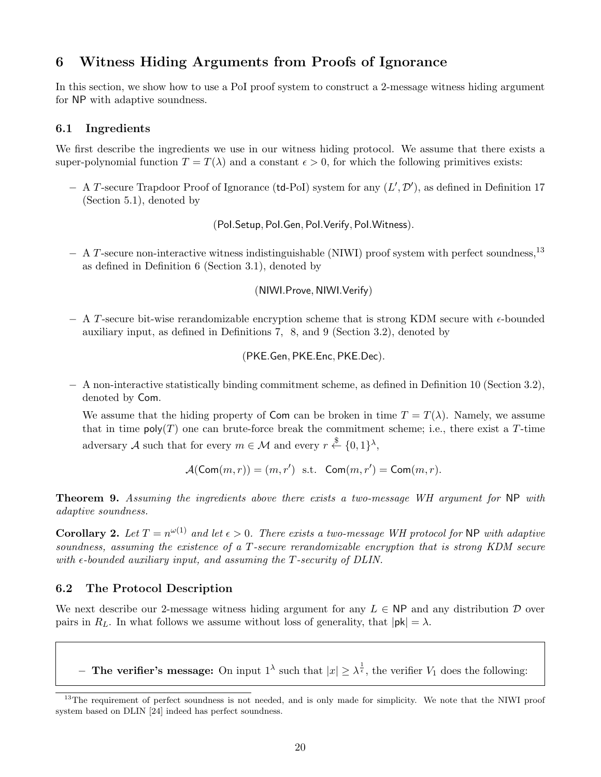# 6 Witness Hiding Arguments from Proofs of Ignorance

In this section, we show how to use a PoI proof system to construct a 2-message witness hiding argument for NP with adaptive soundness.

## 6.1 Ingredients

We first describe the ingredients we use in our witness hiding protocol. We assume that there exists a super-polynomial function  $T = T(\lambda)$  and a constant  $\epsilon > 0$ , for which the following primitives exists:

 $-$  A T-secure Trapdoor Proof of Ignorance (td-PoI) system for any  $(L', \mathcal{D}')$ , as defined in Definition 17 (Section 5.1), denoted by

(PoI.Setup, PoI.Gen, PoI.Verify, PoI.Witness).

− A T-secure non-interactive witness indistinguishable (NIWI) proof system with perfect soundness,<sup>13</sup> as defined in Definition 6 (Section 3.1), denoted by

(NIWI.Prove, NIWI.Verify)

 $- A$  T-secure bit-wise rerandomizable encryption scheme that is strong KDM secure with  $\epsilon$ -bounded auxiliary input, as defined in Definitions 7, 8, and 9 (Section 3.2), denoted by

(PKE.Gen, PKE.Enc, PKE.Dec).

− A non-interactive statistically binding commitment scheme, as defined in Definition 10 (Section 3.2), denoted by Com.

We assume that the hiding property of Com can be broken in time  $T = T(\lambda)$ . Namely, we assume that in time  $\text{poly}(T)$  one can brute-force break the commitment scheme; i.e., there exist a T-time adversary A such that for every  $m \in \mathcal{M}$  and every  $r \stackrel{\$}{\leftarrow} \{0,1\}^{\lambda}$ ,

$$
\mathcal{A}(\mathsf{Com}(m,r)) = (m,r') \text{ s.t. } \mathsf{Com}(m,r') = \mathsf{Com}(m,r).
$$

Theorem 9. Assuming the ingredients above there exists a two-message WH argument for NP with adaptive soundness.

**Corollary 2.** Let  $T = n^{\omega(1)}$  and let  $\epsilon > 0$ . There exists a two-message WH protocol for NP with adaptive soundness, assuming the existence of a T-secure rerandomizable encryption that is strong KDM secure with  $\epsilon$ -bounded auxiliary input, and assuming the T-security of DLIN.

# 6.2 The Protocol Description

We next describe our 2-message witness hiding argument for any  $L \in \mathsf{NP}$  and any distribution  $\mathcal D$  over pairs in  $R_L$ . In what follows we assume without loss of generality, that  $|\mathsf{pk}| = \lambda$ .

**- The verifier's message:** On input  $1^{\lambda}$  such that  $|x| \geq \lambda^{\frac{1}{\epsilon}}$ , the verifier  $V_1$  does the following:

<sup>&</sup>lt;sup>13</sup>The requirement of perfect soundness is not needed, and is only made for simplicity. We note that the NIWI proof system based on DLIN [24] indeed has perfect soundness.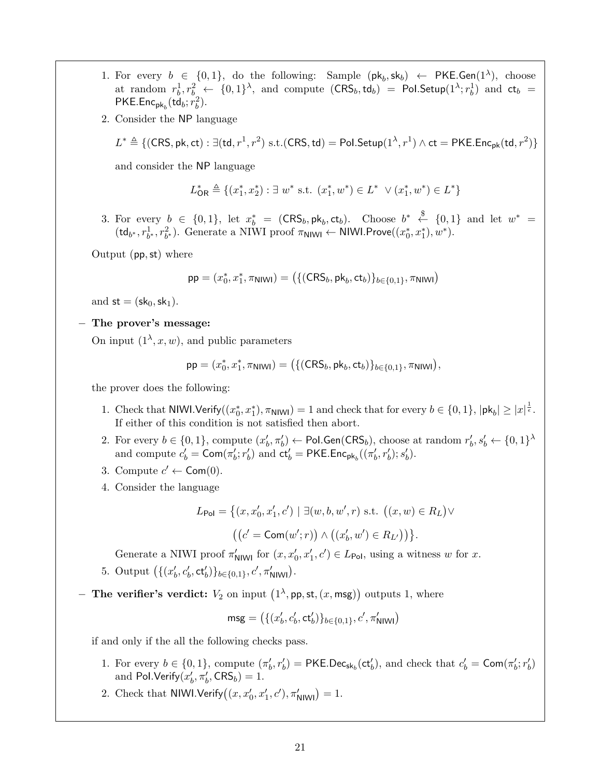- 1. For every  $b \in \{0,1\}$ , do the following: Sample  $(\mathsf{pk}_b, \mathsf{sk}_b) \leftarrow \mathsf{PKE}.\mathsf{Gen}(1^{\lambda})$ , choose at random  $r_b^1, r_b^2 \leftarrow \{0,1\}^{\lambda}$ , and compute  $(\mathsf{CRS}_b, \mathsf{td}_b) = \mathsf{Pol}.\mathsf{Setup}(1^{\lambda}; r_b^1)$  and  $\mathsf{ct}_b =$  $PKE. Enc<sub>pk<sub>b</sub></sub>(td<sub>b</sub>; r<sub>b</sub><sup>2</sup>).$
- 2. Consider the NP language

$$
L^* \triangleq \{(\text{CRS}, \text{pk}, \text{ct}) : \exists (\text{td}, r^1, r^2) \text{ s.t. } (\text{CRS}, \text{td}) = \text{Pol}.\text{Setup}(1^{\lambda}, r^1) \land \text{ct} = \text{PKE}.\text{Enc}_{\text{pk}}(\text{td}, r^2)\}
$$

and consider the NP language

$$
L^*_{\mathsf{OR}} \triangleq \{(x_1^*, x_2^*): \exists \ w^* \ \text{s.t.} \ (x_1^*, w^*) \in L^* \ \lor (x_1^*, w^*) \in L^*\}
$$

3. For every  $b \in \{0,1\}$ , let  $x_b^* = (\mathsf{CRS}_b, \mathsf{pk}_b, \mathsf{ct}_b)$ . Choose  $b^* \leftarrow \{0,1\}$  and let  $w^* =$  $(\mathsf{td}_{b^*}, r_{b^*}^1, r_{b^*}^2)$ . Generate a NIWI proof  $\pi_{\mathsf{NIWI}} \leftarrow \mathsf{NIWI}.\mathsf{Prove}((x_0^*, x_1^*), w^*).$ 

Output (pp,st) where

$$
\mathsf{pp} = (x_0^*, x_1^*, \pi_{\mathsf{NINM}}) = \big(\{(\mathsf{CRS}_b, \mathsf{pk}_b, \mathsf{ct}_b)\}_{b \in \{0,1\}}, \pi_{\mathsf{NINM}}\big)
$$

and  $st = (sk_0, sk_1)$ .

− The prover's message:

On input  $(1^{\lambda}, x, w)$ , and public parameters

$$
\mathsf{pp} = (x_0^*, x_1^*, \pi_{\mathsf{NINI}}) = \big(\{(\mathsf{CRS}_b, \mathsf{pk}_b, \mathsf{ct}_b)\}_{b \in \{0,1\}}, \pi_{\mathsf{NINI}}\big),
$$

the prover does the following:

- 1. Check that NIWI.Verify $((x_0^*, x_1^*), \pi_{\text{NIW}}) = 1$  and check that for every  $b \in \{0, 1\}$ ,  $|\mathsf{pk}_b| \geq |x|^{\frac{1}{\epsilon}}$ . If either of this condition is not satisfied then abort.
- 2. For every  $b \in \{0,1\}$ , compute  $(x'_b, \pi'_b) \leftarrow$  Pol.Gen(CRS<sub>b</sub>), choose at random  $r'_b, s'_b \leftarrow \{0,1\}^{\lambda}$ and compute  $c'_b = \textsf{Com}(\pi'_b; r'_b)$  and  $ct'_b = \textsf{PKE}.\textsf{Enc}_{\textsf{pk}_b}((\pi'_b, r'_b); s'_b)$ .
- 3. Compute  $c' \leftarrow \textsf{Com}(0)$ .
- 4. Consider the language

$$
L_{Pol} = \{(x, x'_0, x'_1, c') \mid \exists (w, b, w', r) \text{ s.t. } ((x, w) \in R_L) \vee ((c' = \text{Com}(w'; r)) \wedge ((x'_b, w') \in R_{L'}) )\}.
$$

Generate a NIWI proof  $\pi'_{\text{NIW}}$  for  $(x, x'_0, x'_1, c') \in L_{\text{Pol}}$ , using a witness w for x.

- 5. Output  $((x'_b, c'_b, ct'_b))_{b \in \{0,1\}}, c', \pi'_{\text{NIW}})$ .
- The verifier's verdict:  $V_2$  on input  $(1^{\lambda}, \mathsf{pp}, \mathsf{st}, (x, \mathsf{msg}))$  outputs 1, where

$$
\mathsf{msg} = \big(\{(x_b', c_b', \mathsf{ct}_b')\}_{b \in \{0,1\}}, c', \pi_{\mathsf{NIWI}}'\big)
$$

if and only if the all the following checks pass.

- 1. For every  $b \in \{0,1\}$ , compute  $(\pi'_b, r'_b) = \text{PKE.Dec}_{\text{sk}_b}(\text{ct}'_b)$ , and check that  $c'_b = \text{Com}(\pi'_b; r'_b)$ and Pol.Verify $(x'_b, \pi'_b, \mathsf{CRS}_b) = 1$ .
- 2. Check that NIWI.Verify $((x, x'_0, x'_1, c'), \pi'_{\text{NIW}}) = 1$ .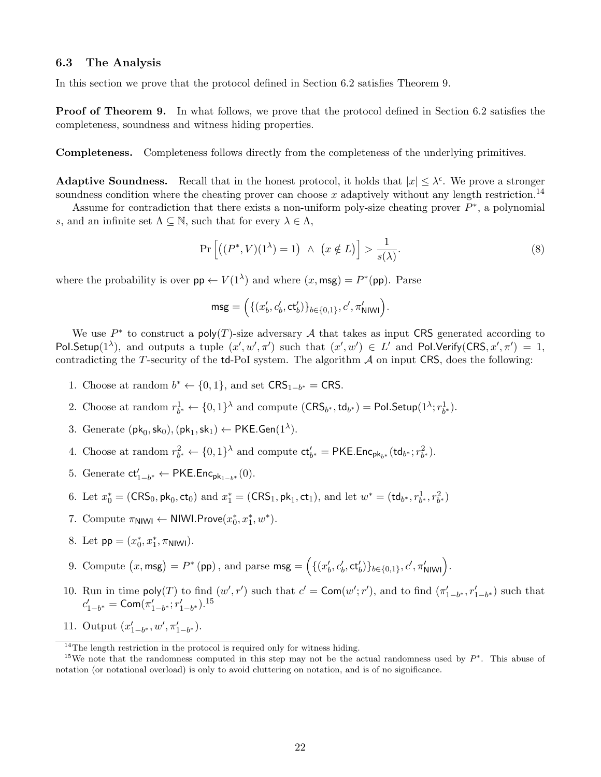### 6.3 The Analysis

In this section we prove that the protocol defined in Section 6.2 satisfies Theorem 9.

**Proof of Theorem 9.** In what follows, we prove that the protocol defined in Section 6.2 satisfies the completeness, soundness and witness hiding properties.

Completeness. Completeness follows directly from the completeness of the underlying primitives.

**Adaptive Soundness.** Recall that in the honest protocol, it holds that  $|x| \leq \lambda^{\epsilon}$ . We prove a stronger soundness condition where the cheating prover can choose x adaptively without any length restriction.<sup>14</sup>

Assume for contradiction that there exists a non-uniform poly-size cheating prover  $P^*$ , a polynomial s, and an infinite set  $\Lambda \subseteq \mathbb{N}$ , such that for every  $\lambda \in \Lambda$ ,

$$
\Pr\left[\left((P^*,V)(1^{\lambda})=1\right) \ \wedge \ \left(x \notin L\right)\right] > \frac{1}{s(\lambda)}.\tag{8}
$$

where the probability is over  $pp \leftarrow V(1^{\lambda})$  and where  $(x, \text{msg}) = P^*(pp)$ . Parse

$$
\mathsf{msg} = \Big(\{(x'_b, c'_b, \mathsf{ct}'_b)\}_{b \in \{0,1\}}, c', \pi'_{\mathsf{NINI}}\Big).
$$

We use  $P^*$  to construct a poly(T)-size adversary A that takes as input CRS generated according to Pol.Setup(1<sup> $\lambda$ </sup>), and outputs a tuple  $(x', w', \pi')$  such that  $(x', w') \in L'$  and Pol.Verify(CRS,  $x', \pi'$ ) = 1, contradicting the T-security of the  $td$ -PoI system. The algorithm  $A$  on input CRS, does the following:

- 1. Choose at random  $b^* \leftarrow \{0, 1\}$ , and set  $CRS_{1-b^*} = CRS$ .
- 2. Choose at random  $r_{b^*}^1 \leftarrow \{0,1\}^{\lambda}$  and compute  $(\text{CRS}_{b^*}, \text{td}_{b^*}) = \text{Pol}.\text{Setup}(1^{\lambda}; r_{b^*}^1)$ .
- 3. Generate  $(\mathsf{pk}_0, \mathsf{sk}_0), (\mathsf{pk}_1, \mathsf{sk}_1) \leftarrow \mathsf{PKE}.\mathsf{Gen}(1^{\lambda}).$
- 4. Choose at random  $r_{b^*}^2 \leftarrow \{0,1\}^{\lambda}$  and compute  $ct'_{b^*} = \text{PKE}.\text{Enc}_{pk_{b^*}}(td_{b^*}; r_{b^*}^2)$ .
- 5. Generate  $ct'_{1-b^*} \leftarrow \mathsf{PKE}.\mathsf{Enc}_{\mathsf{pk}_{1-b^*}}(0).$
- 6. Let  $x_0^* = (CRS_0, pk_0, ct_0)$  and  $x_1^* = (CRS_1, pk_1, ct_1)$ , and let  $w^* = (td_{b^*}, r_{b^*}^1, r_{b^*}^2)$
- 7. Compute  $\pi_{\text{NIW}} \leftarrow \text{NIWI.Prove}(x_0^*, x_1^*, w^*).$
- 8. Let  $pp = (x_0^*, x_1^*, \pi_{\text{NIW}})$ .
- 9. Compute  $(x, \text{msg}) = P^* (\text{pp})$ , and parse  $\text{msg} = \Big(\{(x'_b, c'_b, \text{ct}'_b)\}_{b \in \{0,1\}}, c', \pi'_{\text{NIWI}}\Big).$
- 10. Run in time  $\text{poly}(T)$  to find  $(w', r')$  such that  $c' = \text{Com}(w'; r')$ , and to find  $(\pi'_{1-b^*}, r'_{1-b^*})$  such that  $c'_{1-b^*} = \textsf{Com}(\pi'_{1-b^*}; r'_{1-b^*}).^{15}$
- 11. Output  $(x'_{1-b^*}, w', \pi'_{1-b^*}).$

 $14$ <sup>14</sup>The length restriction in the protocol is required only for witness hiding.

<sup>&</sup>lt;sup>15</sup>We note that the randomness computed in this step may not be the actual randomness used by  $P^*$ . This abuse of notation (or notational overload) is only to avoid cluttering on notation, and is of no significance.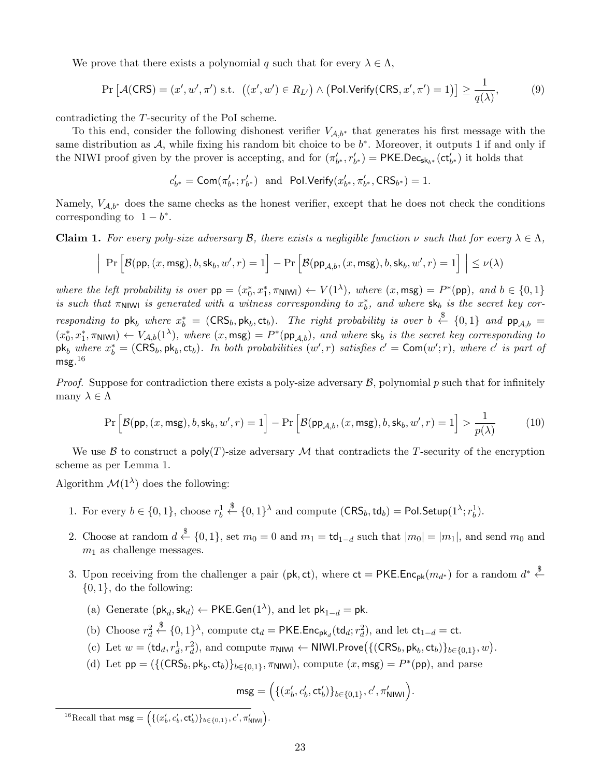We prove that there exists a polynomial q such that for every  $\lambda \in \Lambda$ ,

$$
\Pr\left[\mathcal{A}(\mathsf{CRS}) = (x', w', \pi') \text{ s.t. } \left( (x', w') \in R_{L'} \right) \land \left( \mathsf{Pol}.\mathsf{Verify}(\mathsf{CRS}, x', \pi') = 1 \right) \right] \ge \frac{1}{q(\lambda)},\tag{9}
$$

contradicting the T-security of the PoI scheme.

To this end, consider the following dishonest verifier  $V_{A,b^*}$  that generates his first message with the same distribution as  $A$ , while fixing his random bit choice to be  $b^*$ . Moreover, it outputs 1 if and only if the NIWI proof given by the prover is accepting, and for  $(\pi'_{b^*}, r'_{b^*}) = \text{PKE.Dec}_{\text{sk}_{b^*}}(\text{ct}'_{b^*})$  it holds that

$$
c'_{b^*} = \text{Com}(\pi'_{b^*}; r'_{b^*}) \text{ and Pol.Verify}(x'_{b^*}, \pi'_{b^*}, \text{CRS}_{b^*}) = 1.
$$

Namely,  $V_{A,b^*}$  does the same checks as the honest verifier, except that he does not check the conditions corresponding to  $1 - b^*$ .

**Claim 1.** For every poly-size adversary B, there exists a negligible function  $\nu$  such that for every  $\lambda \in \Lambda$ ,

$$
\left| \Pr \Big[ \mathcal{B}(\mathsf{pp}, (x, \mathsf{msg}), b, \mathsf{sk}_b, w', r) = 1 \Big] - \Pr \Big[ \mathcal{B}(\mathsf{pp}_{\mathcal{A}, b}, (x, \mathsf{msg}), b, \mathsf{sk}_b, w', r) = 1 \Big] \Big| \leq \nu(\lambda)
$$

where the left probability is over  $pp = (x_0^*, x_1^*, \pi_{\text{NIW}}) \leftarrow V(1^{\lambda})$ , where  $(x, \text{msg}) = P^*(pp)$ , and  $b \in \{0, 1\}$ is such that  $\pi_{\text{NIW}}$  is generated with a witness corresponding to  $x_b^*$ , and where  $\mathsf{sk}_b$  is the secret key corresponding to  $pk_b$  where  $x_b^* = (CRS_b, pk_b, ct_b)$ . The right probability is over  $b \stackrel{\$}{\leftarrow} \{0,1\}$  and  $pp_{A,b} =$  $(x_0^*, x_1^*, \pi_{\text{N1W1}}) \leftarrow V_{\mathcal{A},b}(1^{\lambda}),$  where  $(x, \text{msg}) = P^*(\text{pp}_{\mathcal{A},b})$ , and where  $\text{sk}_b$  is the secret key corresponding to  $pk_b$  where  $x_b^* = (CRS_b, pk_b, ct_b)$ . In both probabilities  $(w', r)$  satisfies  $c' = \text{Com}(w'; r)$ , where  $c'$  is part of msg. $^{16}$ 

*Proof.* Suppose for contradiction there exists a poly-size adversary  $\mathcal{B}$ , polynomial p such that for infinitely many  $\lambda \in \Lambda$ 

$$
\Pr\left[\mathcal{B}(\mathsf{pp},(x,\mathsf{msg}),b,\mathsf{sk}_b,w',r) = 1\right] - \Pr\left[\mathcal{B}(\mathsf{pp}_{\mathcal{A},b},(x,\mathsf{msg}),b,\mathsf{sk}_b,w',r) = 1\right] > \frac{1}{p(\lambda)}\tag{10}
$$

We use  $\mathcal B$  to construct a poly(T)-size adversary M that contradicts the T-security of the encryption scheme as per Lemma 1.

Algorithm  $\mathcal{M}(1^{\lambda})$  does the following:

- 1. For every  $b \in \{0, 1\}$ , choose  $r_b^1 \stackrel{\$}{\leftarrow} \{0, 1\}^{\lambda}$  and compute  $(\text{CRS}_b, \text{td}_b) = \text{Pol}.\text{Setup}(1^{\lambda}; r_b^1)$ .
- 2. Choose at random  $d \stackrel{\$}{\leftarrow} \{0,1\}$ , set  $m_0 = 0$  and  $m_1 = \text{td}_{1-d}$  such that  $|m_0| = |m_1|$ , and send  $m_0$  and  $m_1$  as challenge messages.
- 3. Upon receiving from the challenger a pair (pk, ct), where  $ct = PKE.Enc_{pk}(m_{d^*})$  for a random  $d^* \stackrel{\$}{\leftarrow}$  $\{0, 1\}$ , do the following:
	- (a) Generate  $(\mathsf{pk}_d, \mathsf{sk}_d) \leftarrow \mathsf{PKE}.\mathsf{Gen}(1^{\lambda}),$  and let  $\mathsf{pk}_{1-d} = \mathsf{pk}.$
	- (b) Choose  $r_d^2 \stackrel{\$}{\leftarrow} \{0,1\}^{\lambda}$ , compute  $ct_d = \mathsf{PKE}$ . Enc<sub>pk</sub><sub>d</sub> $(t\mathsf{d}_d; r_d^2)$ , and let  $ct_{1-d} = ct$ .
	- (c) Let  $w = (\text{td}_d, r_d^1, r_d^2)$ , and compute  $\pi_{\text{NIW}} \leftarrow \text{NIWI.Prove}(\{(\text{CRS}_b, \text{pk}_b, \text{ct}_b)\}_{b \in \{0,1\}}, w)$ .
	- (d) Let  $pp = (\{ (CRS_b, pk_b, ct_b) \}_{b \in \{0,1\}}, \pi_{\text{NIW}})$ , compute  $(x, msg) = P^*(pp)$ , and parse

$$
\mathsf{msg} = \Big(\{(x'_b,c'_b,\mathsf{ct}'_b)\}_{b \in \{0,1\}},c',\pi'_{\mathsf{NINV}}\Big).
$$

<sup>&</sup>lt;sup>16</sup>Recall that  $\textsf{msg} = \Big(\{(x'_b, c'_b, \textsf{ct}'_b)\}_{b \in \{0,1\}}, c', \pi'_{\textsf{NINV}}\Big).$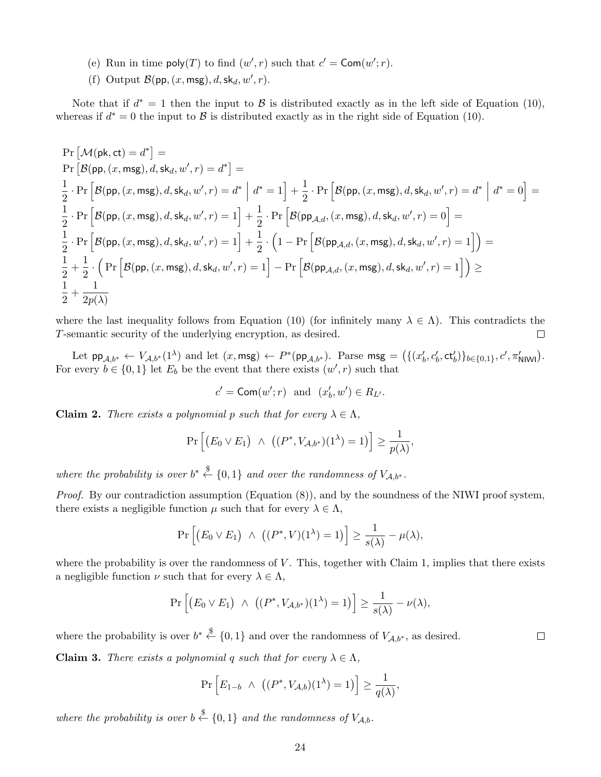- (e) Run in time  $\text{poly}(T)$  to find  $(w', r)$  such that  $c' = \text{Com}(w'; r)$ .
- (f) Output  $\mathcal{B}(\mathsf{pp}, (x, \mathsf{msg}), d, \mathsf{sk}_d, w', r)$ .

Note that if  $d^* = 1$  then the input to  $\beta$  is distributed exactly as in the left side of Equation (10), whereas if  $d^* = 0$  the input to  $\beta$  is distributed exactly as in the right side of Equation (10).

$$
\begin{aligned} &\Pr\left[\mathcal{M}(\mathsf{pk},\mathsf{ct})=d^{*}\right]=\\ &\Pr\left[\mathcal{B}(\mathsf{pp},(x,\mathsf{msg}),d,\mathsf{sk}_d,w',r)=d^{*}\right]=\\ &\frac{1}{2}\cdot\Pr\left[\mathcal{B}(\mathsf{pp},(x,\mathsf{msg}),d,\mathsf{sk}_d,w',r)=d^{*}\;\Big|\;d^{*}=1\right]+\frac{1}{2}\cdot\Pr\left[\mathcal{B}(\mathsf{pp},(x,\mathsf{msg}),d,\mathsf{sk}_d,w',r)=d^{*}\;\Big|\;d^{*}=0\right]=\\ &\frac{1}{2}\cdot\Pr\left[\mathcal{B}(\mathsf{pp},(x,\mathsf{msg}),d,\mathsf{sk}_d,w',r)=1\right]+\frac{1}{2}\cdot\Pr\left[\mathcal{B}(\mathsf{pp}_{\mathcal{A},d},(x,\mathsf{msg}),d,\mathsf{sk}_d,w',r)=0\right]=\\ &\frac{1}{2}\cdot\Pr\left[\mathcal{B}(\mathsf{pp},(x,\mathsf{msg}),d,\mathsf{sk}_d,w',r)=1\right]+\frac{1}{2}\cdot\left(1-\Pr\left[\mathcal{B}(\mathsf{pp}_{\mathcal{A},d},(x,\mathsf{msg}),d,\mathsf{sk}_d,w',r)=1\right]\right)=\\ &\frac{1}{2}+\frac{1}{2}\cdot\left(\Pr\left[\mathcal{B}(\mathsf{pp},(x,\mathsf{msg}),d,\mathsf{sk}_d,w',r)=1\right]-\Pr\left[\mathcal{B}(\mathsf{pp}_{\mathcal{A},d},(x,\mathsf{msg}),d,\mathsf{sk}_d,w',r)=1\right]\right)\geq\\ &\frac{1}{2}+\frac{1}{2p(\lambda)}\end{aligned}
$$

where the last inequality follows from Equation (10) (for infinitely many  $\lambda \in \Lambda$ ). This contradicts the T-semantic security of the underlying encryption, as desired.  $\Box$ 

Let  $\mathsf{pp}_{\mathcal{A},b^*} \leftarrow V_{\mathcal{A},b^*}(1^{\lambda})$  and let  $(x,\mathsf{msg}) \leftarrow P^*(\mathsf{pp}_{\mathcal{A},b^*})$ . Parse  $\mathsf{msg} = (\{(x'_b,c'_b,\mathsf{ct}'_b)\}_{b\in\{0,1\}},c',\pi'_{\mathsf{NINV}})$ . For every  $b \in \{0,1\}$  let  $E_b$  be the event that there exists  $(w', r)$  such that

$$
c' = \mathsf{Com}(w'; r) \text{ and } (x'_b, w') \in R_{L'}.
$$

**Claim 2.** There exists a polynomial p such that for every  $\lambda \in \Lambda$ ,

$$
\Pr\left[\big(E_0 \vee E_1\big) \ \wedge \ \big((P^*,V_{\mathcal{A},b^*})(1^{\lambda})=1\big)\right] \geq \frac{1}{p(\lambda)},
$$

where the probability is over  $b^* \stackrel{\$}{\leftarrow} \{0,1\}$  and over the randomness of  $V_{\mathcal{A},b^*}.$ 

*Proof.* By our contradiction assumption (Equation  $(8)$ ), and by the soundness of the NIWI proof system, there exists a negligible function  $\mu$  such that for every  $\lambda \in \Lambda$ ,

$$
\Pr\left[ (E_0 \vee E_1) \ \wedge \ \big( (P^*, V)(1^{\lambda}) = 1 \big) \right] \ge \frac{1}{s(\lambda)} - \mu(\lambda),
$$

where the probability is over the randomness of  $V$ . This, together with Claim 1, implies that there exists a negligible function  $\nu$  such that for every  $\lambda \in \Lambda$ ,

$$
\Pr\left[\big(E_0 \vee E_1\big) \ \wedge \ \big((P^*, V_{\mathcal{A},b^*})(1^{\lambda})=1\big)\right] \geq \frac{1}{s(\lambda)} - \nu(\lambda),
$$

where the probability is over  $b^* \stackrel{\$}{\leftarrow} \{0,1\}$  and over the randomness of  $V_{\mathcal{A},b^*}$ , as desired.

**Claim 3.** There exists a polynomial q such that for every  $\lambda \in \Lambda$ ,

$$
\Pr\left[E_{1-b} \ \wedge \ \left((P^*, V_{\mathcal{A},b})(1^{\lambda})=1\right)\right] \geq \frac{1}{q(\lambda)},
$$

where the probability is over  $b \stackrel{\$}{\leftarrow} \{0,1\}$  and the randomness of  $V_{A,b}$ .

 $\Box$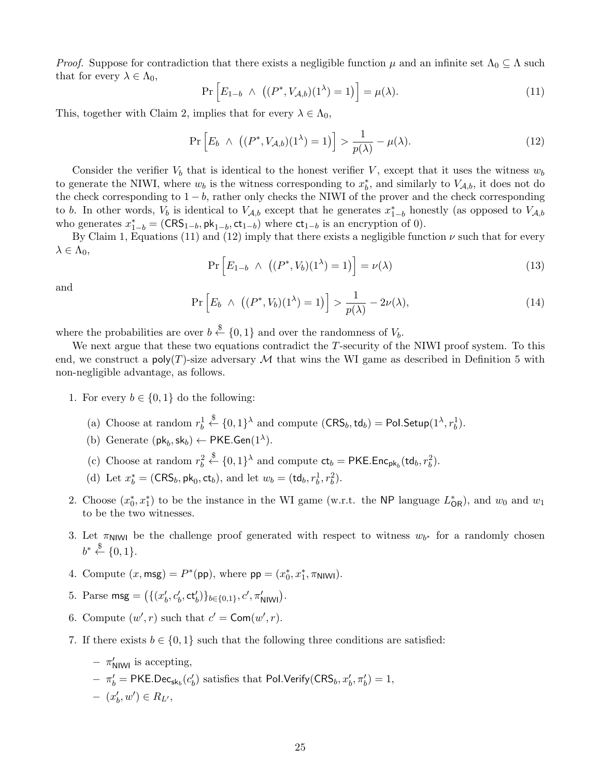*Proof.* Suppose for contradiction that there exists a negligible function  $\mu$  and an infinite set  $\Lambda_0 \subseteq \Lambda$  such that for every  $\lambda \in \Lambda_0$ ,

$$
\Pr\left[E_{1-b} \wedge \left((P^*, V_{\mathcal{A},b})(1^{\lambda})=1\right)\right] = \mu(\lambda). \tag{11}
$$

This, together with Claim 2, implies that for every  $\lambda \in \Lambda_0$ ,

$$
\Pr\left[E_b \ \wedge \ \left((P^*, V_{\mathcal{A},b})(1^{\lambda}) = 1\right)\right] > \frac{1}{p(\lambda)} - \mu(\lambda). \tag{12}
$$

Consider the verifier  $V_b$  that is identical to the honest verifier V, except that it uses the witness  $w_b$ to generate the NIWI, where  $w_b$  is the witness corresponding to  $x_b^*$ , and similarly to  $V_{A,b}$ , it does not do the check corresponding to  $1 - b$ , rather only checks the NIWI of the prover and the check corresponding to b. In other words,  $V_b$  is identical to  $V_{A,b}$  except that he generates  $x_{1-b}^*$  honestly (as opposed to  $V_{A,b}$ who generates  $x_{1-b}^* = (CRS_{1-b}, \mathsf{pk}_{1-b}, ct_{1-b})$  where  $ct_{1-b}$  is an encryption of 0).

By Claim 1, Equations (11) and (12) imply that there exists a negligible function  $\nu$  such that for every  $\lambda \in \Lambda_0$ ,

$$
\Pr\left[E_{1-b} \ \land \ \left((P^*, V_b)(1^{\lambda}) = 1\right)\right] = \nu(\lambda) \tag{13}
$$

and

$$
\Pr\left[E_b \ \wedge \ \left((P^*, V_b)(1^{\lambda}) = 1\right)\right] > \frac{1}{p(\lambda)} - 2\nu(\lambda),\tag{14}
$$

 $b'$ ,  $\pi'_b$ ) = 1,

where the probabilities are over  $b \stackrel{\$}{\leftarrow} \{0,1\}$  and over the randomness of  $V_b$ .

We next argue that these two equations contradict the T-security of the NIWI proof system. To this end, we construct a  $poly(T)$ -size adversary M that wins the WI game as described in Definition 5 with non-negligible advantage, as follows.

- 1. For every  $b \in \{0,1\}$  do the following:
	- (a) Choose at random  $r_b^1 \stackrel{\$}{\leftarrow} \{0,1\}^{\lambda}$  and compute  $(\mathsf{CRS}_b, \mathsf{td}_b) = \mathsf{Pol}.\mathsf{Setup}(1^{\lambda}, r_b^1)$ .
	- (b) Generate  $(\mathsf{pk}_b, \mathsf{sk}_b) \leftarrow \mathsf{PKE}.\mathsf{Gen}(1^{\lambda})$ .
	- (c) Choose at random  $r_b^2 \stackrel{\$}{\leftarrow} \{0,1\}^{\lambda}$  and compute  $ct_b = \text{PKE}.\text{Enc}_{\text{pk}_b}(\text{td}_b, r_b^2)$ .
	- (d) Let  $x_b^* = (\text{CRS}_b, \text{pk}_0, \text{ct}_b)$ , and let  $w_b = (\text{td}_b, r_b^1, r_b^2)$ .
- 2. Choose  $(x_0^*, x_1^*)$  to be the instance in the WI game (w.r.t. the NP language  $L_{OR}^*$ ), and  $w_0$  and  $w_1$ to be the two witnesses.
- 3. Let  $\pi_{\text{NIW}}$  be the challenge proof generated with respect to witness  $w_{b^*}$  for a randomly chosen  $b^* \stackrel{\$}{\leftarrow} \{0,1\}.$
- 4. Compute  $(x, \text{msg}) = P^*(\text{pp})$ , where  $\text{pp} = (x_0^*, x_1^*, \pi_{\text{NIW}})$ .
- 5. Parse msg =  $({{(x'_b, c'_b, ct'_b)}_{b \in \{0,1\}}, c', \pi'_{\text{NIW}})}.$
- 6. Compute  $(w', r)$  such that  $c' = \text{Com}(w', r)$ .
- 7. If there exists  $b \in \{0,1\}$  such that the following three conditions are satisfied:

- 
$$
\pi'_{\text{NIWI}}
$$
 is accepting,  
-  $\pi'_{b}$  = PKE.Dec<sub>sk<sub>b</sub></sub>(c'<sub>b</sub>) satisfies that Pol.Verify(CRS<sub>b</sub>, x'<sub>t</sub>

 $- (x'_b, w') \in R_{L'},$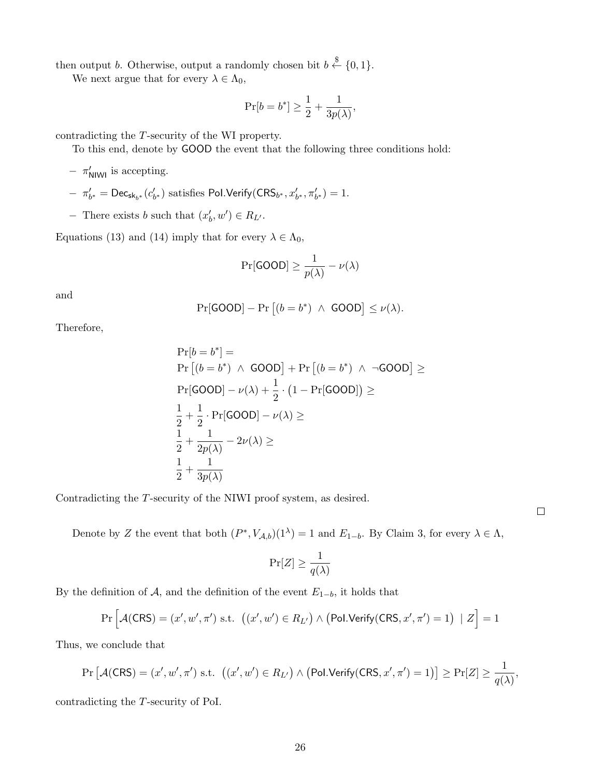then output b. Otherwise, output a randomly chosen bit  $b \stackrel{\$}{\leftarrow} \{0,1\}.$ 

We next argue that for every  $\lambda \in \Lambda_0$ ,

$$
\Pr[b=b^*] \geq \frac{1}{2} + \frac{1}{3p(\lambda)},
$$

contradicting the T-security of the WI property.

To this end, denote by GOOD the event that the following three conditions hold:

- $-$  π'<sub>NIWI</sub> is accepting.
- $-$  π'<sub>b<sup>\*</sup></sub> = Dec<sub>sk<sub>b</sub>\*</sub> (c'<sub>b<sup>\*</sub></sup>) satisfies Pol.Verify(CRS<sub>b<sup>\*</sup></sub>, x'<sub>b</sub><sup>\*</sup>, π'<sub>b</sub><sup>\*</sup>) = 1.</sub>
- − There exists *b* such that  $(x'_b, w') \in R_{L'}$ .

Equations (13) and (14) imply that for every  $\lambda \in \Lambda_0$ ,

$$
\Pr[\text{GOOD}] \ge \frac{1}{p(\lambda)} - \nu(\lambda)
$$

and

$$
Pr[\text{GOOD}] - Pr [(b = b^*) \land \text{GOOD}] \le \nu(\lambda).
$$

Therefore,

$$
\Pr[b = b^*] =
$$
\n
$$
\Pr\left[(b = b^*) \land \text{GOOD}\right] + \Pr\left[(b = b^*) \land \neg \text{GOOD}\right] \ge
$$
\n
$$
\Pr[\text{GOOD}] - \nu(\lambda) + \frac{1}{2} \cdot (1 - \Pr[\text{GOOD}]) \ge
$$
\n
$$
\frac{1}{2} + \frac{1}{2} \cdot \Pr[\text{GOOD}] - \nu(\lambda) \ge
$$
\n
$$
\frac{1}{2} + \frac{1}{2p(\lambda)} - 2\nu(\lambda) \ge
$$
\n
$$
\frac{1}{2} + \frac{1}{3p(\lambda)}
$$

Contradicting the T-security of the NIWI proof system, as desired.

Denote by Z the event that both  $(P^*, V_{\mathcal{A},b})(1^{\lambda}) = 1$  and  $E_{1-b}$ . By Claim 3, for every  $\lambda \in \Lambda$ ,

$$
\Pr[Z] \ge \frac{1}{q(\lambda)}
$$

By the definition of A, and the definition of the event  $E_{1-b}$ , it holds that

$$
\Pr\left[\mathcal{A}(\mathsf{CRS}) = (x', w', \pi') \text{ s.t. } ((x', w') \in R_{L'}) \land (\mathsf{Pol}.\mathsf{Verify}(\mathsf{CRS}, x', \pi') = 1) \mid Z\right] = 1
$$

Thus, we conclude that

$$
\Pr\left[\mathcal{A}(\mathsf{CRS}) = (x', w', \pi') \text{ s.t. } \left((x', w') \in R_{L'}\right) \land \left(\mathsf{Pol}.\mathsf{Verify}(\mathsf{CRS}, x', \pi') = 1\right)\right] \ge \Pr[Z] \ge \frac{1}{q(\lambda)},
$$

contradicting the T-security of PoI.

 $\Box$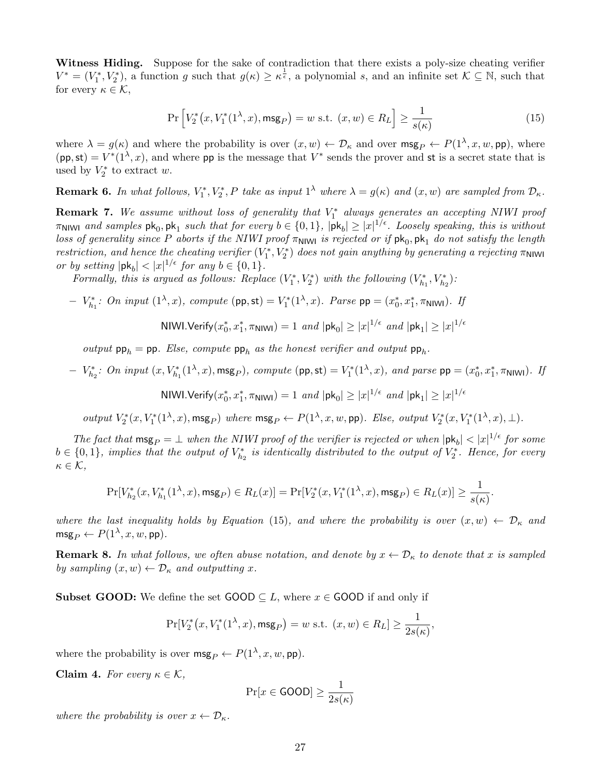Witness Hiding. Suppose for the sake of contradiction that there exists a poly-size cheating verifier  $V^* = (V_1^*, V_2^*)$ , a function g such that  $g(\kappa) \geq \kappa^{\frac{1}{\epsilon}}$ , a polynomial s, and an infinite set  $\mathcal{K} \subseteq \mathbb{N}$ , such that for every  $\kappa \in \mathcal{K}$ ,

$$
\Pr\left[V_2^*(x, V_1^*(1^\lambda, x), \mathsf{msg}_P) = w \text{ s.t. } (x, w) \in R_L\right] \ge \frac{1}{s(\kappa)}\tag{15}
$$

where  $\lambda = g(\kappa)$  and where the probability is over  $(x, w) \leftarrow \mathcal{D}_{\kappa}$  and over  $\mathsf{msg}_P \leftarrow P(1^\lambda, x, w, \mathsf{pp})$ , where  $(pp, st) = V^{*}(1^{\lambda}, x)$ , and where pp is the message that  $V^{*}$  sends the prover and st is a secret state that is used by  $V_2^*$  to extract w.

**Remark 6.** In what follows,  $V_1^*, V_2^*, P$  take as input  $1^{\lambda}$  where  $\lambda = g(\kappa)$  and  $(x, w)$  are sampled from  $\mathcal{D}_{\kappa}$ .

**Remark 7.** We assume without loss of generality that  $V_1^*$  always generates an accepting NIWI proof  $\pi$ NIWI and samples  $\mathsf{pk}_0, \mathsf{pk}_1$  such that for every  $b \in \{0,1\}$ ,  $|\mathsf{pk}_b| \geq |x|^{1/\epsilon}$ . Loosely speaking, this is without loss of generality since P aborts if the NIWI proof  $\pi_{\sf NIN}$  is rejected or if  ${\sf pk}_0,{\sf pk}_1$  do not satisfy the length restriction, and hence the cheating verifier  $(V_1^*, V_2^*)$  does not gain anything by generating a rejecting  $\pi_{\text{NIW}}$ or by setting  $|\mathsf{pk}_b| < |x|^{1/\epsilon}$  for any  $b \in \{0, 1\}.$ 

Formally, this is argued as follows: Replace  $(V_1^*, V_2^*)$  with the following  $(V_{h_1}^*, V_{h_2}^*)$ :

 $-V_{h_1}^*$ : On input (1<sup>λ</sup>, x), compute (pp, st) =  $V_1^*(1^λ, x)$ . Parse pp =  $(x_0^*, x_1^*, π_{\text{NIW}})$ . If

NIWI.Verify(
$$
x_0^*
$$
,  $x_1^*$ , π<sub>NIWI</sub>) = 1 and |pk<sub>0</sub>| ≥ | $x$ |<sup>1/ε</sup> and |pk<sub>1</sub>| ≥ | $x$ |<sup>1/ε</sup>

output  $pp_h = pp$ . Else, compute  $pp_h$  as the honest verifier and output  $pp_h$ .

 $- V_{h_2}^*$ : On input (x, V<sub>h<sub>1</sub></sub>(1<sup>λ</sup>, x), msg<sub>P</sub>), compute (pp, st) = V<sub>1</sub><sup>\*</sup>(1<sup>λ</sup>, x), and parse pp = (x<sup>\*</sup><sub>0</sub>, x<sup>\*</sup><sub>1</sub>, π<sub>NIWI</sub>). If

NIWI.Verify $(x_0^*, x_1^*, \pi_{\text{N1W1}}) = 1$  and  $|\text{pk}_0| \geq |x|^{1/\epsilon}$  and  $|\text{pk}_1| \geq |x|^{1/\epsilon}$ 

 $output V_2^*(x, V_1^*(1^{\lambda}, x), \text{msg}_P)$  where  $\text{msg}_P \leftarrow P(1^{\lambda}, x, w, \text{pp})$ . Else, output  $V_2^*(x, V_1^*(1^{\lambda}, x), \perp)$ .

The fact that  $\text{msg}_P = \bot$  when the NIWI proof of the verifier is rejected or when  $|\text{pk}_b| < |x|^{1/\epsilon}$  for some  $b \in \{0,1\}$ , implies that the output of  $V_{h_2}^*$  is identically distributed to the output of  $V_2^*$ . Hence, for every  $\kappa \in \mathcal{K}$ ,

$$
\Pr[V^*_{h_2}(x, V^*_{h_1}(1^\lambda, x), \mathsf{msg}_P) \in R_L(x)] = \Pr[V^*_2(x, V^*_1(1^\lambda, x), \mathsf{msg}_P) \in R_L(x)] \geq \frac{1}{s(\kappa)}.
$$

where the last inequality holds by Equation (15), and where the probability is over  $(x, w) \leftarrow \mathcal{D}_{\kappa}$  and  $\mathsf{msg}_P \leftarrow P(1^\lambda, x, w, \mathsf{pp}).$ 

**Remark 8.** In what follows, we often abuse notation, and denote by  $x \leftarrow \mathcal{D}_{\kappa}$  to denote that x is sampled by sampling  $(x, w) \leftarrow \mathcal{D}_{\kappa}$  and outputting x.

**Subset GOOD:** We define the set  $\text{GOOD} \subseteq L$ , where  $x \in \text{GOOD}$  if and only if

$$
\Pr[V_2^*(x, V_1^*(1^{\lambda}, x), \mathsf{msg}_P) = w \text{ s.t. } (x, w) \in R_L] \ge \frac{1}{2s(\kappa)},
$$

where the probability is over  $\mathsf{msg}_P \leftarrow P(1^\lambda, x, w, \mathsf{pp}).$ 

Claim 4. For every  $\kappa \in \mathcal{K}$ ,

$$
\Pr[x \in \text{GOOD}] \ge \frac{1}{2s(\kappa)}
$$

where the probability is over  $x \leftarrow \mathcal{D}_{\kappa}$ .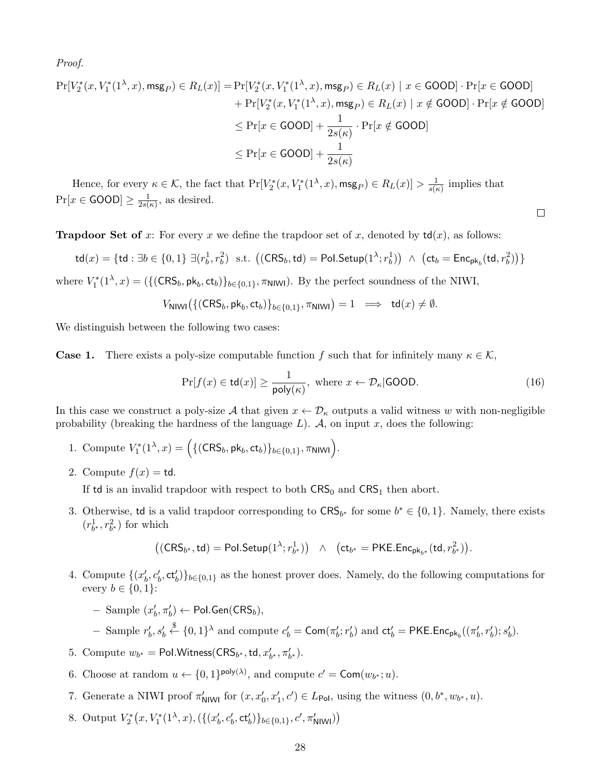Proof.

$$
\Pr[V_2^*(x, V_1^*(1^{\lambda}, x), \text{msg}_P) \in R_L(x)] = \Pr[V_2^*(x, V_1^*(1^{\lambda}, x), \text{msg}_P) \in R_L(x) \mid x \in \text{GOOD}] \cdot \Pr[x \in \text{GOOD}] + \Pr[V_2^*(x, V_1^*(1^{\lambda}, x), \text{msg}_P) \in R_L(x) \mid x \notin \text{GOOD}] \cdot \Pr[x \notin \text{GOOD}]
$$
  

$$
\leq \Pr[x \in \text{GOOD}] + \frac{1}{2s(\kappa)} \cdot \Pr[x \notin \text{GOOD}]
$$
  

$$
\leq \Pr[x \in \text{GOOD}] + \frac{1}{2s(\kappa)}
$$

Hence, for every  $\kappa \in \mathcal{K}$ , the fact that  $\Pr[V_2^*(x, V_1^*(1^{\lambda}, x), \mathsf{msg}_P) \in R_L(x)] > \frac{1}{s(r)}$  $\frac{1}{s(\kappa)}$  implies that  $Pr[x \in {\mathsf{GOOD}}] \geq \frac{1}{2s}$  $\frac{1}{2s(\kappa)}$ , as desired.

**Trapdoor Set of** x: For every x we define the trapdoor set of x, denoted by  $td(x)$ , as follows:

$$
\mathsf{td}(x) = \{\mathsf{td} : \exists b \in \{0,1\} \; \exists (r_b^1, r_b^2) \; \text{ s.t. } \left( (\mathsf{CRS}_b, \mathsf{td}) = \mathsf{Pol}.\mathsf{Setup}(1^\lambda; r_b^1) \right) \; \wedge \; \left( \mathsf{ct}_b = \mathsf{Enc}_{\mathsf{pk}_b}(\mathsf{td}, r_b^2) \right) \}
$$

where  $V_1^*(1^{\lambda}, x) = (\{(\text{CRS}_b, \text{pk}_b, \text{ct}_b)\}_{b \in \{0,1\}}, \pi_{\text{NIW}})$ . By the perfect soundness of the NIWI,

 $V_{\text{NIWI}}\big(\{(\text{CRS}_b, \text{pk}_b, \text{ct}_b)\}_{b\in\{0,1\}}, \pi_{\text{NIWI}}\big) = 1 \implies \text{td}(x) \neq \emptyset.$ 

We distinguish between the following two cases:

**Case 1.** There exists a poly-size computable function f such that for infinitely many  $\kappa \in \mathcal{K}$ ,

$$
\Pr[f(x) \in \mathsf{td}(x)] \ge \frac{1}{\mathsf{poly}(\kappa)}, \text{ where } x \leftarrow \mathcal{D}_{\kappa}|\textsf{GOOD}. \tag{16}
$$

 $\Box$ 

In this case we construct a poly-size A that given  $x \leftarrow \mathcal{D}_{\kappa}$  outputs a valid witness w with non-negligible probability (breaking the hardness of the language  $L$ ).  $A$ , on input x, does the following:

- 1. Compute  $V_1^*(1^{\lambda}, x) = \Big(\{(\text{CRS}_b, \text{pk}_b, \text{ct}_b)\}_{b \in \{0,1\}}, \pi_{\text{N1W1}}\Big)$ .
- 2. Compute  $f(x) = \text{td.}$

If td is an invalid trapdoor with respect to both  $CRS_0$  and  $CRS_1$  then abort.

3. Otherwise, td is a valid trapdoor corresponding to  $CRS_{b^*}$  for some  $b^* \in \{0, 1\}$ . Namely, there exists  $(r^1_{b^*}, r^2_{b^*})$  for which

$$
\big((\mathsf{CRS}_{b^*},\mathsf{td}) = \mathsf{Pol}.\mathsf{Setup}(1^{\lambda};r^1_{b^*})\big) \quad \wedge \quad \big(\mathsf{ct}_{b^*} = \mathsf{PKE}.\mathsf{Enc}_{\mathsf{pk}_{b^*}}(\mathsf{td},r^2_{b^*})\big).
$$

4. Compute  $\{(x'_b, c'_b, \text{ct}'_b)\}_{b \in \{0,1\}}$  as the honest prover does. Namely, do the following computations for every  $b \in \{0, 1\}$ :

$$
- \text{ Sample } (x_b', \pi_b') \leftarrow \text{Pol.Gen}(\text{CRS}_b),
$$

− Sample  $r'_b$ ,  $s'_b$   $\stackrel{\$}{\leftarrow}$  {0, 1}<sup>λ</sup> and compute  $c'_b$  = Com(π'<sub>6</sub>; r'<sub>b</sub>') and ct'<sub>b</sub> = PKE. Enc<sub>pk<sub>b</sub></sub>((π'<sub>b</sub>, r'<sub>b</sub>'); s'<sub>b</sub>').

- 5. Compute  $w_{b^*} = \text{Pol.Witness}(\text{CRS}_{b^*}, \text{td}, x'_{b^*}, \pi'_{b^*}).$
- 6. Choose at random  $u \leftarrow \{0,1\}^{\text{poly}(\lambda)}$ , and compute  $c' = \text{Com}(w_{b^*}; u)$ .
- 7. Generate a NIWI proof  $\pi'_{\text{NIW}}$  for  $(x, x'_0, x'_1, c') \in L_{\text{Pol}}$ , using the witness  $(0, b^*, w_{b^*}, u)$ .
- 8. Output  $V_2^*(x, V_1^*(1^{\lambda}, x), (\{(x'_b, c'_b, \text{ct}'_b)\}_{b \in \{0,1\}}, c', \pi'_{\text{NIW}}))$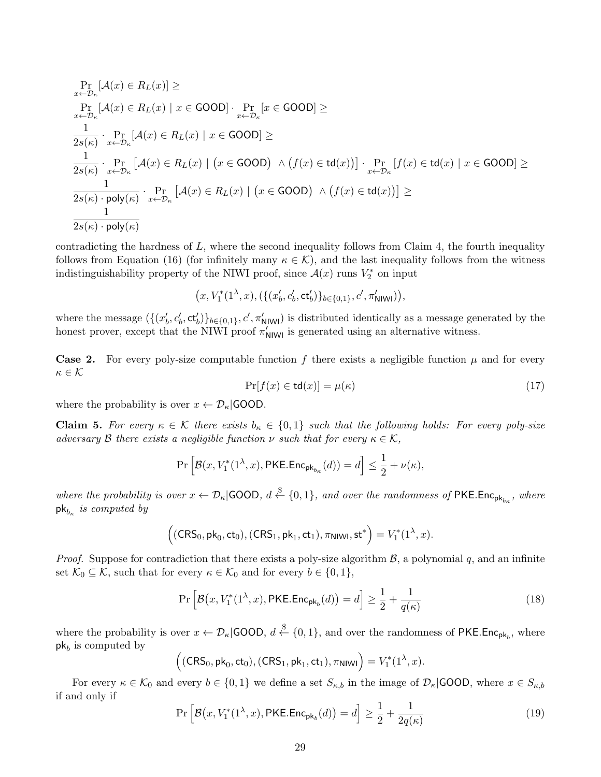$$
\Pr_{x \leftarrow D_{\kappa}}[\mathcal{A}(x) \in R_L(x)] \ge
$$
\n
$$
\Pr_{x \leftarrow D_{\kappa}}[\mathcal{A}(x) \in R_L(x) \mid x \in \text{GOOD}]\cdot \Pr_{x \leftarrow D_{\kappa}}[x \in \text{GOOD}] \ge
$$
\n
$$
\frac{1}{2s(\kappa)} \cdot \Pr_{x \leftarrow D_{\kappa}}[\mathcal{A}(x) \in R_L(x) \mid x \in \text{GOOD}] \ge
$$
\n
$$
\frac{1}{2s(\kappa)} \cdot \Pr_{x \leftarrow D_{\kappa}}[\mathcal{A}(x) \in R_L(x) \mid (x \in \text{GOOD}) \land (f(x) \in \text{td}(x))] \cdot \Pr_{x \leftarrow D_{\kappa}}[f(x) \in \text{td}(x) \mid x \in \text{GOOD}] \ge
$$
\n
$$
\frac{1}{2s(\kappa) \cdot \text{poly}(\kappa)} \cdot \Pr_{x \leftarrow D_{\kappa}}[\mathcal{A}(x) \in R_L(x) \mid (x \in \text{GOOD}) \land (f(x) \in \text{td}(x))] \ge
$$
\n
$$
\frac{1}{2s(\kappa) \cdot \text{poly}(\kappa)}
$$

contradicting the hardness of  $L$ , where the second inequality follows from Claim 4, the fourth inequality follows from Equation (16) (for infinitely many  $\kappa \in \mathcal{K}$ ), and the last inequality follows from the witness indistinguishability property of the NIWI proof, since  $\mathcal{A}(x)$  runs  $V_2^*$  on input

$$
(x, V_1^*(1^{\lambda}, x), (\{(x'_b, c'_b, ct'_b)\}_{b \in \{0,1\}}, c', \pi'_{\text{NIWI}})),
$$

where the message  $(\{(x'_b, c'_b, \text{ct}_b')\}_{b \in \{0,1\}}, c', \pi'_{\text{NlWl}})$  is distributed identically as a message generated by the honest prover, except that the NIWI proof  $\pi'_{\text{NIW}}$  is generated using an alternative witness.

**Case 2.** For every poly-size computable function f there exists a negligible function  $\mu$  and for every  $\kappa \in \mathcal{K}$ 

$$
\Pr[f(x) \in \mathsf{td}(x)] = \mu(\kappa) \tag{17}
$$

where the probability is over  $x \leftarrow \mathcal{D}_{\kappa}$  GOOD.

**Claim 5.** For every  $\kappa \in \mathcal{K}$  there exists  $b_{\kappa} \in \{0,1\}$  such that the following holds: For every poly-size adversary B there exists a negligible function  $\nu$  such that for every  $\kappa \in \mathcal{K}$ ,

$$
\Pr\Big[\mathcal B(x,V_1^*(1^\lambda,x),\mathsf{PKE}.\mathsf{Enc}_{\mathsf{pk}_{b_\kappa}}(d))=d\Big]\leq \frac{1}{2}+\nu(\kappa),
$$

where the probability is over  $x \leftarrow \mathcal{D}_{\kappa}$  GOOD,  $d \stackrel{\$}{\leftarrow} \{0,1\}$ , and over the randomness of PKE.Enc<sub>pk<sub>b<sub>k</sub></sub>, where</sub>  $\mathsf{pk}_{b_{\kappa}}$  is computed by

$$
((CRS_0, \mathsf{pk}_0, \mathsf{ct}_0), (CRS_1, \mathsf{pk}_1, \mathsf{ct}_1), \pi_{\mathsf{NIW}}, \mathsf{st}^*) = V_1^*(1^{\lambda}, x).
$$

*Proof.* Suppose for contradiction that there exists a poly-size algorithm  $\beta$ , a polynomial q, and an infinite set  $\mathcal{K}_0 \subseteq \mathcal{K}$ , such that for every  $\kappa \in \mathcal{K}_0$  and for every  $b \in \{0, 1\}$ ,

$$
\Pr\left[\mathcal{B}\big(x, V_1^*(1^{\lambda}, x), \mathsf{PKE}.\mathsf{Enc}_{\mathsf{pk}_b}(d)\big) = d\right] \ge \frac{1}{2} + \frac{1}{q(\kappa)}\tag{18}
$$

where the probability is over  $x \leftarrow \mathcal{D}_{\kappa}$  GOOD,  $d \stackrel{\$}{\leftarrow} \{0,1\}$ , and over the randomness of PKE.Enc<sub>pk<sub>b</sub></sub>, where  $pk_b$  is computed by

$$
((CRS_0, \mathsf{pk}_0, \mathsf{ct}_0), (CRS_1, \mathsf{pk}_1, \mathsf{ct}_1), \pi_{\mathsf{NINI}}) = V_1^*(1^{\lambda}, x).
$$

For every  $\kappa \in \mathcal{K}_0$  and every  $b \in \{0,1\}$  we define a set  $S_{\kappa,b}$  in the image of  $\mathcal{D}_{\kappa}$  GOOD, where  $x \in S_{\kappa,b}$ if and only if

$$
\Pr\left[\mathcal{B}\big(x, V_1^*(1^\lambda, x), \mathsf{PKE}.\mathsf{Enc}_{\mathsf{pk}_b}(d)\big) = d\right] \ge \frac{1}{2} + \frac{1}{2q(\kappa)}\tag{19}
$$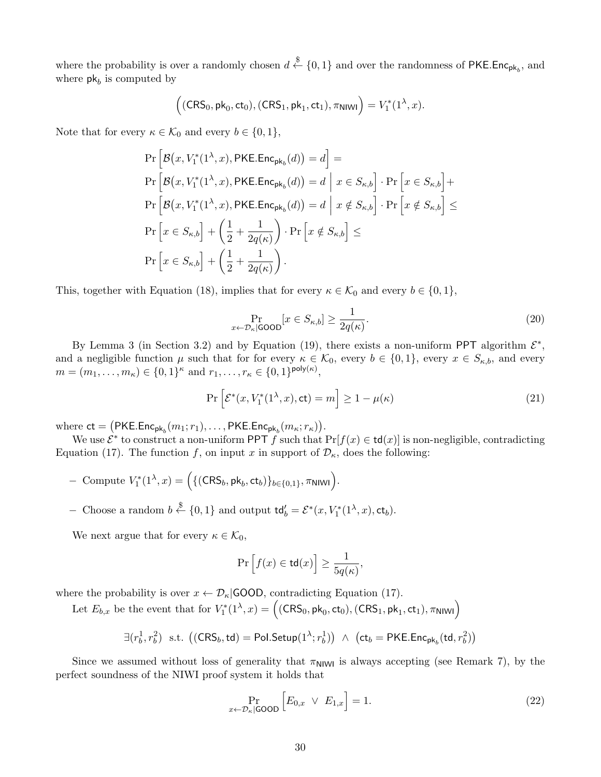where the probability is over a randomly chosen  $d \stackrel{\$}{\leftarrow} \{0,1\}$  and over the randomness of PKE.Enc<sub>pk<sub>b</sub></sub>, and where  $pk_b$  is computed by

$$
((CRS_0, \mathsf{pk}_0, \mathsf{ct}_0), (CRS_1, \mathsf{pk}_1, \mathsf{ct}_1), \pi_{\mathsf{NIVU}}) = V_1^*(1^\lambda, x).
$$

Note that for every  $\kappa \in \mathcal{K}_0$  and every  $b \in \{0, 1\},\$ 

$$
\Pr\left[\mathcal{B}(x, V_1^*(1^{\lambda}, x), \text{PKE}.\text{Enc}_{\text{pk}_b}(d)) = d\right] =
$$
\n
$$
\Pr\left[\mathcal{B}(x, V_1^*(1^{\lambda}, x), \text{PKE}.\text{Enc}_{\text{pk}_b}(d)) = d \mid x \in S_{\kappa, b}\right] \cdot \Pr\left[x \in S_{\kappa, b}\right] +
$$
\n
$$
\Pr\left[\mathcal{B}(x, V_1^*(1^{\lambda}, x), \text{PKE}.\text{Enc}_{\text{pk}_b}(d)) = d \mid x \notin S_{\kappa, b}\right] \cdot \Pr\left[x \notin S_{\kappa, b}\right] \le
$$
\n
$$
\Pr\left[x \in S_{\kappa, b}\right] + \left(\frac{1}{2} + \frac{1}{2q(\kappa)}\right) \cdot \Pr\left[x \notin S_{\kappa, b}\right] \le
$$
\n
$$
\Pr\left[x \in S_{\kappa, b}\right] + \left(\frac{1}{2} + \frac{1}{2q(\kappa)}\right).
$$

This, together with Equation (18), implies that for every  $\kappa \in \mathcal{K}_0$  and every  $b \in \{0, 1\}$ ,

$$
\Pr_{x \leftarrow \mathcal{D}_{\kappa}|\mathsf{GOOD}}[x \in S_{\kappa,b}] \ge \frac{1}{2q(\kappa)}.\tag{20}
$$

By Lemma 3 (in Section 3.2) and by Equation (19), there exists a non-uniform PPT algorithm  $\mathcal{E}^*$ , and a negligible function  $\mu$  such that for for every  $\kappa \in \mathcal{K}_0$ , every  $b \in \{0,1\}$ , every  $x \in S_{\kappa,b}$ , and every  $m = (m_1, \ldots, m_\kappa) \in \{0, 1\}^\kappa$  and  $r_1, \ldots, r_\kappa \in \{0, 1\}^{\text{poly}(\kappa)},$ 

$$
\Pr\left[\mathcal{E}^*(x, V_1^*(1^\lambda, x), \text{ct}) = m\right] \ge 1 - \mu(\kappa) \tag{21}
$$

where  $ct = (PKE.Enc<sub>pk<sub>b</sub></sub>(m<sub>1</sub>; r<sub>1</sub>), ..., PKE.Enc<sub>pk<sub>b</sub></sub>(m<sub>κ</sub>; r<sub>κ</sub>)).$ 

We use  $\mathcal{E}^*$  to construct a non-uniform PPT f such that  $Pr[f(x) \in \mathsf{td}(x)]$  is non-negligible, contradicting Equation (17). The function f, on input x in support of  $\mathcal{D}_{\kappa}$ , does the following:

- $-$  Compute  $V_1^*(1^{\lambda}, x) = (\{ (CRS_b, pk_b, ct_b) \}_{b \in \{0,1\}}, π$ ΝΙWΙ $)).$
- − Choose a random  $b \stackrel{\$}{\leftarrow} \{0,1\}$  and output  $\mathsf{td}'_b = \mathcal{E}^*(x, V_1^*(1^\lambda, x), \mathsf{ct}_b)$ .

We next argue that for every  $\kappa \in \mathcal{K}_0$ ,

$$
\Pr\Big[f(x)\in\mathsf{td}(x)\Big]\geq\frac{1}{5q(\kappa)},
$$

where the probability is over  $x \leftarrow \mathcal{D}_{\kappa}$  GOOD, contradicting Equation (17).

Let  $E_{b,x}$  be the event that for  $V_1^*(1^{\lambda}, x) = ((CRS_0, pk_0, ct_0), (CRS_1, pk_1, ct_1), \pi_{\text{N1WII}})$ 

$$
\exists (r_b^1, r_b^2) \text{ s.t. } \big( (\mathsf{CRS}_b, \mathsf{td}) = \mathsf{Pol}.\mathsf{Setup}(1^\lambda; r_b^1) \big) \ \wedge \ \big( \mathsf{ct}_b = \mathsf{PKE}.\mathsf{Enc}_{\mathsf{pk}_b}(\mathsf{td}, r_b^2) \big)
$$

Since we assumed without loss of generality that  $\pi_{\text{N}|\text{W}}$  is always accepting (see Remark 7), by the perfect soundness of the NIWI proof system it holds that

$$
\Pr_{x \leftarrow \mathcal{D}_\kappa | \text{GOOD}} \left[ E_{0,x} \ \lor \ E_{1,x} \right] = 1. \tag{22}
$$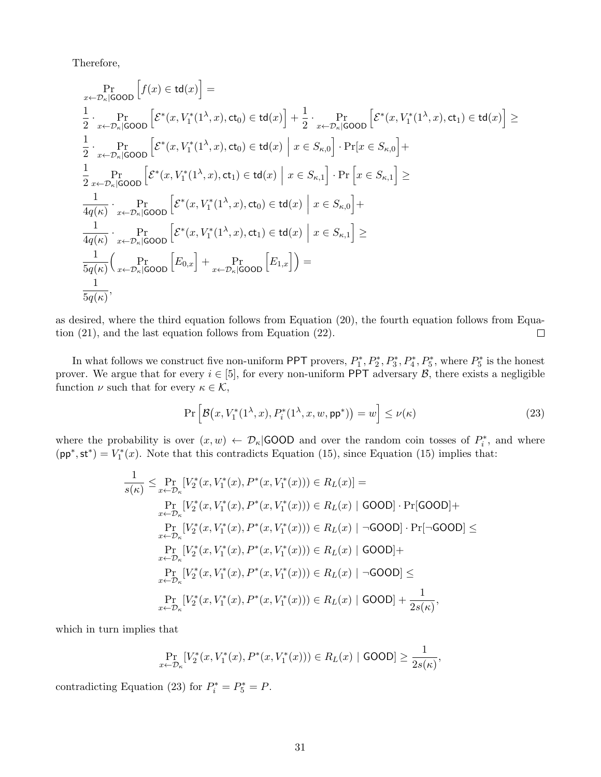Therefore,

$$
\Pr_{x \leftarrow \mathcal{D}_{\kappa}|\text{GOOD}}\left[f(x) \in \mathsf{td}(x)\right] = \frac{1}{2} \cdot \Pr_{x \leftarrow \mathcal{D}_{\kappa}|\text{GOOD}}\left[\mathcal{E}^*(x, V_1^*(1^{\lambda}, x), \mathsf{ct}_0) \in \mathsf{td}(x)\right] + \frac{1}{2} \cdot \Pr_{x \leftarrow \mathcal{D}_{\kappa}|\text{GOOD}}\left[\mathcal{E}^*(x, V_1^*(1^{\lambda}, x), \mathsf{ct}_1) \in \mathsf{td}(x)\right] \geq \frac{1}{2} \cdot \Pr_{x \leftarrow \mathcal{D}_{\kappa}|\text{GOOD}}\left[\mathcal{E}^*(x, V_1^*(1^{\lambda}, x), \mathsf{ct}_0) \in \mathsf{td}(x)\right] \cdot \Pr[x \in S_{\kappa, 0}] + \frac{1}{2} \cdot \Pr_{x \leftarrow \mathcal{D}_{\kappa}|\text{GOOD}}\left[\mathcal{E}^*(x, V_1^*(1^{\lambda}, x), \mathsf{ct}_1) \in \mathsf{td}(x)\right] \cdot \Pr[x \in S_{\kappa, 0}] + \frac{1}{4q(\kappa)} \cdot \Pr_{x \leftarrow \mathcal{D}_{\kappa}|\text{GOOD}}\left[\mathcal{E}^*(x, V_1^*(1^{\lambda}, x), \mathsf{ct}_0) \in \mathsf{td}(x)\right] \cdot \Pr[x \in S_{\kappa, 0}] + \frac{1}{4q(\kappa)} \cdot \Pr_{x \leftarrow \mathcal{D}_{\kappa}|\text{GOOD}}\left[\mathcal{E}^*(x, V_1^*(1^{\lambda}, x), \mathsf{ct}_1) \in \mathsf{td}(x)\right] \cdot \mathcal{E} \in S_{\kappa, 1}\right] \geq \frac{1}{5q(\kappa)} \cdot \Pr_{x \leftarrow \mathcal{D}_{\kappa}|\text{GOOD}}\left[\mathcal{E}_{0, x}\right] + \Pr_{x \leftarrow \mathcal{D}_{\kappa}|\text{GOOD}}\left[E_{1, x}\right]\right) = \frac{1}{5q(\kappa)},
$$

as desired, where the third equation follows from Equation (20), the fourth equation follows from Equation (21), and the last equation follows from Equation (22).  $\Box$ 

In what follows we construct five non-uniform PPT provers,  $P_1^*, P_2^*, P_3^*, P_4^*, P_5^*,$  where  $P_5^*$  is the honest prover. We argue that for every  $i \in [5]$ , for every non-uniform PPT adversary  $\mathcal{B}$ , there exists a negligible function  $\nu$  such that for every  $\kappa \in \mathcal{K}$ ,

$$
\Pr\left[\mathcal{B}\big(x, V_1^*(1^\lambda, x), P_i^*(1^\lambda, x, w, \mathsf{pp}^*)\big) = w\right] \le \nu(\kappa) \tag{23}
$$

where the probability is over  $(x, w) \leftarrow \mathcal{D}_{\kappa}$  GOOD and over the random coin tosses of  $P_i^*$ , and where  $(pp^*, st^*) = V_1^*(x)$ . Note that this contradicts Equation (15), since Equation (15) implies that:

$$
\frac{1}{s(\kappa)} \leq \Pr_{x \leftarrow \mathcal{D}_{\kappa}}[V_2^*(x, V_1^*(x), P^*(x, V_1^*(x))) \in R_L(x)] =
$$
\n
$$
\Pr_{x \leftarrow \mathcal{D}_{\kappa}}[V_2^*(x, V_1^*(x), P^*(x, V_1^*(x))) \in R_L(x) | \text{GOOD} \cdot \Pr[\text{GOOD}] +
$$
\n
$$
\Pr_{x \leftarrow \mathcal{D}_{\kappa}}[V_2^*(x, V_1^*(x), P^*(x, V_1^*(x))) \in R_L(x) | \neg \text{GOOD} \cdot \Pr[\neg \text{GOOD}] \leq
$$
\n
$$
\Pr_{x \leftarrow \mathcal{D}_{\kappa}}[V_2^*(x, V_1^*(x), P^*(x, V_1^*(x))) \in R_L(x) | \text{GOOD}] +
$$
\n
$$
\Pr_{x \leftarrow \mathcal{D}_{\kappa}}[V_2^*(x, V_1^*(x), P^*(x, V_1^*(x))) \in R_L(x) | \neg \text{GOOD}] \leq
$$
\n
$$
\Pr_{x \leftarrow \mathcal{D}_{\kappa}}[V_2^*(x, V_1^*(x), P^*(x, V_1^*(x))) \in R_L(x) | \text{GOOD}] + \frac{1}{2s(\kappa)},
$$

which in turn implies that

$$
\Pr_{x \leftarrow \mathcal{D}_{\kappa}}[V_2^*(x, V_1^*(x), P^*(x, V_1^*(x))) \in R_L(x) | \text{GOOD}] \ge \frac{1}{2s(\kappa)},
$$

contradicting Equation (23) for  $P_i^* = P_5^* = P$ .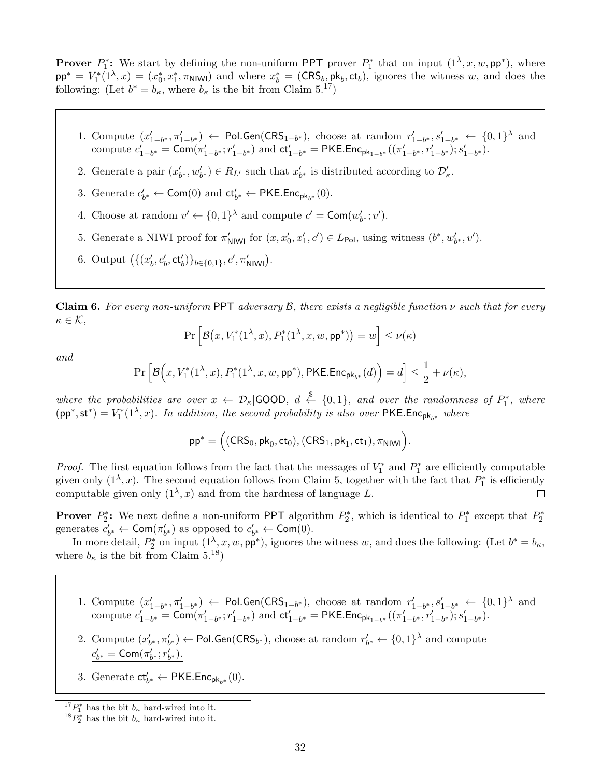**Prover**  $P_1^*$ : We start by defining the non-uniform PPT prover  $P_1^*$  that on input  $(1^{\lambda}, x, w, \mathsf{pp}^*)$ , where  $pp^* = V_1^*(1^{\lambda}, x) = (x_0^*, x_1^*, \pi_{\text{N1W1}})$  and where  $x_b^* = (\text{CRS}_b, pk_b, ct_b)$ , ignores the witness w, and does the following: (Let  $b^* = b_{\kappa}$ , where  $b_{\kappa}$  is the bit from Claim 5.<sup>17</sup>)

- 1. Compute  $(x'_{1-b^*}, \pi'_{1-b^*})$  ← Pol.Gen(CRS<sub>1-b<sup>\*</sup>)</sub>, choose at random  $r'_{1-b^*}, s'_{1-b^*}$  ←  $\{0,1\}^{\lambda}$  and compute  $c'_{1-b^*} = \text{Com}(\pi'_{1-b^*}; r'_{1-b^*})$  and  $ct'_{1-b^*} = \text{PKE}.\text{Enc}_{pk_{1-b^*}}((\pi'_{1-b^*}, r'_{1-b^*}); s'_{1-b^*}).$
- 2. Generate a pair  $(x'_{b^*}, w'_{b^*}) \in R_{L'}$  such that  $x'_{b^*}$  is distributed according to  $\mathcal{D}'_{\kappa}$ .
- 3. Generate  $c'_{b^*} \leftarrow \textsf{Com}(0)$  and  $ct'_{b^*} \leftarrow \textsf{PKE}.\textsf{Enc}_{\textsf{pk}_{b^*}}(0)$ .
- 4. Choose at random  $v' \leftarrow \{0,1\}^{\lambda}$  and compute  $c' = \text{Com}(w'_{b^*}; v')$ .
- 5. Generate a NIWI proof for  $\pi'_{\text{NlWl}}$  for  $(x, x'_0, x'_1, c') \in L_{\text{Pol}}$ , using witness  $(b^*, w'_{b^*}, v')$ .
- 6. Output  $(\{(x'_b, c'_b, ct'_b)\}_{b \in \{0,1\}}, c', \pi'_{\text{NIW}}).$

**Claim 6.** For every non-uniform PPT adversary  $\mathcal{B}$ , there exists a negligible function  $\nu$  such that for every  $\kappa \in \mathcal{K},$ 

$$
\Pr\left[\mathcal{B}\big(x, V_1^*(1^\lambda, x), P_1^*(1^\lambda, x, w, \mathsf{pp}^*)\big) = w\right] \le \nu(\kappa)
$$

and

$$
\Pr\Big[\mathcal{B}\Big(x,V_1^*(1^\lambda,x),P_1^*(1^\lambda,x,w,\mathsf{pp}^*),\mathsf{PKE}.\mathsf{Enc}_{\mathsf{pk}_{b^*}}(d)\Big)=d\Big]\leq \frac{1}{2}+\nu(\kappa),
$$

where the probabilities are over  $x \leftarrow \mathcal{D}_{\kappa}|\textsf{GOOD}, d \stackrel{\$}{\leftarrow} \{0,1\}$ , and over the randomness of  $P_1^*$ , where  $(pp^*, st^*) = V_1^*(1^{\lambda}, x)$ . In addition, the second probability is also over PKE.Enc<sub>pk<sub>b</sub><sup>\*</sup></sup> where</sub>

$$
\mathsf{pp}^* = \Big((CRS_0,\mathsf{pk}_0,\mathsf{ct}_0), (CRS_1,\mathsf{pk}_1,\mathsf{ct}_1),\pi_{\mathsf{NIWI}}\Big).
$$

*Proof.* The first equation follows from the fact that the messages of  $V_1^*$  and  $P_1^*$  are efficiently computable given only  $(1^{\lambda}, x)$ . The second equation follows from Claim 5, together with the fact that  $P_1^*$  is efficiently computable given only  $(1^{\lambda}, x)$  and from the hardness of language L.  $\Box$ 

**Prover**  $P_2^*$ : We next define a non-uniform PPT algorithm  $P_2^*$ , which is identical to  $P_1^*$  except that  $P_2^*$ generates  $c'_{b^*} \leftarrow \textsf{Com}(\pi'_{b^*})$  as opposed to  $c'_{b^*} \leftarrow \textsf{Com}(0)$ .

In more detail,  $P_2^*$  on input  $(1^{\lambda}, x, w, \mathsf{pp}^*)$ , ignores the witness w, and does the following: (Let  $b^* = b_{\kappa}$ , where  $b_{\kappa}$  is the bit from Claim 5.<sup>18</sup>)

- 1. Compute  $(x'_{1-b^*}, \pi'_{1-b^*})$  ← Pol.Gen(CRS<sub>1-b<sup>\*</sup>)</sub>, choose at random  $r'_{1-b^*}, s'_{1-b^*}$  ←  $\{0,1\}^{\lambda}$  and compute  $c'_{1-b^*} = \text{Com}(\pi'_{1-b^*}; r'_{1-b^*})$  and  $ct'_{1-b^*} = \text{PKE}.\text{Enc}_{pk_{1-b^*}}((\pi'_{1-b^*}, r'_{1-b^*}); s'_{1-b^*}).$
- 2. Compute  $(x'_{b^*}, \pi'_{b^*}) \leftarrow$  Pol.Gen(CRS<sub>b<sup>\*)</sup></sub>), choose at random  $r'_{b^*} \leftarrow \{0, 1\}^{\lambda}$  and compute  $c'_{b^*} = \textsf{Com}(\pi'_{b^*}; r'_{b^*}).$
- 3. Generate  $ct'_{b^*} \leftarrow \textsf{PKE}.\textsf{Enc}_{\textsf{pk}_{b^*}}(0).$

<sup>&</sup>lt;sup>17</sup> $P_1^*$  has the bit  $b_{\kappa}$  hard-wired into it.

 $^{18}P_2^*$  has the bit  $b_{\kappa}$  hard-wired into it.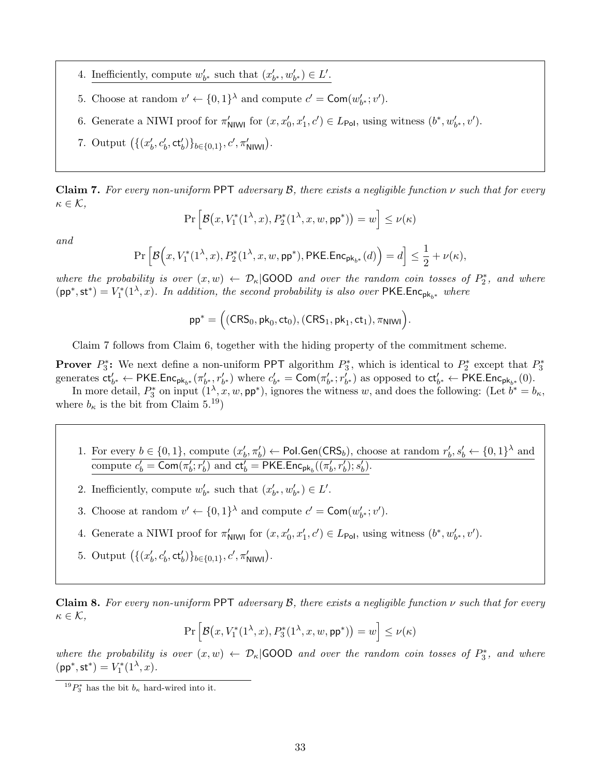- 4. Inefficiently, compute  $w'_{b^*}$  such that  $(x'_{b^*}, w'_{b^*}) \in L'.$
- 5. Choose at random  $v' \leftarrow \{0,1\}^{\lambda}$  and compute  $c' = \text{Com}(w'_{b^*}; v')$ .
- 6. Generate a NIWI proof for  $\pi'_{\text{NlWl}}$  for  $(x, x'_0, x'_1, c') \in L_{\text{Pol}}$ , using witness  $(b^*, w'_{b^*}, v')$ .
- 7. Output  $((x'_b, c'_b, ct'_b))_{b \in \{0,1\}}, c', \pi'_{\text{NIW}})$ .

Claim 7. For every non-uniform PPT adversary  $\mathcal{B}$ , there exists a negligible function  $\nu$  such that for every  $\kappa \in \mathcal{K},$ 

$$
\Pr\left[\mathcal{B}\big(x, V_1^*(1^\lambda, x), P_2^*(1^\lambda, x, w, \mathsf{pp}^*)\big) = w\right] \le \nu(\kappa)
$$

and

$$
\Pr\Big[\mathcal{B}\Big(x,V_1^*(1^\lambda,x),P_2^*(1^\lambda,x,w,\mathsf{pp}^*),\mathsf{PKE}.\mathsf{Enc}_{\mathsf{pk}_{b^*}}(d)\Big)=d\Big]\leq \frac{1}{2}+\nu(\kappa),
$$

where the probability is over  $(x, w) \leftarrow \mathcal{D}_{\kappa}$  GOOD and over the random coin tosses of  $P_2^*$ , and where  $(pp^*, st^*) = V_1^*(1^{\lambda}, x)$ . In addition, the second probability is also over PKE.Enc<sub>pk<sub>b</sub><sup>\*</sup></sup> where</sub>

$$
\mathsf{pp}^* = \Big((CRS_0,\mathsf{pk}_0,\mathsf{ct}_0), (CRS_1,\mathsf{pk}_1,\mathsf{ct}_1),\pi_{\mathsf{NIWI}}\Big).
$$

Claim 7 follows from Claim 6, together with the hiding property of the commitment scheme.

**Prover**  $P_3^*$ : We next define a non-uniform PPT algorithm  $P_3^*$ , which is identical to  $P_2^*$  except that  $P_3^*$ generates  $\mathsf{ct}_{b^*}' \leftarrow \mathsf{PKE}.\mathsf{Enc}_{\mathsf{pk}_{b^*}}(\pi'_{b^*}, r'_{b^*})$  where  $c'_{b^*} = \mathsf{Com}(\pi'_{b^*}; r'_{b^*})$  as opposed to  $\mathsf{ct}'_{b^*} \leftarrow \mathsf{PKE}.\mathsf{Enc}_{\mathsf{pk}_{b^*}}(0).$ 

In more detail,  $P_3^*$  on input  $(1^{\lambda}, x, w, \mathsf{pp}^*)$ , ignores the witness w, and does the following: (Let  $b^* = b_{\kappa}$ , where  $b_{\kappa}$  is the bit from Claim 5.<sup>19</sup>)

1. For every  $b \in \{0,1\}$ , compute  $(x'_b, \pi'_b) \leftarrow \text{Pol.Gen}(\text{CRS}_b)$ , choose at random  $r'_b, s'_b \leftarrow \{0,1\}^{\lambda}$  and compute  $c'_b = \textsf{Com}(\pi'_b; r'_b)$  and  $\mathsf{ct}'_b = \textsf{PKE}.\textsf{Enc}_{\textsf{pk}_b}((\pi'_b, r'_b); s'_b)$ .

2. Inefficiently, compute  $w'_{b^*}$  such that  $(x'_{b^*}, w'_{b^*}) \in L'.$ 

- 3. Choose at random  $v' \leftarrow \{0,1\}^{\lambda}$  and compute  $c' = \text{Com}(w'_{b^*}; v')$ .
- 4. Generate a NIWI proof for  $\pi'_{\text{NlWl}}$  for  $(x, x'_0, x'_1, c') \in L_{\text{Pol}}$ , using witness  $(b^*, w'_{b^*}, v')$ .
- 5. Output  $((x'_b, c'_b, ct'_b))_{b \in \{0,1\}}, c', \pi'_{\text{NIW}})$ .

**Claim 8.** For every non-uniform PPT adversary  $\beta$ , there exists a negligible function  $\nu$  such that for every  $\kappa \in \mathcal{K},$ 

$$
\Pr\left[\mathcal{B}\big(x, V_1^*(1^\lambda, x), P_3^*(1^\lambda, x, w, \mathsf{pp}^*)\big) = w\right] \le \nu(\kappa)
$$

where the probability is over  $(x, w) \leftarrow \mathcal{D}_{\kappa}$  GOOD and over the random coin tosses of  $P_3^*$ , and where  $(\mathsf{pp}^*,\mathsf{st}^*)=V_1^*(1^\lambda,x).$ 

<sup>&</sup>lt;sup>19</sup> $P_3^*$  has the bit  $b_{\kappa}$  hard-wired into it.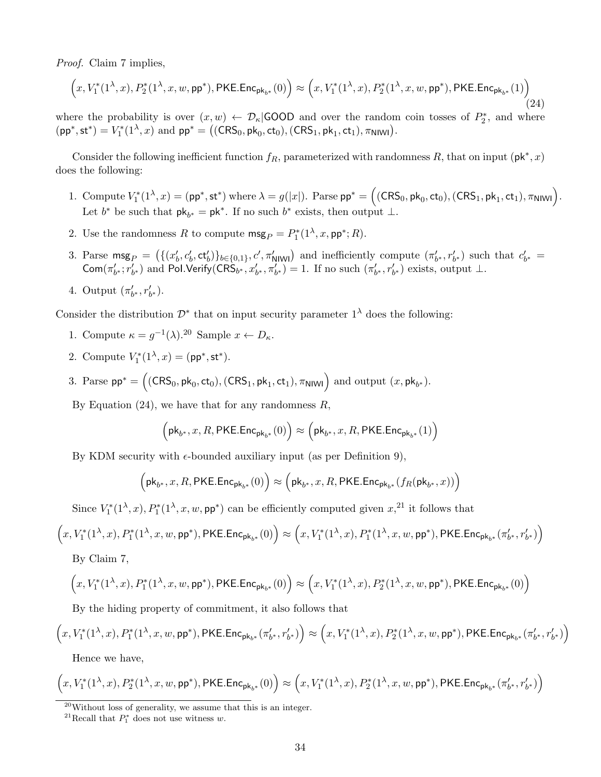Proof. Claim 7 implies,

$$
\Big(x,V_1^*(1^\lambda,x),P_2^*(1^\lambda,x,w,\mathsf{pp}^*),\mathsf{PKE}.\mathsf{Enc}_{\mathsf{pk}_{b^*}}(0)\Big) \approx \Big(x,V_1^*(1^\lambda,x),P_2^*(1^\lambda,x,w,\mathsf{pp}^*),\mathsf{PKE}.\mathsf{Enc}_{\mathsf{pk}_{b^*}}(1)\Big) \tag{24}
$$

where the probability is over  $(x, w) \leftarrow \mathcal{D}_{\kappa}$  GOOD and over the random coin tosses of  $P_2^*$ , and where  $(pp^*, st^*) = V_1^*(1^{\lambda}, x)$  and  $pp^* = ((CRS_0, pk_0, ct_0), (CRS_1, pk_1, ct_1), \pi_{N1W1}).$ 

Consider the following inefficient function  $f_R$ , parameterized with randomness R, that on input ( $\mathsf{pk}^*, x$ ) does the following:

- 1. Compute  $V_1^*(1^{\lambda}, x) = (\mathsf{pp}^*, \mathsf{st}^*)$  where  $\lambda = g(|x|)$ . Parse  $\mathsf{pp}^* = ((\mathsf{CRS}_0, \mathsf{pk}_0, \mathsf{ct}_0), (\mathsf{CRS}_1, \mathsf{pk}_1, \mathsf{ct}_1), \pi_{\mathsf{N}|\mathsf{W}|\mathsf{I}})$ . Let  $b^*$  be such that  $pk_{b^*} = pk^*$ . If no such  $b^*$  exists, then output  $\perp$ .
- 2. Use the randomness R to compute  $\mathsf{msg}_P = P_1^*(1^\lambda, x, \mathsf{pp}^*; R)$ .
- 3. Parse  $\text{msg}_P = (\{(x'_b, c'_b, \text{ct}'_b)\}_{b\in\{0,1\}}, c', \pi'_{\text{NINI}})$  and inefficiently compute  $(\pi'_{b^*}, r'_{b^*})$  such that  $c'_{b^*}$  $\textsf{Com}(\pi'_{b^*}; r'_{b^*})$  and Pol.Verify(CRS<sub>b<sup>\*</sup></sub>,  $x'_{b^*}, \pi'_{b^*}$ ) = 1. If no such  $(\pi'_{b^*}, r'_{b^*})$  exists, output  $\perp$ .
- 4. Output  $(\pi'_{b^*}, r'_{b^*}).$

Consider the distribution  $\mathcal{D}^*$  that on input security parameter  $1^{\lambda}$  does the following:

- 1. Compute  $\kappa = g^{-1}(\lambda)$ .<sup>20</sup> Sample  $x \leftarrow D_{\kappa}$ .
- 2. Compute  $V_1^*(1^{\lambda}, x) = (\text{pp}^*, \text{st}^*).$
- 3. Parse  $pp^* = ((CRS_0, pk_0, ct_0), (CRS_1, pk_1, ct_1), \pi_{N1}W_1)$  and output  $(x, pk_b*)$ .

By Equation  $(24)$ , we have that for any randomness R,

$$
\Big(\mathsf{pk}_{b^*}, x, R, \mathsf{PKE}.\mathsf{Enc}_{\mathsf{pk}_{b^*}}(0)\Big) \approx \Big(\mathsf{pk}_{b^*}, x, R, \mathsf{PKE}.\mathsf{Enc}_{\mathsf{pk}_{b^*}}(1)\Big)
$$

By KDM security with  $\epsilon$ -bounded auxiliary input (as per Definition 9),

$$
\Big(\text{pk}_{b^*},x,R,\text{PKE.Enc}_{\text{pk}_{b^*}}(0)\Big)\approx \Big(\text{pk}_{b^*},x,R,\text{PKE.Enc}_{\text{pk}_{b^*}}(f_R(\text{pk}_{b^*},x))\Big)
$$

Since  $V_1^*(1^{\lambda}, x)$ ,  $P_1^*(1^{\lambda}, x, w, \mathsf{pp}^*)$  can be efficiently computed given  $x,^{21}$  it follows that

$$
\Big(x,V_1^*(1^\lambda,x),P_1^*(1^\lambda,x,w,\mathsf{pp}^*),\mathsf{PKE}.\mathsf{Enc}_{\mathsf{pk}_{b^*}}(0)\Big) \approx \Big(x,V_1^*(1^\lambda,x),P_1^*(1^\lambda,x,w,\mathsf{pp}^*),\mathsf{PKE}.\mathsf{Enc}_{\mathsf{pk}_{b^*}}(\pi'_{b^*},r'_{b^*})\Big)
$$

By Claim 7,

$$
\Big(x,V_1^*(1^\lambda,x),P_1^*(1^\lambda,x,w,\mathsf{pp}^*),\mathsf{PKE}.\mathsf{Enc}_{\mathsf{pk}_{b^*}}(0)\Big)\approx\Big(x,V_1^*(1^\lambda,x),P_2^*(1^\lambda,x,w,\mathsf{pp}^*),\mathsf{PKE}.\mathsf{Enc}_{\mathsf{pk}_{b^*}}(0)\Big)
$$

By the hiding property of commitment, it also follows that

$$
\Big(x,V_1^*(1^\lambda,x),P_1^*(1^\lambda,x,w,\mathsf{pp}^*),\mathsf{PKE}.\mathsf{Enc}_{\mathsf{pk}_{b^*}}(\pi'_{b^*},r'_{b^*})\Big) \approx \Big(x,V_1^*(1^\lambda,x),P_2^*(1^\lambda,x,w,\mathsf{pp}^*),\mathsf{PKE}.\mathsf{Enc}_{\mathsf{pk}_{b^*}}(\pi'_{b^*},r'_{b^*})\Big)
$$

Hence we have,

$$
\Big(x,V_1^*(1^\lambda,x),P_2^*(1^\lambda,x,w,\mathsf{pp}^*),\mathsf{PKE}.\mathsf{Enc}_{\mathsf{pk}_{b^*}}(0)\Big)\approx\Big(x,V_1^*(1^\lambda,x),P_2^*(1^\lambda,x,w,\mathsf{pp}^*),\mathsf{PKE}.\mathsf{Enc}_{\mathsf{pk}_{b^*}}(\pi'_{b^*},r'_{b^*})\Big)
$$

 $^{20}$ Without loss of generality, we assume that this is an integer.

<sup>&</sup>lt;sup>21</sup>Recall that  $P_1^*$  does not use witness w.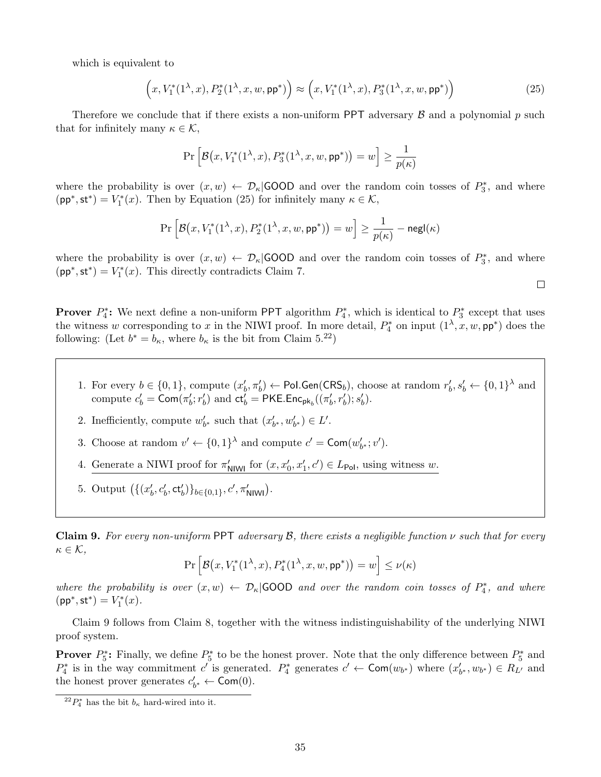which is equivalent to

$$
(x, V_1^*(1^{\lambda}, x), P_2^*(1^{\lambda}, x, w, \mathsf{pp}^*)) \approx (x, V_1^*(1^{\lambda}, x), P_3^*(1^{\lambda}, x, w, \mathsf{pp}^*))
$$
(25)

Therefore we conclude that if there exists a non-uniform PPT adversary  $\beta$  and a polynomial p such that for infinitely many  $\kappa \in \mathcal{K}$ ,

$$
\Pr\Big[\mathcal{B}\big(x,V_1^*(1^\lambda,x),P_3^*(1^\lambda,x,w,\mathsf{pp}^*)\big)=w\Big]\geq\frac{1}{p(\kappa)}
$$

where the probability is over  $(x, w) \leftarrow \mathcal{D}_{\kappa}$  GOOD and over the random coin tosses of  $P_3^*$ , and where  $(pp^*, \text{st}^*) = V_1^*(x)$ . Then by Equation (25) for infinitely many  $\kappa \in \mathcal{K}$ ,

$$
\Pr\Big[\mathcal{B}\big(x,V_1^*(1^\lambda,x),P_2^*(1^\lambda,x,w,\mathsf{pp}^*)\big)=w\Big]\geq \frac{1}{p(\kappa)}-\mathsf{negl}(\kappa)
$$

where the probability is over  $(x, w) \leftarrow \mathcal{D}_{\kappa}$  GOOD and over the random coin tosses of  $P_3^*$ , and where  $(pp^*, \text{st}^*) = V_1^*(x)$ . This directly contradicts Claim 7.

 $\Box$ 

**Prover**  $P_4^*$ : We next define a non-uniform PPT algorithm  $P_4^*$ , which is identical to  $P_3^*$  except that uses the witness w corresponding to x in the NIWI proof. In more detail,  $P_4^*$  on input  $(1^{\lambda}, x, w, \mathsf{pp}^*)$  does the following: (Let  $b^* = b_{\kappa}$ , where  $b_{\kappa}$  is the bit from Claim 5.<sup>22</sup>)

- 1. For every  $b \in \{0,1\}$ , compute  $(x'_b, \pi'_b) \leftarrow \text{Pol.Gen}(\text{CRS}_b)$ , choose at random  $r'_b, s'_b \leftarrow \{0,1\}^{\lambda}$  and compute  $c'_b = \textsf{Com}(\pi'_b; r'_b)$  and  $\mathsf{ct}'_b = \textsf{PKE}.\textsf{Enc}_{\textsf{pk}_b}((\pi'_b, r'_b); s'_b).$
- 2. Inefficiently, compute  $w'_{b^*}$  such that  $(x'_{b^*}, w'_{b^*}) \in L'.$
- 3. Choose at random  $v' \leftarrow \{0,1\}^{\lambda}$  and compute  $c' = \text{Com}(w'_{b^*}; v')$ .
- 4. Generate a NIWI proof for  $\pi'_{\text{NlWl}}$  for  $(x, x'_0, x'_1, c') \in L_{\text{Pol}}$ , using witness w.
- 5. Output  $((x'_b, c'_b, ct'_b))_{b \in \{0,1\}}, c', \pi'_{\text{NIW}})$ .

Claim 9. For every non-uniform PPT adversary  $\mathcal{B}$ , there exists a negligible function  $\nu$  such that for every  $\kappa \in \mathcal{K},$ 

$$
\Pr\Big[\mathcal{B}\big(x,V_1^*(1^\lambda,x),P_4^*(1^\lambda,x,w,\mathsf{pp}^*)\big)=w\Big]\leq\nu(\kappa)
$$

where the probability is over  $(x, w) \leftarrow \mathcal{D}_{\kappa}$  GOOD and over the random coin tosses of  $P_4^*$ , and where  $\left(\mathsf{pp}^*,\mathsf{st}^*\right) = V_1^*(x).$ 

Claim 9 follows from Claim 8, together with the witness indistinguishability of the underlying NIWI proof system.

**Prover**  $P_5^*$ : Finally, we define  $P_5^*$  to be the honest prover. Note that the only difference between  $P_5^*$  and  $P_4^*$  is in the way commitment c' is generated.  $P_4^*$  generates  $c' \leftarrow \textsf{Com}(w_{b^*})$  where  $(x'_{b^*}, w_{b^*}) \in R_{L'}$  and the honest prover generates  $c'_{b^*} \leftarrow \textsf{Com}(0)$ .

 $^{22}P_4^*$  has the bit  $b_{\kappa}$  hard-wired into it.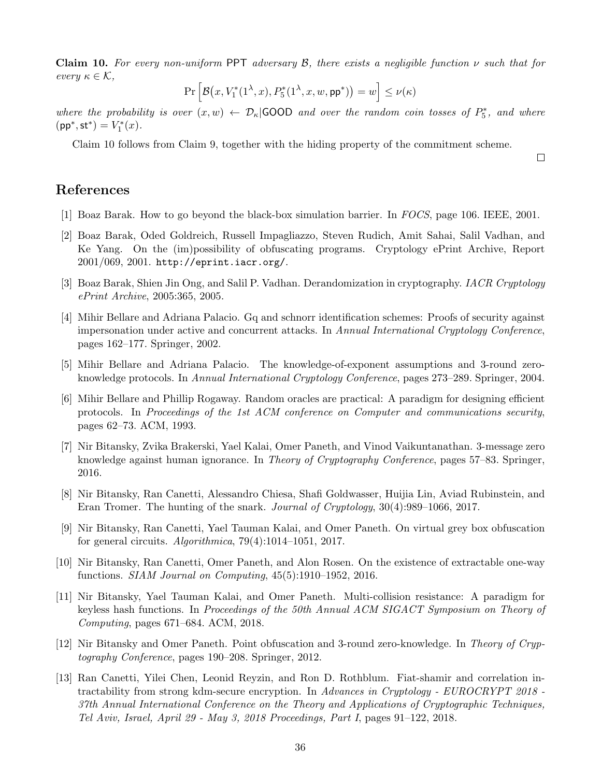Claim 10. For every non-uniform PPT adversary B, there exists a negligible function  $\nu$  such that for every  $\kappa \in \mathcal{K}$ ,

$$
\Pr\Big[\mathcal{B}\big(x,V_1^*(1^\lambda,x),P_5^*(1^\lambda,x,w,\mathsf{pp}^*)\big)=w\Big]\leq\nu(\kappa)
$$

where the probability is over  $(x, w) \leftarrow \mathcal{D}_{\kappa}$  GOOD and over the random coin tosses of  $P_5^*$ , and where  $\left(\mathsf{pp}^*,\mathsf{st}^*\right) = V_1^*(x).$ 

Claim 10 follows from Claim 9, together with the hiding property of the commitment scheme.

 $\Box$ 

# References

- [1] Boaz Barak. How to go beyond the black-box simulation barrier. In FOCS, page 106. IEEE, 2001.
- [2] Boaz Barak, Oded Goldreich, Russell Impagliazzo, Steven Rudich, Amit Sahai, Salil Vadhan, and Ke Yang. On the (im)possibility of obfuscating programs. Cryptology ePrint Archive, Report 2001/069, 2001. http://eprint.iacr.org/.
- [3] Boaz Barak, Shien Jin Ong, and Salil P. Vadhan. Derandomization in cryptography. IACR Cryptology ePrint Archive, 2005:365, 2005.
- [4] Mihir Bellare and Adriana Palacio. Gq and schnorr identification schemes: Proofs of security against impersonation under active and concurrent attacks. In Annual International Cryptology Conference, pages 162–177. Springer, 2002.
- [5] Mihir Bellare and Adriana Palacio. The knowledge-of-exponent assumptions and 3-round zeroknowledge protocols. In Annual International Cryptology Conference, pages 273–289. Springer, 2004.
- [6] Mihir Bellare and Phillip Rogaway. Random oracles are practical: A paradigm for designing efficient protocols. In Proceedings of the 1st ACM conference on Computer and communications security, pages 62–73. ACM, 1993.
- [7] Nir Bitansky, Zvika Brakerski, Yael Kalai, Omer Paneth, and Vinod Vaikuntanathan. 3-message zero knowledge against human ignorance. In Theory of Cryptography Conference, pages 57–83. Springer, 2016.
- [8] Nir Bitansky, Ran Canetti, Alessandro Chiesa, Shafi Goldwasser, Huijia Lin, Aviad Rubinstein, and Eran Tromer. The hunting of the snark. Journal of Cryptology, 30(4):989–1066, 2017.
- [9] Nir Bitansky, Ran Canetti, Yael Tauman Kalai, and Omer Paneth. On virtual grey box obfuscation for general circuits.  $Algorithmica$ ,  $79(4):1014-1051$ ,  $2017$ .
- [10] Nir Bitansky, Ran Canetti, Omer Paneth, and Alon Rosen. On the existence of extractable one-way functions. SIAM Journal on Computing, 45(5):1910–1952, 2016.
- [11] Nir Bitansky, Yael Tauman Kalai, and Omer Paneth. Multi-collision resistance: A paradigm for keyless hash functions. In Proceedings of the 50th Annual ACM SIGACT Symposium on Theory of Computing, pages 671–684. ACM, 2018.
- [12] Nir Bitansky and Omer Paneth. Point obfuscation and 3-round zero-knowledge. In Theory of Cryptography Conference, pages 190–208. Springer, 2012.
- [13] Ran Canetti, Yilei Chen, Leonid Reyzin, and Ron D. Rothblum. Fiat-shamir and correlation intractability from strong kdm-secure encryption. In Advances in Cryptology - EUROCRYPT 2018 -37th Annual International Conference on the Theory and Applications of Cryptographic Techniques, Tel Aviv, Israel, April 29 - May 3, 2018 Proceedings, Part I, pages 91–122, 2018.